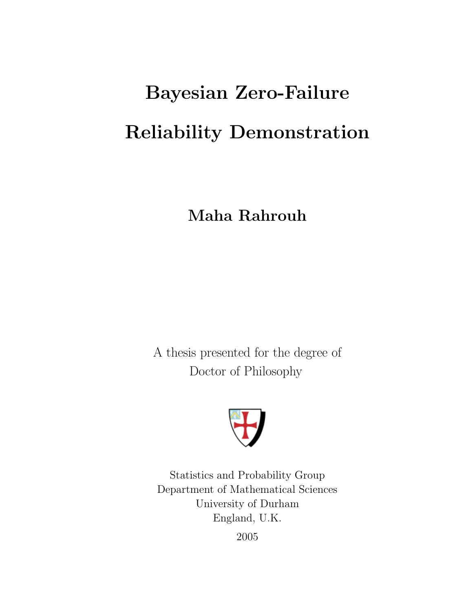# Bayesian Zero-Failure Reliability Demonstration

Maha Rahrouh

A thesis presented for the degree of Doctor of Philosophy



Statistics and Probability Group Department of Mathematical Sciences University of Durham England, U.K. 2005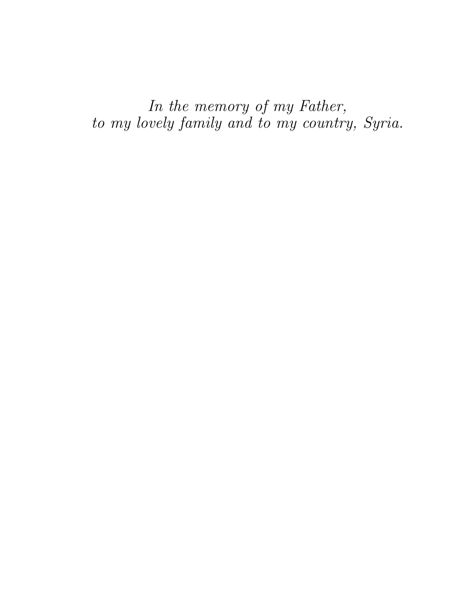In the memory of my Father, to my lovely family and to my country, Syria.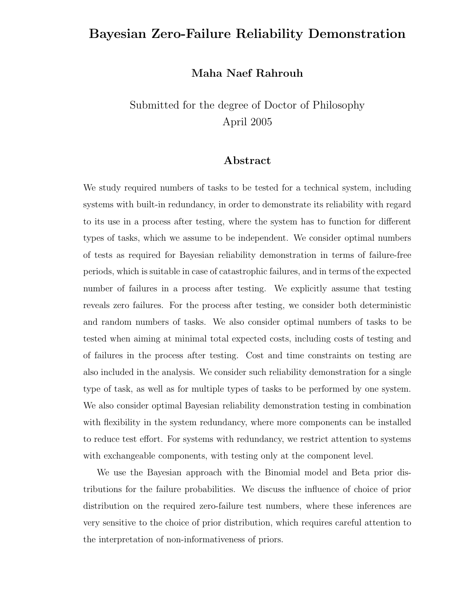### Bayesian Zero-Failure Reliability Demonstration

#### Maha Naef Rahrouh

## Submitted for the degree of Doctor of Philosophy April 2005

#### Abstract

We study required numbers of tasks to be tested for a technical system, including systems with built-in redundancy, in order to demonstrate its reliability with regard to its use in a process after testing, where the system has to function for different types of tasks, which we assume to be independent. We consider optimal numbers of tests as required for Bayesian reliability demonstration in terms of failure-free periods, which is suitable in case of catastrophic failures, and in terms of the expected number of failures in a process after testing. We explicitly assume that testing reveals zero failures. For the process after testing, we consider both deterministic and random numbers of tasks. We also consider optimal numbers of tasks to be tested when aiming at minimal total expected costs, including costs of testing and of failures in the process after testing. Cost and time constraints on testing are also included in the analysis. We consider such reliability demonstration for a single type of task, as well as for multiple types of tasks to be performed by one system. We also consider optimal Bayesian reliability demonstration testing in combination with flexibility in the system redundancy, where more components can be installed to reduce test effort. For systems with redundancy, we restrict attention to systems with exchangeable components, with testing only at the component level.

We use the Bayesian approach with the Binomial model and Beta prior distributions for the failure probabilities. We discuss the influence of choice of prior distribution on the required zero-failure test numbers, where these inferences are very sensitive to the choice of prior distribution, which requires careful attention to the interpretation of non-informativeness of priors.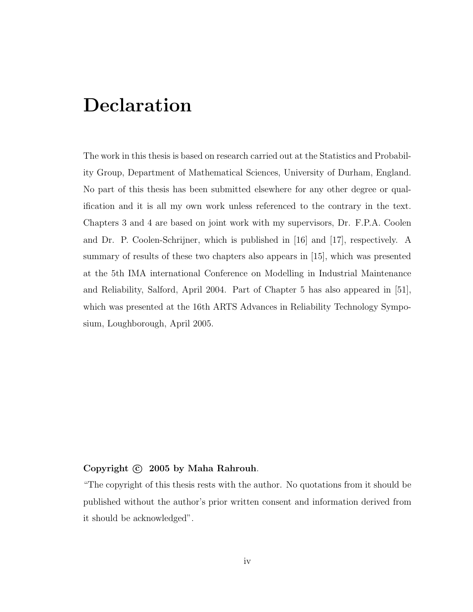## Declaration

The work in this thesis is based on research carried out at the Statistics and Probability Group, Department of Mathematical Sciences, University of Durham, England. No part of this thesis has been submitted elsewhere for any other degree or qualification and it is all my own work unless referenced to the contrary in the text. Chapters 3 and 4 are based on joint work with my supervisors, Dr. F.P.A. Coolen and Dr. P. Coolen-Schrijner, which is published in [16] and [17], respectively. A summary of results of these two chapters also appears in [15], which was presented at the 5th IMA international Conference on Modelling in Industrial Maintenance and Reliability, Salford, April 2004. Part of Chapter 5 has also appeared in [51], which was presented at the 16th ARTS Advances in Reliability Technology Symposium, Loughborough, April 2005.

#### Copyright  $\odot$  2005 by Maha Rahrouh.

"The copyright of this thesis rests with the author. No quotations from it should be published without the author's prior written consent and information derived from it should be acknowledged".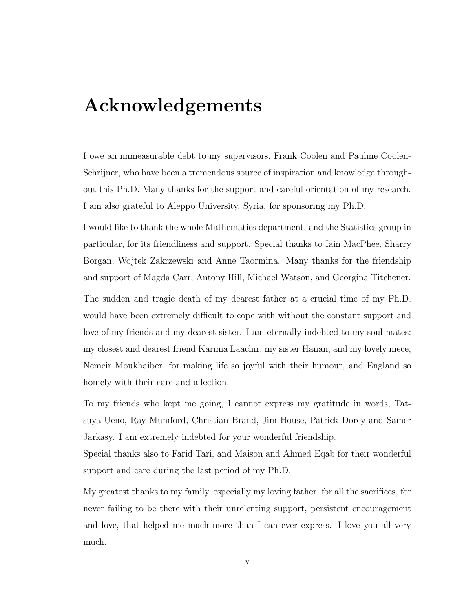## Acknowledgements

I owe an immeasurable debt to my supervisors, Frank Coolen and Pauline Coolen-Schrijner, who have been a tremendous source of inspiration and knowledge throughout this Ph.D. Many thanks for the support and careful orientation of my research. I am also grateful to Aleppo University, Syria, for sponsoring my Ph.D.

I would like to thank the whole Mathematics department, and the Statistics group in particular, for its friendliness and support. Special thanks to Iain MacPhee, Sharry Borgan, Wojtek Zakrzewski and Anne Taormina. Many thanks for the friendship and support of Magda Carr, Antony Hill, Michael Watson, and Georgina Titchener.

The sudden and tragic death of my dearest father at a crucial time of my Ph.D. would have been extremely difficult to cope with without the constant support and love of my friends and my dearest sister. I am eternally indebted to my soul mates: my closest and dearest friend Karima Laachir, my sister Hanan, and my lovely niece, Nemeir Moukhaiber, for making life so joyful with their humour, and England so homely with their care and affection.

To my friends who kept me going, I cannot express my gratitude in words, Tatsuya Ueno, Ray Mumford, Christian Brand, Jim House, Patrick Dorey and Samer Jarkasy. I am extremely indebted for your wonderful friendship.

Special thanks also to Farid Tari, and Maison and Ahmed Eqab for their wonderful support and care during the last period of my Ph.D.

My greatest thanks to my family, especially my loving father, for all the sacrifices, for never failing to be there with their unrelenting support, persistent encouragement and love, that helped me much more than I can ever express. I love you all very much.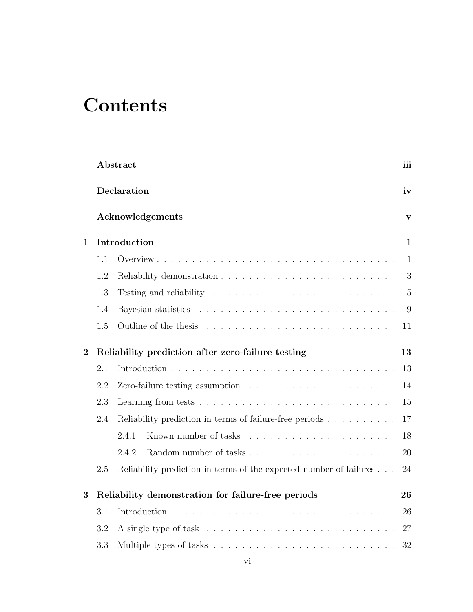# **Contents**

|                |             | Abstract                                                                                 |                |  |  |  |  |  |  |
|----------------|-------------|------------------------------------------------------------------------------------------|----------------|--|--|--|--|--|--|
|                | Declaration |                                                                                          |                |  |  |  |  |  |  |
|                |             | Acknowledgements                                                                         | $\mathbf{V}$   |  |  |  |  |  |  |
| 1              |             | Introduction                                                                             | 1              |  |  |  |  |  |  |
|                | 1.1         |                                                                                          | $\mathbf{1}$   |  |  |  |  |  |  |
|                | 1.2         |                                                                                          | 3              |  |  |  |  |  |  |
|                | 1.3         | Testing and reliability $\ldots \ldots \ldots \ldots \ldots \ldots \ldots \ldots$        | $\overline{5}$ |  |  |  |  |  |  |
|                | 1.4         |                                                                                          | 9              |  |  |  |  |  |  |
|                | 1.5         |                                                                                          | 11             |  |  |  |  |  |  |
| $\overline{2}$ |             | Reliability prediction after zero-failure testing<br>13                                  |                |  |  |  |  |  |  |
|                | 2.1         |                                                                                          | 13             |  |  |  |  |  |  |
|                | 2.2         | Zero-failure testing assumption $\ldots \ldots \ldots \ldots \ldots \ldots \ldots$<br>14 |                |  |  |  |  |  |  |
|                | 2.3         | 15                                                                                       |                |  |  |  |  |  |  |
|                | 2.4         | Reliability prediction in terms of failure-free periods<br>17                            |                |  |  |  |  |  |  |
|                |             | 2.4.1                                                                                    | 18             |  |  |  |  |  |  |
|                |             | 2.4.2                                                                                    | 20             |  |  |  |  |  |  |
|                | 2.5         | Reliability prediction in terms of the expected number of failures                       | 24             |  |  |  |  |  |  |
| 3              |             | Reliability demonstration for failure-free periods                                       | 26             |  |  |  |  |  |  |
|                | 3.1         | 26                                                                                       |                |  |  |  |  |  |  |
|                | 3.2         | 27                                                                                       |                |  |  |  |  |  |  |
|                | 3.3         |                                                                                          | 32             |  |  |  |  |  |  |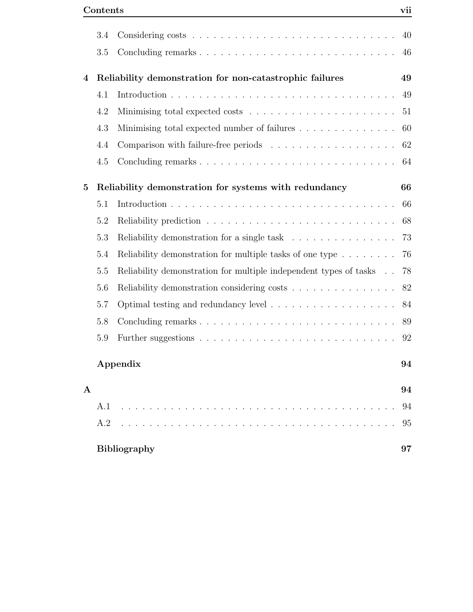|              | 3.4 |                                                                                                                 | 40 |
|--------------|-----|-----------------------------------------------------------------------------------------------------------------|----|
|              | 3.5 |                                                                                                                 | 46 |
| 4            |     | Reliability demonstration for non-catastrophic failures                                                         | 49 |
|              | 4.1 |                                                                                                                 | 49 |
|              | 4.2 |                                                                                                                 | 51 |
|              | 4.3 | Minimising total expected number of failures                                                                    | 60 |
|              | 4.4 |                                                                                                                 | 62 |
|              | 4.5 |                                                                                                                 | 64 |
| $\bf{5}$     |     | Reliability demonstration for systems with redundancy                                                           | 66 |
|              | 5.1 |                                                                                                                 | 66 |
|              | 5.2 |                                                                                                                 | 68 |
|              | 5.3 | Reliability demonstration for a single task                                                                     | 73 |
|              | 5.4 | Reliability demonstration for multiple tasks of one type                                                        | 76 |
|              | 5.5 | Reliability demonstration for multiple independent types of tasks                                               | 78 |
|              | 5.6 | Reliability demonstration considering costs                                                                     | 82 |
|              | 5.7 |                                                                                                                 | 84 |
|              | 5.8 |                                                                                                                 | 89 |
|              | 5.9 |                                                                                                                 | 92 |
|              |     | Appendix                                                                                                        | 94 |
| $\mathbf{A}$ |     |                                                                                                                 | 94 |
|              | A.1 | and a series of the contract of the contract of the contract of the contract of the contract of the contract of | 94 |
|              | A.2 | <u>and a straightful and a straight and</u>                                                                     | 95 |
|              |     | <b>Bibliography</b>                                                                                             | 97 |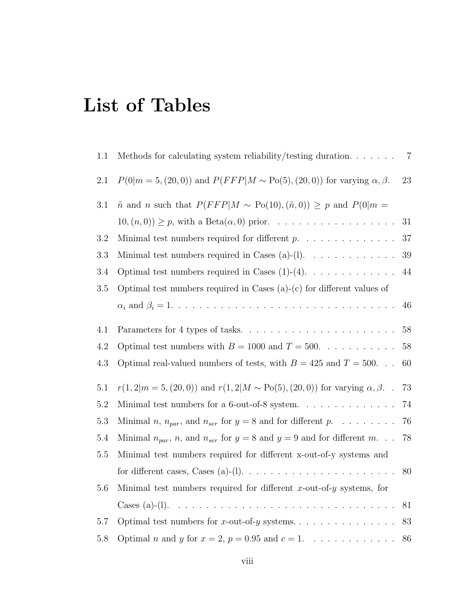# List of Tables

| 1.1     | Methods for calculating system reliability/testing duration. $\ldots \ldots$                   | $7\phantom{.0}$ |
|---------|------------------------------------------------------------------------------------------------|-----------------|
| 2.1     | $P(0 m = 5, (20,0))$ and $P(FFP M \sim Po(5), (20,0))$ for varying $\alpha, \beta$ .           | 23              |
| 3.1     | $\tilde{n}$ and <i>n</i> such that $P(FFP M \sim Po(10), (\tilde{n}, 0)) \geq p$ and $P(0 m =$ |                 |
|         | $10, (n, 0) \geq p$ , with a Beta $(\alpha, 0)$ prior.                                         | 31              |
| 3.2     | Minimal test numbers required for different $p$ .                                              | 37              |
| 3.3     | Minimal test numbers required in Cases (a)-(l). $\dots \dots \dots \dots$                      | $39\,$          |
| 3.4     | Optimal test numbers required in Cases $(1)-(4)$ .                                             | 44              |
| $3.5\,$ | Optimal test numbers required in Cases $(a)-(c)$ for different values of                       |                 |
|         |                                                                                                | 46              |
| 4.1     | Parameters for 4 types of tasks                                                                | 58              |
| 4.2     | Optimal test numbers with $B = 1000$ and $T = 500$ .                                           | 58              |
| 4.3     | Optimal real-valued numbers of tests, with $B = 425$ and $T = 500$                             | 60              |
| 5.1     | $r(1,2 m=5,(20,0))$ and $r(1,2 M \sim Po(5),(20,0))$ for varying $\alpha, \beta$ .             | 73              |
| $5.2\,$ | Minimal test numbers for a 6-out-of-8 system. $\ldots \ldots \ldots \ldots$                    | 74              |
| 5.3     | Minimal <i>n</i> , $n_{par}$ , and $n_{ser}$ for $y = 8$ and for different <i>p</i> .          | 76              |
| $5.4\,$ | Minimal $n_{par}$ , n, and $n_{ser}$ for $y = 8$ and $y = 9$ and for different m               | $78\,$          |
| $5.5\,$ | Minimal test numbers required for different x-out-of-y systems and                             |                 |
|         |                                                                                                | 80              |
| 5.6     | Minimal test numbers required for different x-out-of- $y$ systems, for                         |                 |
|         |                                                                                                | 81              |
| 5.7     |                                                                                                | 83              |
| 5.8     | Optimal <i>n</i> and <i>y</i> for $x = 2$ , $p = 0.95$ and $c = 1$ .                           | 86              |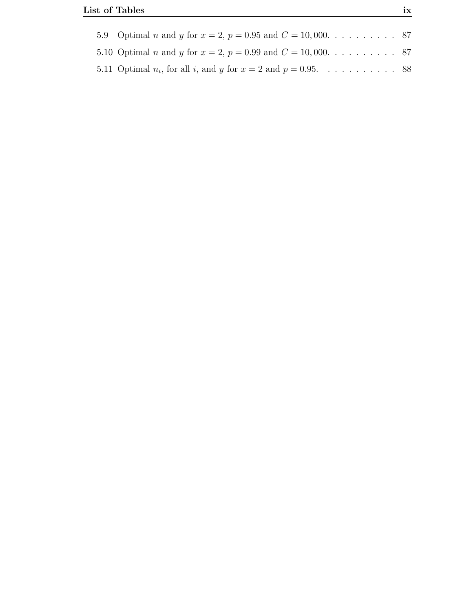| 5.11 Optimal $n_i$ , for all i, and y for $x = 2$ and $p = 0.95$ . 88 |  |
|-----------------------------------------------------------------------|--|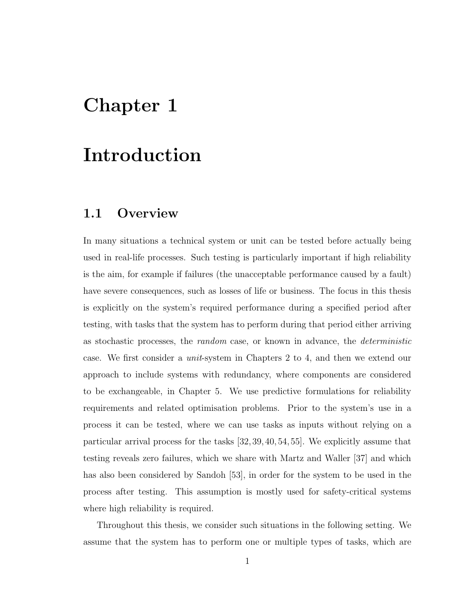# Chapter 1

# Introduction

## 1.1 Overview

In many situations a technical system or unit can be tested before actually being used in real-life processes. Such testing is particularly important if high reliability is the aim, for example if failures (the unacceptable performance caused by a fault) have severe consequences, such as losses of life or business. The focus in this thesis is explicitly on the system's required performance during a specified period after testing, with tasks that the system has to perform during that period either arriving as stochastic processes, the random case, or known in advance, the deterministic case. We first consider a unit-system in Chapters 2 to 4, and then we extend our approach to include systems with redundancy, where components are considered to be exchangeable, in Chapter 5. We use predictive formulations for reliability requirements and related optimisation problems. Prior to the system's use in a process it can be tested, where we can use tasks as inputs without relying on a particular arrival process for the tasks [32, 39, 40, 54, 55]. We explicitly assume that testing reveals zero failures, which we share with Martz and Waller [37] and which has also been considered by Sandoh [53], in order for the system to be used in the process after testing. This assumption is mostly used for safety-critical systems where high reliability is required.

Throughout this thesis, we consider such situations in the following setting. We assume that the system has to perform one or multiple types of tasks, which are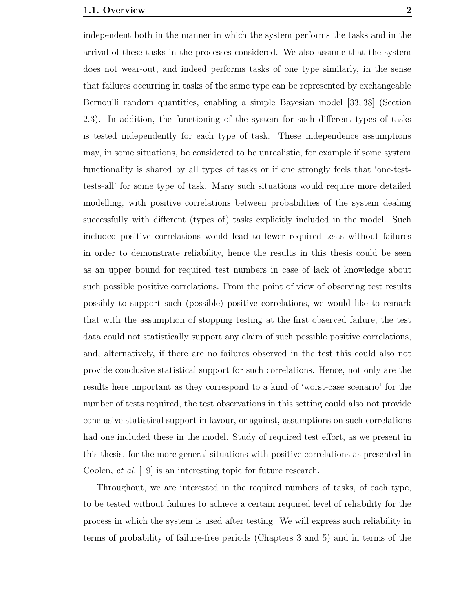independent both in the manner in which the system performs the tasks and in the arrival of these tasks in the processes considered. We also assume that the system does not wear-out, and indeed performs tasks of one type similarly, in the sense that failures occurring in tasks of the same type can be represented by exchangeable Bernoulli random quantities, enabling a simple Bayesian model [33, 38] (Section 2.3). In addition, the functioning of the system for such different types of tasks is tested independently for each type of task. These independence assumptions may, in some situations, be considered to be unrealistic, for example if some system functionality is shared by all types of tasks or if one strongly feels that 'one-testtests-all' for some type of task. Many such situations would require more detailed modelling, with positive correlations between probabilities of the system dealing successfully with different (types of) tasks explicitly included in the model. Such included positive correlations would lead to fewer required tests without failures in order to demonstrate reliability, hence the results in this thesis could be seen as an upper bound for required test numbers in case of lack of knowledge about such possible positive correlations. From the point of view of observing test results possibly to support such (possible) positive correlations, we would like to remark that with the assumption of stopping testing at the first observed failure, the test data could not statistically support any claim of such possible positive correlations, and, alternatively, if there are no failures observed in the test this could also not provide conclusive statistical support for such correlations. Hence, not only are the results here important as they correspond to a kind of 'worst-case scenario' for the number of tests required, the test observations in this setting could also not provide conclusive statistical support in favour, or against, assumptions on such correlations had one included these in the model. Study of required test effort, as we present in this thesis, for the more general situations with positive correlations as presented in Coolen, et al. [19] is an interesting topic for future research.

Throughout, we are interested in the required numbers of tasks, of each type, to be tested without failures to achieve a certain required level of reliability for the process in which the system is used after testing. We will express such reliability in terms of probability of failure-free periods (Chapters 3 and 5) and in terms of the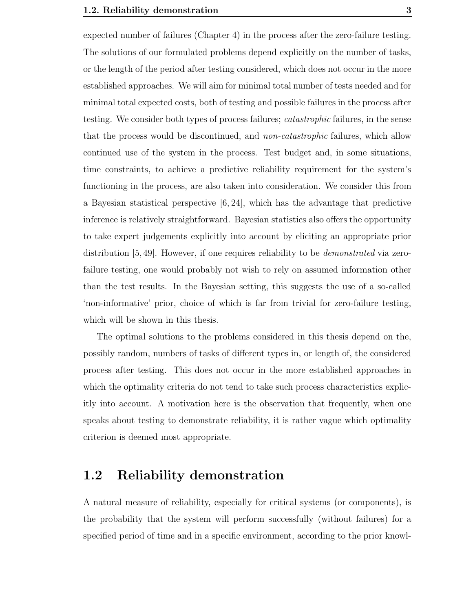expected number of failures (Chapter 4) in the process after the zero-failure testing. The solutions of our formulated problems depend explicitly on the number of tasks, or the length of the period after testing considered, which does not occur in the more established approaches. We will aim for minimal total number of tests needed and for minimal total expected costs, both of testing and possible failures in the process after testing. We consider both types of process failures; *catastrophic* failures, in the sense that the process would be discontinued, and *non-catastrophic* failures, which allow continued use of the system in the process. Test budget and, in some situations, time constraints, to achieve a predictive reliability requirement for the system's functioning in the process, are also taken into consideration. We consider this from a Bayesian statistical perspective [6, 24], which has the advantage that predictive inference is relatively straightforward. Bayesian statistics also offers the opportunity to take expert judgements explicitly into account by eliciting an appropriate prior distribution [5,49]. However, if one requires reliability to be *demonstrated* via zerofailure testing, one would probably not wish to rely on assumed information other than the test results. In the Bayesian setting, this suggests the use of a so-called 'non-informative' prior, choice of which is far from trivial for zero-failure testing, which will be shown in this thesis.

The optimal solutions to the problems considered in this thesis depend on the, possibly random, numbers of tasks of different types in, or length of, the considered process after testing. This does not occur in the more established approaches in which the optimality criteria do not tend to take such process characteristics explicitly into account. A motivation here is the observation that frequently, when one speaks about testing to demonstrate reliability, it is rather vague which optimality criterion is deemed most appropriate.

#### 1.2 Reliability demonstration

A natural measure of reliability, especially for critical systems (or components), is the probability that the system will perform successfully (without failures) for a specified period of time and in a specific environment, according to the prior knowl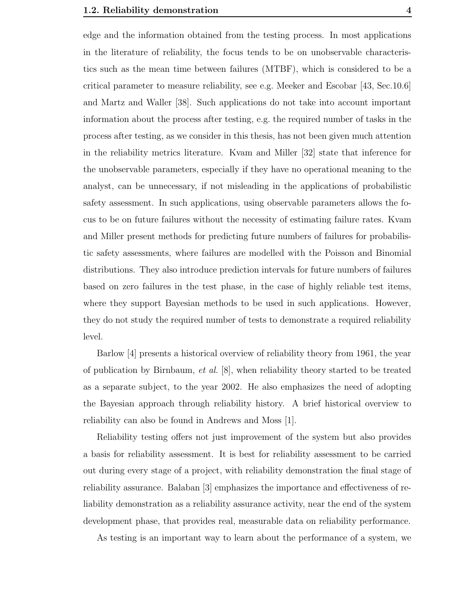edge and the information obtained from the testing process. In most applications in the literature of reliability, the focus tends to be on unobservable characteristics such as the mean time between failures (MTBF), which is considered to be a critical parameter to measure reliability, see e.g. Meeker and Escobar [43, Sec.10.6] and Martz and Waller [38]. Such applications do not take into account important information about the process after testing, e.g. the required number of tasks in the process after testing, as we consider in this thesis, has not been given much attention in the reliability metrics literature. Kvam and Miller [32] state that inference for the unobservable parameters, especially if they have no operational meaning to the analyst, can be unnecessary, if not misleading in the applications of probabilistic safety assessment. In such applications, using observable parameters allows the focus to be on future failures without the necessity of estimating failure rates. Kvam and Miller present methods for predicting future numbers of failures for probabilistic safety assessments, where failures are modelled with the Poisson and Binomial distributions. They also introduce prediction intervals for future numbers of failures based on zero failures in the test phase, in the case of highly reliable test items, where they support Bayesian methods to be used in such applications. However, they do not study the required number of tests to demonstrate a required reliability level.

Barlow [4] presents a historical overview of reliability theory from 1961, the year of publication by Birnbaum, *et al.*  $[8]$ , when reliability theory started to be treated as a separate subject, to the year 2002. He also emphasizes the need of adopting the Bayesian approach through reliability history. A brief historical overview to reliability can also be found in Andrews and Moss [1].

Reliability testing offers not just improvement of the system but also provides a basis for reliability assessment. It is best for reliability assessment to be carried out during every stage of a project, with reliability demonstration the final stage of reliability assurance. Balaban [3] emphasizes the importance and effectiveness of reliability demonstration as a reliability assurance activity, near the end of the system development phase, that provides real, measurable data on reliability performance.

As testing is an important way to learn about the performance of a system, we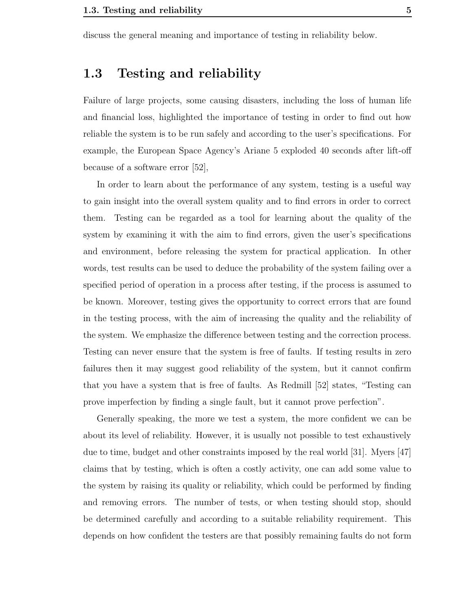discuss the general meaning and importance of testing in reliability below.

## 1.3 Testing and reliability

Failure of large projects, some causing disasters, including the loss of human life and financial loss, highlighted the importance of testing in order to find out how reliable the system is to be run safely and according to the user's specifications. For example, the European Space Agency's Ariane 5 exploded 40 seconds after lift-off because of a software error [52],

In order to learn about the performance of any system, testing is a useful way to gain insight into the overall system quality and to find errors in order to correct them. Testing can be regarded as a tool for learning about the quality of the system by examining it with the aim to find errors, given the user's specifications and environment, before releasing the system for practical application. In other words, test results can be used to deduce the probability of the system failing over a specified period of operation in a process after testing, if the process is assumed to be known. Moreover, testing gives the opportunity to correct errors that are found in the testing process, with the aim of increasing the quality and the reliability of the system. We emphasize the difference between testing and the correction process. Testing can never ensure that the system is free of faults. If testing results in zero failures then it may suggest good reliability of the system, but it cannot confirm that you have a system that is free of faults. As Redmill [52] states, "Testing can prove imperfection by finding a single fault, but it cannot prove perfection".

Generally speaking, the more we test a system, the more confident we can be about its level of reliability. However, it is usually not possible to test exhaustively due to time, budget and other constraints imposed by the real world [31]. Myers [47] claims that by testing, which is often a costly activity, one can add some value to the system by raising its quality or reliability, which could be performed by finding and removing errors. The number of tests, or when testing should stop, should be determined carefully and according to a suitable reliability requirement. This depends on how confident the testers are that possibly remaining faults do not form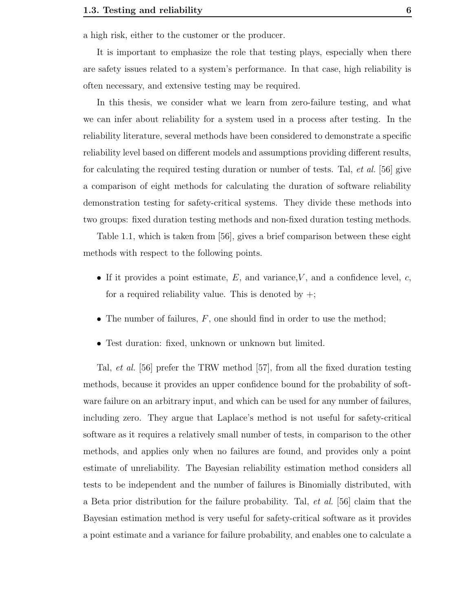a high risk, either to the customer or the producer.

It is important to emphasize the role that testing plays, especially when there are safety issues related to a system's performance. In that case, high reliability is often necessary, and extensive testing may be required.

In this thesis, we consider what we learn from zero-failure testing, and what we can infer about reliability for a system used in a process after testing. In the reliability literature, several methods have been considered to demonstrate a specific reliability level based on different models and assumptions providing different results, for calculating the required testing duration or number of tests. Tal, et al. [56] give a comparison of eight methods for calculating the duration of software reliability demonstration testing for safety-critical systems. They divide these methods into two groups: fixed duration testing methods and non-fixed duration testing methods.

Table 1.1, which is taken from [56], gives a brief comparison between these eight methods with respect to the following points.

- If it provides a point estimate,  $E$ , and variance,  $V$ , and a confidence level,  $c$ , for a required reliability value. This is denoted by  $+$ ;
- The number of failures,  $F$ , one should find in order to use the method;
- Test duration: fixed, unknown or unknown but limited.

Tal, et al. [56] prefer the TRW method [57], from all the fixed duration testing methods, because it provides an upper confidence bound for the probability of software failure on an arbitrary input, and which can be used for any number of failures, including zero. They argue that Laplace's method is not useful for safety-critical software as it requires a relatively small number of tests, in comparison to the other methods, and applies only when no failures are found, and provides only a point estimate of unreliability. The Bayesian reliability estimation method considers all tests to be independent and the number of failures is Binomially distributed, with a Beta prior distribution for the failure probability. Tal, et al. [56] claim that the Bayesian estimation method is very useful for safety-critical software as it provides a point estimate and a variance for failure probability, and enables one to calculate a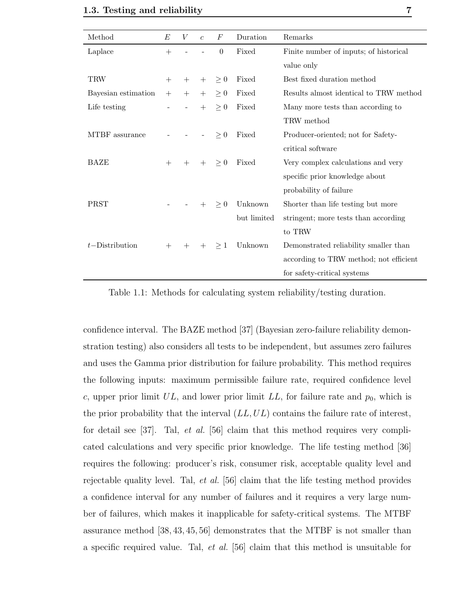| Method              | E      | V             | $\boldsymbol{c}$ | $\,F$    | Duration    | Remarks                                |
|---------------------|--------|---------------|------------------|----------|-------------|----------------------------------------|
| Laplace             | $^{+}$ |               |                  | $\theta$ | Fixed       | Finite number of inputs; of historical |
|                     |        |               |                  |          |             | value only                             |
| TRW                 | $^{+}$ | $+$           | $+$              | $\geq 0$ | Fixed       | Best fixed duration method             |
| Bayesian estimation | $+$    | $+$           | $+$              | $\geq 0$ | Fixed       | Results almost identical to TRW method |
| Life testing        |        | $\frac{1}{2}$ | $+$              | > 0      | Fixed       | Many more tests than according to      |
|                     |        |               |                  |          |             | TRW method                             |
| MTBF assurance      |        |               |                  | $\geq 0$ | Fixed       | Producer-oriented; not for Safety-     |
|                     |        |               |                  |          |             | critical software                      |
| BAZE                | $^{+}$ | $+$           | $+$              | $\geq 0$ | Fixed       | Very complex calculations and very     |
|                     |        |               |                  |          |             | specific prior knowledge about         |
|                     |        |               |                  |          |             | probability of failure                 |
| PRST                |        |               | $+$              | $\geq 0$ | Unknown     | Shorter than life testing but more     |
|                     |        |               |                  |          | but limited | stringent; more tests than according   |
|                     |        |               |                  |          |             | to TRW                                 |
| $t$ -Distribution   | $+$    | $^{+}$        | $+$              | $\geq 1$ | Unknown     | Demonstrated reliability smaller than  |
|                     |        |               |                  |          |             | according to TRW method; not efficient |
|                     |        |               |                  |          |             | for safety-critical systems            |

Table 1.1: Methods for calculating system reliability/testing duration.

confidence interval. The BAZE method [37] (Bayesian zero-failure reliability demonstration testing) also considers all tests to be independent, but assumes zero failures and uses the Gamma prior distribution for failure probability. This method requires the following inputs: maximum permissible failure rate, required confidence level c, upper prior limit  $UL$ , and lower prior limit  $LL$ , for failure rate and  $p_0$ , which is the prior probability that the interval  $(LL, UL)$  contains the failure rate of interest, for detail see  $[37]$ . Tal, *et al.*  $[56]$  claim that this method requires very complicated calculations and very specific prior knowledge. The life testing method [36] requires the following: producer's risk, consumer risk, acceptable quality level and rejectable quality level. Tal, *et al.* [56] claim that the life testing method provides a confidence interval for any number of failures and it requires a very large number of failures, which makes it inapplicable for safety-critical systems. The MTBF assurance method [38, 43, 45, 56] demonstrates that the MTBF is not smaller than a specific required value. Tal, et al. [56] claim that this method is unsuitable for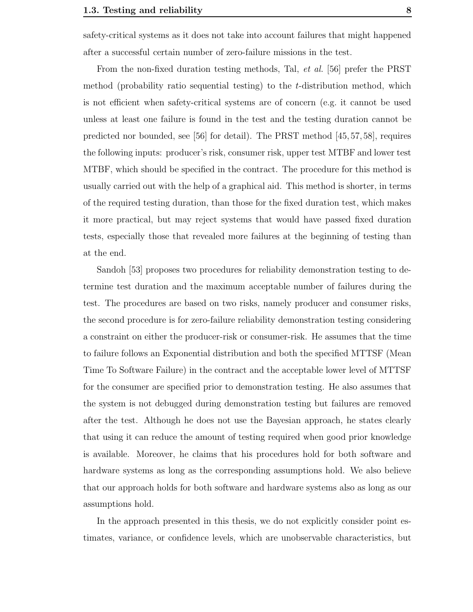safety-critical systems as it does not take into account failures that might happened after a successful certain number of zero-failure missions in the test.

From the non-fixed duration testing methods, Tal, et al. [56] prefer the PRST method (probability ratio sequential testing) to the  $t$ -distribution method, which is not efficient when safety-critical systems are of concern (e.g. it cannot be used unless at least one failure is found in the test and the testing duration cannot be predicted nor bounded, see [56] for detail). The PRST method [45, 57, 58], requires the following inputs: producer's risk, consumer risk, upper test MTBF and lower test MTBF, which should be specified in the contract. The procedure for this method is usually carried out with the help of a graphical aid. This method is shorter, in terms of the required testing duration, than those for the fixed duration test, which makes it more practical, but may reject systems that would have passed fixed duration tests, especially those that revealed more failures at the beginning of testing than at the end.

Sandoh [53] proposes two procedures for reliability demonstration testing to determine test duration and the maximum acceptable number of failures during the test. The procedures are based on two risks, namely producer and consumer risks, the second procedure is for zero-failure reliability demonstration testing considering a constraint on either the producer-risk or consumer-risk. He assumes that the time to failure follows an Exponential distribution and both the specified MTTSF (Mean Time To Software Failure) in the contract and the acceptable lower level of MTTSF for the consumer are specified prior to demonstration testing. He also assumes that the system is not debugged during demonstration testing but failures are removed after the test. Although he does not use the Bayesian approach, he states clearly that using it can reduce the amount of testing required when good prior knowledge is available. Moreover, he claims that his procedures hold for both software and hardware systems as long as the corresponding assumptions hold. We also believe that our approach holds for both software and hardware systems also as long as our assumptions hold.

In the approach presented in this thesis, we do not explicitly consider point estimates, variance, or confidence levels, which are unobservable characteristics, but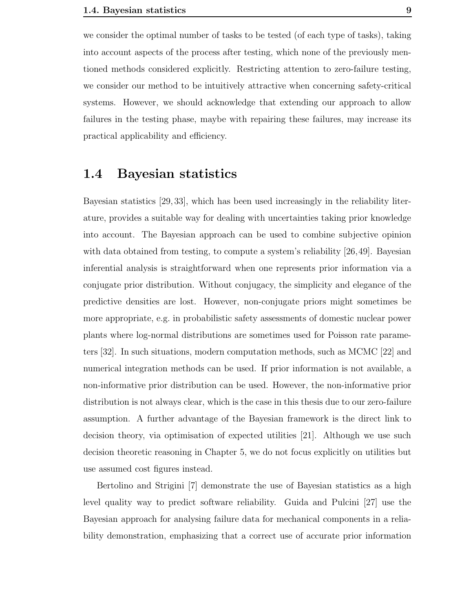we consider the optimal number of tasks to be tested (of each type of tasks), taking into account aspects of the process after testing, which none of the previously mentioned methods considered explicitly. Restricting attention to zero-failure testing, we consider our method to be intuitively attractive when concerning safety-critical systems. However, we should acknowledge that extending our approach to allow failures in the testing phase, maybe with repairing these failures, may increase its practical applicability and efficiency.

#### 1.4 Bayesian statistics

Bayesian statistics [29, 33], which has been used increasingly in the reliability literature, provides a suitable way for dealing with uncertainties taking prior knowledge into account. The Bayesian approach can be used to combine subjective opinion with data obtained from testing, to compute a system's reliability [26,49]. Bayesian inferential analysis is straightforward when one represents prior information via a conjugate prior distribution. Without conjugacy, the simplicity and elegance of the predictive densities are lost. However, non-conjugate priors might sometimes be more appropriate, e.g. in probabilistic safety assessments of domestic nuclear power plants where log-normal distributions are sometimes used for Poisson rate parameters [32]. In such situations, modern computation methods, such as MCMC [22] and numerical integration methods can be used. If prior information is not available, a non-informative prior distribution can be used. However, the non-informative prior distribution is not always clear, which is the case in this thesis due to our zero-failure assumption. A further advantage of the Bayesian framework is the direct link to decision theory, via optimisation of expected utilities [21]. Although we use such decision theoretic reasoning in Chapter 5, we do not focus explicitly on utilities but use assumed cost figures instead.

Bertolino and Strigini [7] demonstrate the use of Bayesian statistics as a high level quality way to predict software reliability. Guida and Pulcini [27] use the Bayesian approach for analysing failure data for mechanical components in a reliability demonstration, emphasizing that a correct use of accurate prior information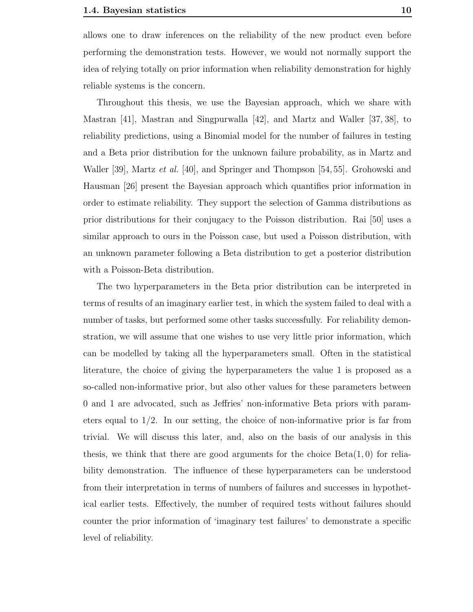allows one to draw inferences on the reliability of the new product even before performing the demonstration tests. However, we would not normally support the idea of relying totally on prior information when reliability demonstration for highly reliable systems is the concern.

Throughout this thesis, we use the Bayesian approach, which we share with Mastran [41], Mastran and Singpurwalla [42], and Martz and Waller [37, 38], to reliability predictions, using a Binomial model for the number of failures in testing and a Beta prior distribution for the unknown failure probability, as in Martz and Waller [39], Martz *et al.* [40], and Springer and Thompson [54, 55]. Grohowski and Hausman [26] present the Bayesian approach which quantifies prior information in order to estimate reliability. They support the selection of Gamma distributions as prior distributions for their conjugacy to the Poisson distribution. Rai [50] uses a similar approach to ours in the Poisson case, but used a Poisson distribution, with an unknown parameter following a Beta distribution to get a posterior distribution with a Poisson-Beta distribution.

The two hyperparameters in the Beta prior distribution can be interpreted in terms of results of an imaginary earlier test, in which the system failed to deal with a number of tasks, but performed some other tasks successfully. For reliability demonstration, we will assume that one wishes to use very little prior information, which can be modelled by taking all the hyperparameters small. Often in the statistical literature, the choice of giving the hyperparameters the value 1 is proposed as a so-called non-informative prior, but also other values for these parameters between 0 and 1 are advocated, such as Jeffries' non-informative Beta priors with parameters equal to 1/2. In our setting, the choice of non-informative prior is far from trivial. We will discuss this later, and, also on the basis of our analysis in this thesis, we think that there are good arguments for the choice  $Beta(1, 0)$  for reliability demonstration. The influence of these hyperparameters can be understood from their interpretation in terms of numbers of failures and successes in hypothetical earlier tests. Effectively, the number of required tests without failures should counter the prior information of 'imaginary test failures' to demonstrate a specific level of reliability.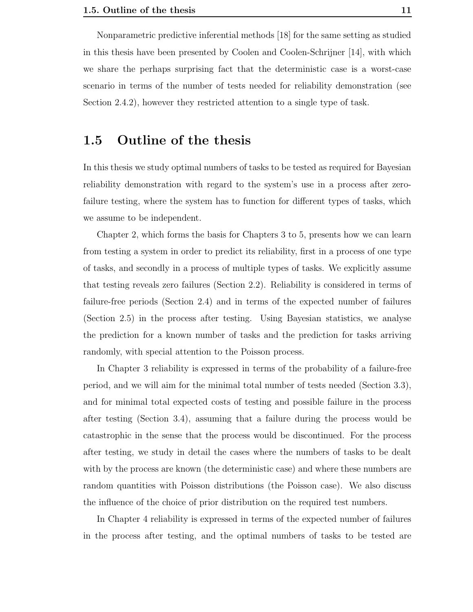Nonparametric predictive inferential methods [18] for the same setting as studied in this thesis have been presented by Coolen and Coolen-Schrijner [14], with which we share the perhaps surprising fact that the deterministic case is a worst-case scenario in terms of the number of tests needed for reliability demonstration (see Section 2.4.2), however they restricted attention to a single type of task.

#### 1.5 Outline of the thesis

In this thesis we study optimal numbers of tasks to be tested as required for Bayesian reliability demonstration with regard to the system's use in a process after zerofailure testing, where the system has to function for different types of tasks, which we assume to be independent.

Chapter 2, which forms the basis for Chapters 3 to 5, presents how we can learn from testing a system in order to predict its reliability, first in a process of one type of tasks, and secondly in a process of multiple types of tasks. We explicitly assume that testing reveals zero failures (Section 2.2). Reliability is considered in terms of failure-free periods (Section 2.4) and in terms of the expected number of failures (Section 2.5) in the process after testing. Using Bayesian statistics, we analyse the prediction for a known number of tasks and the prediction for tasks arriving randomly, with special attention to the Poisson process.

In Chapter 3 reliability is expressed in terms of the probability of a failure-free period, and we will aim for the minimal total number of tests needed (Section 3.3), and for minimal total expected costs of testing and possible failure in the process after testing (Section 3.4), assuming that a failure during the process would be catastrophic in the sense that the process would be discontinued. For the process after testing, we study in detail the cases where the numbers of tasks to be dealt with by the process are known (the deterministic case) and where these numbers are random quantities with Poisson distributions (the Poisson case). We also discuss the influence of the choice of prior distribution on the required test numbers.

In Chapter 4 reliability is expressed in terms of the expected number of failures in the process after testing, and the optimal numbers of tasks to be tested are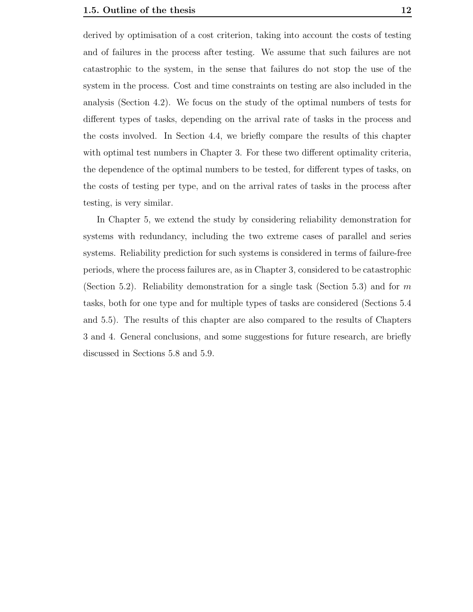derived by optimisation of a cost criterion, taking into account the costs of testing and of failures in the process after testing. We assume that such failures are not catastrophic to the system, in the sense that failures do not stop the use of the system in the process. Cost and time constraints on testing are also included in the analysis (Section 4.2). We focus on the study of the optimal numbers of tests for different types of tasks, depending on the arrival rate of tasks in the process and the costs involved. In Section 4.4, we briefly compare the results of this chapter with optimal test numbers in Chapter 3. For these two different optimality criteria, the dependence of the optimal numbers to be tested, for different types of tasks, on the costs of testing per type, and on the arrival rates of tasks in the process after testing, is very similar.

In Chapter 5, we extend the study by considering reliability demonstration for systems with redundancy, including the two extreme cases of parallel and series systems. Reliability prediction for such systems is considered in terms of failure-free periods, where the process failures are, as in Chapter 3, considered to be catastrophic (Section 5.2). Reliability demonstration for a single task (Section 5.3) and for m tasks, both for one type and for multiple types of tasks are considered (Sections 5.4 and 5.5). The results of this chapter are also compared to the results of Chapters 3 and 4. General conclusions, and some suggestions for future research, are briefly discussed in Sections 5.8 and 5.9.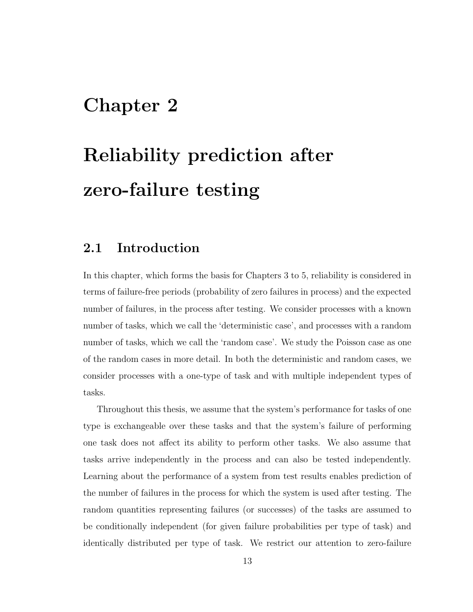## Chapter 2

# Reliability prediction after zero-failure testing

### 2.1 Introduction

In this chapter, which forms the basis for Chapters 3 to 5, reliability is considered in terms of failure-free periods (probability of zero failures in process) and the expected number of failures, in the process after testing. We consider processes with a known number of tasks, which we call the 'deterministic case', and processes with a random number of tasks, which we call the 'random case'. We study the Poisson case as one of the random cases in more detail. In both the deterministic and random cases, we consider processes with a one-type of task and with multiple independent types of tasks.

Throughout this thesis, we assume that the system's performance for tasks of one type is exchangeable over these tasks and that the system's failure of performing one task does not affect its ability to perform other tasks. We also assume that tasks arrive independently in the process and can also be tested independently. Learning about the performance of a system from test results enables prediction of the number of failures in the process for which the system is used after testing. The random quantities representing failures (or successes) of the tasks are assumed to be conditionally independent (for given failure probabilities per type of task) and identically distributed per type of task. We restrict our attention to zero-failure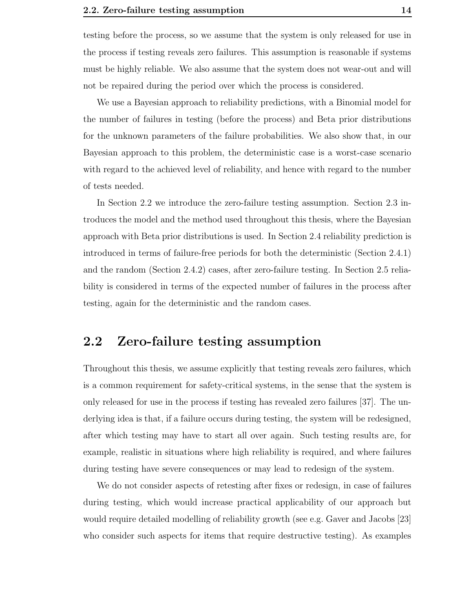testing before the process, so we assume that the system is only released for use in the process if testing reveals zero failures. This assumption is reasonable if systems must be highly reliable. We also assume that the system does not wear-out and will not be repaired during the period over which the process is considered.

We use a Bayesian approach to reliability predictions, with a Binomial model for the number of failures in testing (before the process) and Beta prior distributions for the unknown parameters of the failure probabilities. We also show that, in our Bayesian approach to this problem, the deterministic case is a worst-case scenario with regard to the achieved level of reliability, and hence with regard to the number of tests needed.

In Section 2.2 we introduce the zero-failure testing assumption. Section 2.3 introduces the model and the method used throughout this thesis, where the Bayesian approach with Beta prior distributions is used. In Section 2.4 reliability prediction is introduced in terms of failure-free periods for both the deterministic (Section 2.4.1) and the random (Section 2.4.2) cases, after zero-failure testing. In Section 2.5 reliability is considered in terms of the expected number of failures in the process after testing, again for the deterministic and the random cases.

## 2.2 Zero-failure testing assumption

Throughout this thesis, we assume explicitly that testing reveals zero failures, which is a common requirement for safety-critical systems, in the sense that the system is only released for use in the process if testing has revealed zero failures [37]. The underlying idea is that, if a failure occurs during testing, the system will be redesigned, after which testing may have to start all over again. Such testing results are, for example, realistic in situations where high reliability is required, and where failures during testing have severe consequences or may lead to redesign of the system.

We do not consider aspects of retesting after fixes or redesign, in case of failures during testing, which would increase practical applicability of our approach but would require detailed modelling of reliability growth (see e.g. Gaver and Jacobs [23] who consider such aspects for items that require destructive testing). As examples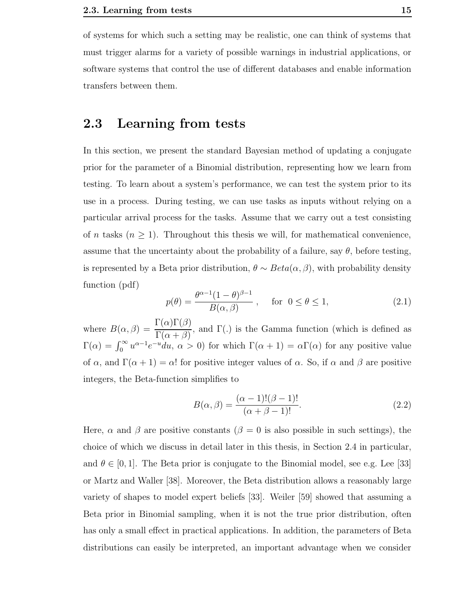of systems for which such a setting may be realistic, one can think of systems that must trigger alarms for a variety of possible warnings in industrial applications, or software systems that control the use of different databases and enable information transfers between them.

### 2.3 Learning from tests

In this section, we present the standard Bayesian method of updating a conjugate prior for the parameter of a Binomial distribution, representing how we learn from testing. To learn about a system's performance, we can test the system prior to its use in a process. During testing, we can use tasks as inputs without relying on a particular arrival process for the tasks. Assume that we carry out a test consisting of *n* tasks  $(n \geq 1)$ . Throughout this thesis we will, for mathematical convenience, assume that the uncertainty about the probability of a failure, say  $\theta$ , before testing, is represented by a Beta prior distribution,  $\theta \sim Beta(\alpha, \beta)$ , with probability density function (pdf)

$$
p(\theta) = \frac{\theta^{\alpha - 1} (1 - \theta)^{\beta - 1}}{B(\alpha, \beta)}, \quad \text{for } 0 \le \theta \le 1,
$$
 (2.1)

where  $B(\alpha, \beta) =$  $\Gamma(\alpha)\Gamma(\beta)$  $\Gamma(\alpha + \beta)$ , and Γ(.) is the Gamma function (which is defined as  $\Gamma(\alpha) = \int_0^\infty u^{\alpha-1} e^{-u} du, \alpha > 0$  for which  $\Gamma(\alpha+1) = \alpha \Gamma(\alpha)$  for any positive value of  $\alpha$ , and  $\Gamma(\alpha + 1) = \alpha!$  for positive integer values of  $\alpha$ . So, if  $\alpha$  and  $\beta$  are positive integers, the Beta-function simplifies to

$$
B(\alpha, \beta) = \frac{(\alpha - 1)!(\beta - 1)!}{(\alpha + \beta - 1)!}.
$$
\n(2.2)

Here,  $\alpha$  and  $\beta$  are positive constants ( $\beta = 0$  is also possible in such settings), the choice of which we discuss in detail later in this thesis, in Section 2.4 in particular, and  $\theta \in [0, 1]$ . The Beta prior is conjugate to the Binomial model, see e.g. Lee [33] or Martz and Waller [38]. Moreover, the Beta distribution allows a reasonably large variety of shapes to model expert beliefs [33]. Weiler [59] showed that assuming a Beta prior in Binomial sampling, when it is not the true prior distribution, often has only a small effect in practical applications. In addition, the parameters of Beta distributions can easily be interpreted, an important advantage when we consider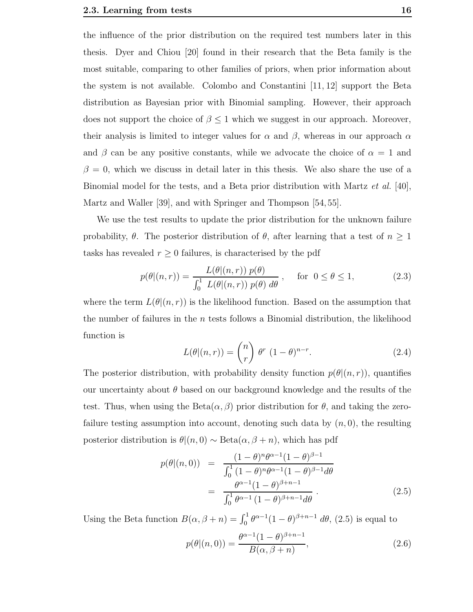the influence of the prior distribution on the required test numbers later in this thesis. Dyer and Chiou [20] found in their research that the Beta family is the most suitable, comparing to other families of priors, when prior information about the system is not available. Colombo and Constantini [11, 12] support the Beta distribution as Bayesian prior with Binomial sampling. However, their approach does not support the choice of  $\beta \leq 1$  which we suggest in our approach. Moreover, their analysis is limited to integer values for  $\alpha$  and  $\beta$ , whereas in our approach  $\alpha$ and  $\beta$  can be any positive constants, while we advocate the choice of  $\alpha = 1$  and  $\beta = 0$ , which we discuss in detail later in this thesis. We also share the use of a Binomial model for the tests, and a Beta prior distribution with Martz et al. [40], Martz and Waller [39], and with Springer and Thompson [54, 55].

We use the test results to update the prior distribution for the unknown failure probability,  $\theta$ . The posterior distribution of  $\theta$ , after learning that a test of  $n \geq 1$ tasks has revealed  $r \geq 0$  failures, is characterised by the pdf

$$
p(\theta|(n,r)) = \frac{L(\theta|(n,r)) p(\theta)}{\int_0^1 L(\theta|(n,r)) p(\theta) d\theta}, \quad \text{for } 0 \le \theta \le 1,
$$
 (2.3)

where the term  $L(\theta|(n,r))$  is the likelihood function. Based on the assumption that the number of failures in the  $n$  tests follows a Binomial distribution, the likelihood function is

$$
L(\theta|(n,r)) = \binom{n}{r} \theta^r (1-\theta)^{n-r}.
$$
 (2.4)

The posterior distribution, with probability density function  $p(\theta|(n,r))$ , quantifies our uncertainty about  $\theta$  based on our background knowledge and the results of the test. Thus, when using the  $Beta(\alpha, \beta)$  prior distribution for  $\theta$ , and taking the zerofailure testing assumption into account, denoting such data by  $(n, 0)$ , the resulting posterior distribution is  $\theta | (n, 0) \sim \text{Beta}(\alpha, \beta + n)$ , which has pdf

$$
p(\theta|(n,0)) = \frac{(1-\theta)^n \theta^{\alpha-1} (1-\theta)^{\beta-1}}{\int_0^1 (1-\theta)^n \theta^{\alpha-1} (1-\theta)^{\beta-1} d\theta}
$$
  
= 
$$
\frac{\theta^{\alpha-1} (1-\theta)^{\beta+n-1}}{\int_0^1 \theta^{\alpha-1} (1-\theta)^{\beta+n-1} d\theta}.
$$
 (2.5)

Using the Beta function  $B(\alpha, \beta + n) = \int_0^1 \theta^{\alpha-1}(1-\theta)^{\beta+n-1} d\theta$ , (2.5) is equal to

$$
p(\theta|(n,0)) = \frac{\theta^{\alpha-1}(1-\theta)^{\beta+n-1}}{B(\alpha,\beta+n)},
$$
\n(2.6)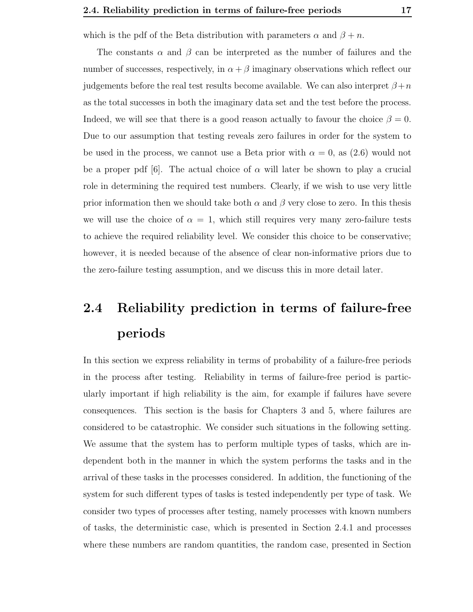which is the pdf of the Beta distribution with parameters  $\alpha$  and  $\beta + n$ .

The constants  $\alpha$  and  $\beta$  can be interpreted as the number of failures and the number of successes, respectively, in  $\alpha + \beta$  imaginary observations which reflect our judgements before the real test results become available. We can also interpret  $\beta+n$ as the total successes in both the imaginary data set and the test before the process. Indeed, we will see that there is a good reason actually to favour the choice  $\beta = 0$ . Due to our assumption that testing reveals zero failures in order for the system to be used in the process, we cannot use a Beta prior with  $\alpha = 0$ , as  $(2.6)$  would not be a proper pdf [6]. The actual choice of  $\alpha$  will later be shown to play a crucial role in determining the required test numbers. Clearly, if we wish to use very little prior information then we should take both  $\alpha$  and  $\beta$  very close to zero. In this thesis we will use the choice of  $\alpha = 1$ , which still requires very many zero-failure tests to achieve the required reliability level. We consider this choice to be conservative; however, it is needed because of the absence of clear non-informative priors due to the zero-failure testing assumption, and we discuss this in more detail later.

# 2.4 Reliability prediction in terms of failure-free periods

In this section we express reliability in terms of probability of a failure-free periods in the process after testing. Reliability in terms of failure-free period is particularly important if high reliability is the aim, for example if failures have severe consequences. This section is the basis for Chapters 3 and 5, where failures are considered to be catastrophic. We consider such situations in the following setting. We assume that the system has to perform multiple types of tasks, which are independent both in the manner in which the system performs the tasks and in the arrival of these tasks in the processes considered. In addition, the functioning of the system for such different types of tasks is tested independently per type of task. We consider two types of processes after testing, namely processes with known numbers of tasks, the deterministic case, which is presented in Section 2.4.1 and processes where these numbers are random quantities, the random case, presented in Section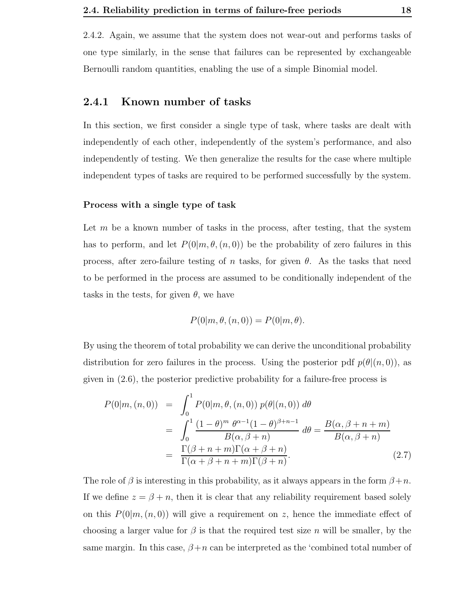2.4.2. Again, we assume that the system does not wear-out and performs tasks of one type similarly, in the sense that failures can be represented by exchangeable Bernoulli random quantities, enabling the use of a simple Binomial model.

#### 2.4.1 Known number of tasks

In this section, we first consider a single type of task, where tasks are dealt with independently of each other, independently of the system's performance, and also independently of testing. We then generalize the results for the case where multiple independent types of tasks are required to be performed successfully by the system.

#### Process with a single type of task

Let  $m$  be a known number of tasks in the process, after testing, that the system has to perform, and let  $P(0|m, \theta, (n, 0))$  be the probability of zero failures in this process, after zero-failure testing of n tasks, for given  $\theta$ . As the tasks that need to be performed in the process are assumed to be conditionally independent of the tasks in the tests, for given  $\theta$ , we have

$$
P(0|m, \theta, (n, 0)) = P(0|m, \theta).
$$

By using the theorem of total probability we can derive the unconditional probability distribution for zero failures in the process. Using the posterior pdf  $p(\theta|(n,0))$ , as given in (2.6), the posterior predictive probability for a failure-free process is

$$
P(0|m, (n,0)) = \int_0^1 P(0|m, \theta, (n,0)) p(\theta|(n,0)) d\theta
$$
  
= 
$$
\int_0^1 \frac{(1-\theta)^m \theta^{\alpha-1}(1-\theta)^{\beta+n-1}}{B(\alpha, \beta+n)} d\theta = \frac{B(\alpha, \beta+n+m)}{B(\alpha, \beta+n)}
$$
  
= 
$$
\frac{\Gamma(\beta+n+m)\Gamma(\alpha+\beta+n)}{\Gamma(\alpha+\beta+n+m)\Gamma(\beta+n)}.
$$
 (2.7)

The role of  $\beta$  is interesting in this probability, as it always appears in the form  $\beta+n$ . If we define  $z = \beta + n$ , then it is clear that any reliability requirement based solely on this  $P(0|m,(n,0))$  will give a requirement on z, hence the immediate effect of choosing a larger value for  $\beta$  is that the required test size n will be smaller, by the same margin. In this case,  $\beta+n$  can be interpreted as the 'combined total number of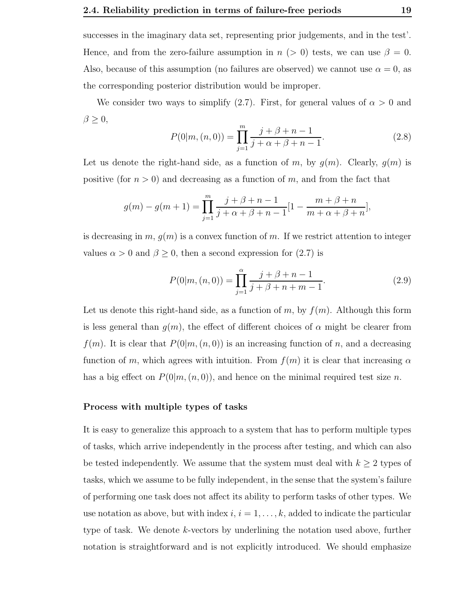successes in the imaginary data set, representing prior judgements, and in the test'. Hence, and from the zero-failure assumption in  $n (> 0)$  tests, we can use  $\beta = 0$ . Also, because of this assumption (no failures are observed) we cannot use  $\alpha = 0$ , as the corresponding posterior distribution would be improper.

We consider two ways to simplify (2.7). First, for general values of  $\alpha > 0$  and  $\beta \geq 0,$ 

$$
P(0|m,(n,0)) = \prod_{j=1}^{m} \frac{j+\beta+n-1}{j+\alpha+\beta+n-1}.
$$
 (2.8)

Let us denote the right-hand side, as a function of m, by  $g(m)$ . Clearly,  $g(m)$  is positive (for  $n > 0$ ) and decreasing as a function of m, and from the fact that

$$
g(m) - g(m+1) = \prod_{j=1}^{m} \frac{j+\beta+n-1}{j+\alpha+\beta+n-1} [1 - \frac{m+\beta+n}{m+\alpha+\beta+n}],
$$

is decreasing in  $m, g(m)$  is a convex function of m. If we restrict attention to integer values  $\alpha > 0$  and  $\beta \geq 0$ , then a second expression for  $(2.7)$  is

$$
P(0|m,(n,0)) = \prod_{j=1}^{\alpha} \frac{j+\beta+n-1}{j+\beta+n+m-1}.
$$
 (2.9)

Let us denote this right-hand side, as a function of m, by  $f(m)$ . Although this form is less general than  $g(m)$ , the effect of different choices of  $\alpha$  might be clearer from  $f(m)$ . It is clear that  $P(0|m,(n, 0))$  is an increasing function of n, and a decreasing function of m, which agrees with intuition. From  $f(m)$  it is clear that increasing  $\alpha$ has a big effect on  $P(0|m,(n,0))$ , and hence on the minimal required test size n.

#### Process with multiple types of tasks

It is easy to generalize this approach to a system that has to perform multiple types of tasks, which arrive independently in the process after testing, and which can also be tested independently. We assume that the system must deal with  $k \geq 2$  types of tasks, which we assume to be fully independent, in the sense that the system's failure of performing one task does not affect its ability to perform tasks of other types. We use notation as above, but with index  $i, i = 1, \ldots, k$ , added to indicate the particular type of task. We denote k-vectors by underlining the notation used above, further notation is straightforward and is not explicitly introduced. We should emphasize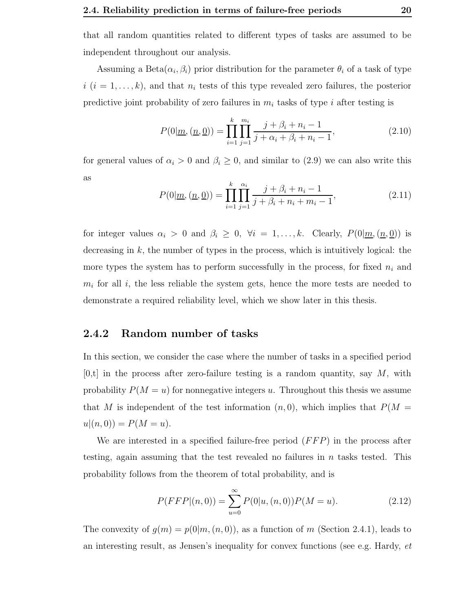that all random quantities related to different types of tasks are assumed to be independent throughout our analysis.

Assuming a Beta $(\alpha_i, \beta_i)$  prior distribution for the parameter  $\theta_i$  of a task of type  $i$   $(i = 1, \ldots, k)$ , and that  $n_i$  tests of this type revealed zero failures, the posterior predictive joint probability of zero failures in  $m_i$  tasks of type i after testing is

$$
P(0|\underline{m}, (\underline{n}, \underline{0})) = \prod_{i=1}^{k} \prod_{j=1}^{m_i} \frac{j + \beta_i + n_i - 1}{j + \alpha_i + \beta_i + n_i - 1},
$$
\n(2.10)

for general values of  $\alpha_i > 0$  and  $\beta_i \geq 0$ , and similar to (2.9) we can also write this as

$$
P(0|\underline{m}, (\underline{n}, \underline{0})) = \prod_{i=1}^{k} \prod_{j=1}^{\alpha_i} \frac{j + \beta_i + n_i - 1}{j + \beta_i + n_i + m_i - 1},
$$
\n(2.11)

for integer values  $\alpha_i > 0$  and  $\beta_i \geq 0$ ,  $\forall i = 1, ..., k$ . Clearly,  $P(0|\underline{m}, (\underline{n}, \underline{0}))$  is decreasing in k, the number of types in the process, which is intuitively logical: the more types the system has to perform successfully in the process, for fixed  $n_i$  and  $m_i$  for all i, the less reliable the system gets, hence the more tests are needed to demonstrate a required reliability level, which we show later in this thesis.

#### 2.4.2 Random number of tasks

In this section, we consider the case where the number of tasks in a specified period  $[0,t]$  in the process after zero-failure testing is a random quantity, say M, with probability  $P(M = u)$  for nonnegative integers u. Throughout this thesis we assume that M is independent of the test information  $(n, 0)$ , which implies that  $P(M =$  $u|(n, 0)) = P(M = u).$ 

We are interested in a specified failure-free period  $(FFP)$  in the process after testing, again assuming that the test revealed no failures in  $n$  tasks tested. This probability follows from the theorem of total probability, and is

$$
P(FFP|(n,0)) = \sum_{u=0}^{\infty} P(0|u,(n,0))P(M=u).
$$
 (2.12)

The convexity of  $g(m) = p(0|m, (n, 0))$ , as a function of m (Section 2.4.1), leads to an interesting result, as Jensen's inequality for convex functions (see e.g. Hardy, et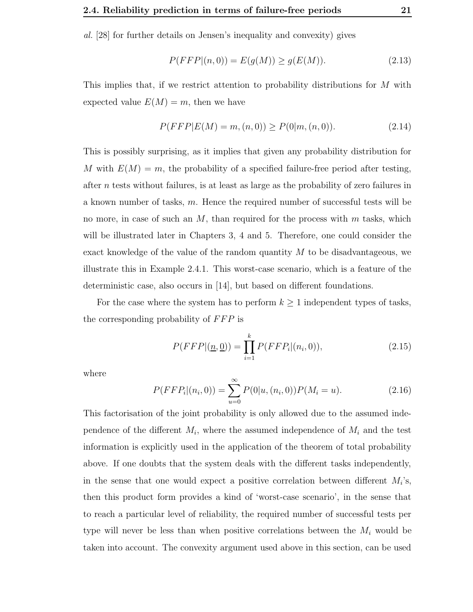al. [28] for further details on Jensen's inequality and convexity) gives

$$
P(FFP|(n,0)) = E(g(M)) \ge g(E(M)).
$$
\n(2.13)

This implies that, if we restrict attention to probability distributions for M with expected value  $E(M) = m$ , then we have

$$
P(FFP|E(M) = m, (n,0)) \ge P(0|m, (n,0)).
$$
\n(2.14)

This is possibly surprising, as it implies that given any probability distribution for M with  $E(M) = m$ , the probability of a specified failure-free period after testing, after n tests without failures, is at least as large as the probability of zero failures in a known number of tasks, m. Hence the required number of successful tests will be no more, in case of such an  $M$ , than required for the process with  $m$  tasks, which will be illustrated later in Chapters 3, 4 and 5. Therefore, one could consider the exact knowledge of the value of the random quantity  $M$  to be disadvantageous, we illustrate this in Example 2.4.1. This worst-case scenario, which is a feature of the deterministic case, also occurs in [14], but based on different foundations.

For the case where the system has to perform  $k \geq 1$  independent types of tasks, the corresponding probability of FFP is

$$
P(FFP | (\underline{n}, \underline{0})) = \prod_{i=1}^{k} P(FFP_i | (n_i, 0)), \qquad (2.15)
$$

where

$$
P(FFP_i|(n_i,0)) = \sum_{u=0}^{\infty} P(0|u,(n_i,0))P(M_i = u).
$$
\n(2.16)

This factorisation of the joint probability is only allowed due to the assumed independence of the different  $M_i$ , where the assumed independence of  $M_i$  and the test information is explicitly used in the application of the theorem of total probability above. If one doubts that the system deals with the different tasks independently, in the sense that one would expect a positive correlation between different  $M_i$ 's, then this product form provides a kind of 'worst-case scenario', in the sense that to reach a particular level of reliability, the required number of successful tests per type will never be less than when positive correlations between the  $M_i$  would be taken into account. The convexity argument used above in this section, can be used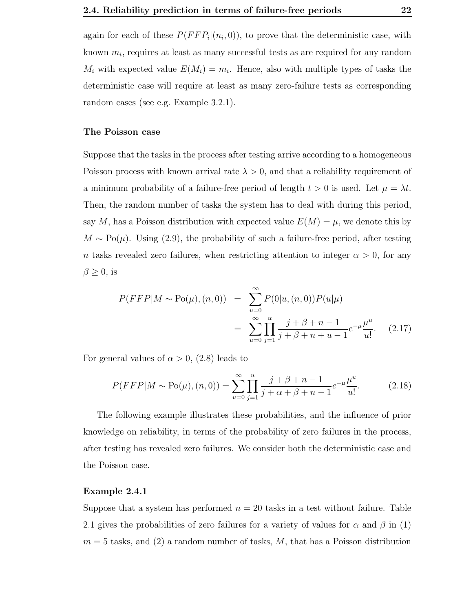again for each of these  $P(FFP_i|(n_i,0))$ , to prove that the deterministic case, with known  $m_i$ , requires at least as many successful tests as are required for any random  $M_i$  with expected value  $E(M_i) = m_i$ . Hence, also with multiple types of tasks the deterministic case will require at least as many zero-failure tests as corresponding random cases (see e.g. Example 3.2.1).

#### The Poisson case

Suppose that the tasks in the process after testing arrive according to a homogeneous Poisson process with known arrival rate  $\lambda > 0$ , and that a reliability requirement of a minimum probability of a failure-free period of length  $t > 0$  is used. Let  $\mu = \lambda t$ . Then, the random number of tasks the system has to deal with during this period, say M, has a Poisson distribution with expected value  $E(M) = \mu$ , we denote this by  $M \sim Po(\mu)$ . Using (2.9), the probability of such a failure-free period, after testing n tasks revealed zero failures, when restricting attention to integer  $\alpha > 0$ , for any  $\beta \geq 0$ , is

$$
P(FFP|M \sim Po(\mu), (n, 0)) = \sum_{u=0}^{\infty} P(0|u, (n, 0))P(u|\mu)
$$
  
= 
$$
\sum_{u=0}^{\infty} \prod_{j=1}^{\alpha} \frac{j+\beta+n-1}{j+\beta+n+u-1} e^{-\mu} \frac{\mu^u}{u!}.
$$
 (2.17)

For general values of  $\alpha > 0$ , (2.8) leads to

$$
P(FFP|M \sim Po(\mu), (n, 0)) = \sum_{u=0}^{\infty} \prod_{j=1}^{u} \frac{j+\beta+n-1}{j+\alpha+\beta+n-1} e^{-\mu} \frac{\mu^u}{u!}.
$$
 (2.18)

The following example illustrates these probabilities, and the influence of prior knowledge on reliability, in terms of the probability of zero failures in the process, after testing has revealed zero failures. We consider both the deterministic case and the Poisson case.

#### Example 2.4.1

Suppose that a system has performed  $n = 20$  tasks in a test without failure. Table 2.1 gives the probabilities of zero failures for a variety of values for  $\alpha$  and  $\beta$  in (1)  $m = 5$  tasks, and (2) a random number of tasks,  $M$ , that has a Poisson distribution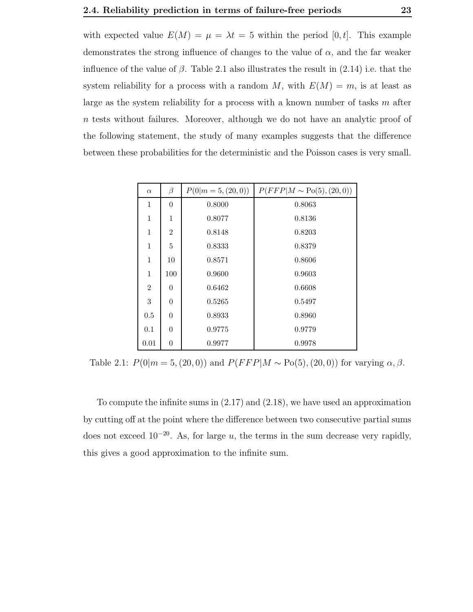with expected value  $E(M) = \mu = \lambda t = 5$  within the period [0, t]. This example demonstrates the strong influence of changes to the value of  $\alpha$ , and the far weaker influence of the value of  $\beta$ . Table 2.1 also illustrates the result in (2.14) i.e. that the system reliability for a process with a random M, with  $E(M) = m$ , is at least as large as the system reliability for a process with a known number of tasks  $m$  after n tests without failures. Moreover, although we do not have an analytic proof of the following statement, the study of many examples suggests that the difference between these probabilities for the deterministic and the Poisson cases is very small.

| $\alpha$       | $\beta$        | $P(0 m=5,(20,0))$ | $P(FFP M \sim Po(5), (20, 0))$ |
|----------------|----------------|-------------------|--------------------------------|
| $\mathbf{1}$   | $\theta$       | 0.8000            | 0.8063                         |
| 1              | 1              | 0.8077            | 0.8136                         |
| 1              | $\overline{2}$ | 0.8148            | 0.8203                         |
| 1              | 5              | 0.8333            | 0.8379                         |
| 1              | 10             | 0.8571            | 0.8606                         |
| 1              | 100            | 0.9600            | 0.9603                         |
| $\overline{2}$ | $\theta$       | 0.6462            | 0.6608                         |
| 3              | $\overline{0}$ | 0.5265            | 0.5497                         |
| 0.5            | $\overline{0}$ | 0.8933            | 0.8960                         |
| 0.1            | $\overline{0}$ | 0.9775            | 0.9779                         |
| 0.01           | $\theta$       | 0.9977            | 0.9978                         |

Table 2.1:  $P(0|m = 5,(20, 0))$  and  $P(FFP|M \sim Po(5), (20, 0))$  for varying  $\alpha, \beta$ .

To compute the infinite sums in (2.17) and (2.18), we have used an approximation by cutting off at the point where the difference between two consecutive partial sums does not exceed  $10^{-20}$ . As, for large u, the terms in the sum decrease very rapidly, this gives a good approximation to the infinite sum.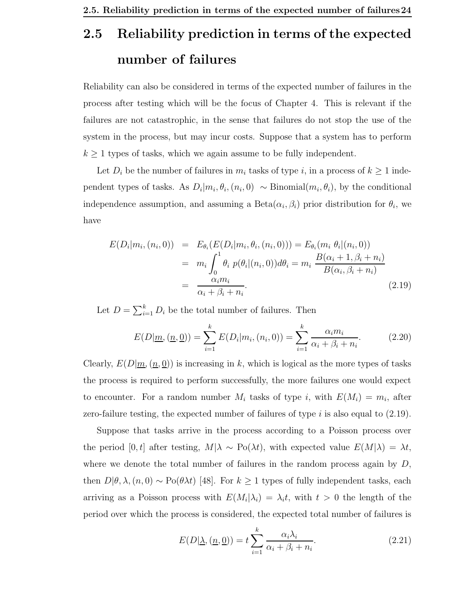# 2.5 Reliability prediction in terms of the expected number of failures

Reliability can also be considered in terms of the expected number of failures in the process after testing which will be the focus of Chapter 4. This is relevant if the failures are not catastrophic, in the sense that failures do not stop the use of the system in the process, but may incur costs. Suppose that a system has to perform  $k \geq 1$  types of tasks, which we again assume to be fully independent.

Let  $D_i$  be the number of failures in  $m_i$  tasks of type i, in a process of  $k \ge 1$  independent types of tasks. As  $D_i|m_i, \theta_i, (n_i, 0) \sim \text{Binomial}(m_i, \theta_i)$ , by the conditional independence assumption, and assuming a  $Beta(\alpha_i, \beta_i)$  prior distribution for  $\theta_i$ , we have

$$
E(D_i|m_i, (n_i, 0)) = E_{\theta_i}(E(D_i|m_i, \theta_i, (n_i, 0))) = E_{\theta_i}(m_i \theta_i|(n_i, 0))
$$
  
= 
$$
m_i \int_0^1 \theta_i p(\theta_i|(n_i, 0)) d\theta_i = m_i \frac{B(\alpha_i + 1, \beta_i + n_i)}{B(\alpha_i, \beta_i + n_i)}
$$
  
= 
$$
\frac{\alpha_i m_i}{\alpha_i + \beta_i + n_i}.
$$
 (2.19)

Let  $D = \sum_{i=1}^{k} D_i$  be the total number of failures. Then

$$
E(D|\underline{m}, (\underline{n}, \underline{0})) = \sum_{i=1}^{k} E(D_i|m_i, (n_i, 0)) = \sum_{i=1}^{k} \frac{\alpha_i m_i}{\alpha_i + \beta_i + n_i}.
$$
 (2.20)

Clearly,  $E(D|m,(n,0))$  is increasing in k, which is logical as the more types of tasks the process is required to perform successfully, the more failures one would expect to encounter. For a random number  $M_i$  tasks of type i, with  $E(M_i) = m_i$ , after zero-failure testing, the expected number of failures of type  $i$  is also equal to  $(2.19)$ .

Suppose that tasks arrive in the process according to a Poisson process over the period [0,t] after testing,  $M|\lambda \sim Po(\lambda t)$ , with expected value  $E(M|\lambda) = \lambda t$ , where we denote the total number of failures in the random process again by  $D$ , then  $D|\theta, \lambda, (n, 0) \sim Po(\theta \lambda t)$  [48]. For  $k \ge 1$  types of fully independent tasks, each arriving as a Poisson process with  $E(M_i|\lambda_i) = \lambda_i t$ , with  $t > 0$  the length of the period over which the process is considered, the expected total number of failures is

$$
E(D|\underline{\lambda}, (\underline{n}, \underline{0})) = t \sum_{i=1}^{k} \frac{\alpha_i \lambda_i}{\alpha_i + \beta_i + n_i}.
$$
\n(2.21)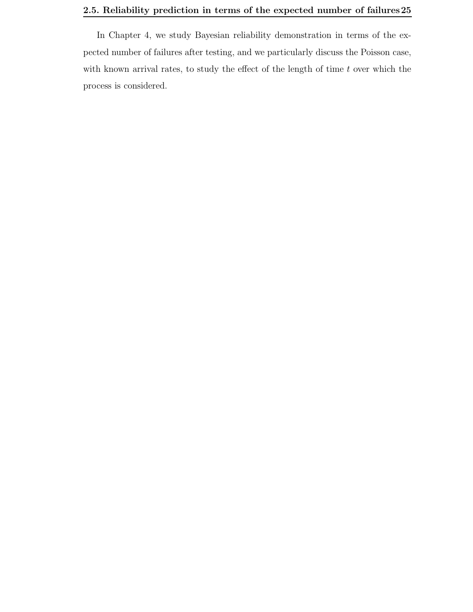#### 2.5. Reliability prediction in terms of the expected number of failures25

In Chapter 4, we study Bayesian reliability demonstration in terms of the expected number of failures after testing, and we particularly discuss the Poisson case, with known arrival rates, to study the effect of the length of time  $t$  over which the process is considered.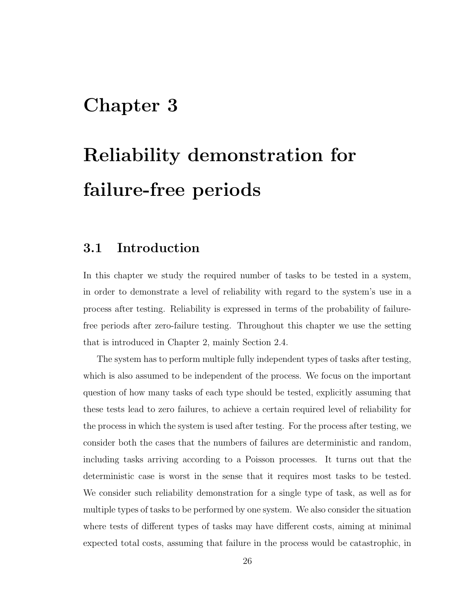# Chapter 3

# Reliability demonstration for failure-free periods

## 3.1 Introduction

In this chapter we study the required number of tasks to be tested in a system, in order to demonstrate a level of reliability with regard to the system's use in a process after testing. Reliability is expressed in terms of the probability of failurefree periods after zero-failure testing. Throughout this chapter we use the setting that is introduced in Chapter 2, mainly Section 2.4.

The system has to perform multiple fully independent types of tasks after testing, which is also assumed to be independent of the process. We focus on the important question of how many tasks of each type should be tested, explicitly assuming that these tests lead to zero failures, to achieve a certain required level of reliability for the process in which the system is used after testing. For the process after testing, we consider both the cases that the numbers of failures are deterministic and random, including tasks arriving according to a Poisson processes. It turns out that the deterministic case is worst in the sense that it requires most tasks to be tested. We consider such reliability demonstration for a single type of task, as well as for multiple types of tasks to be performed by one system. We also consider the situation where tests of different types of tasks may have different costs, aiming at minimal expected total costs, assuming that failure in the process would be catastrophic, in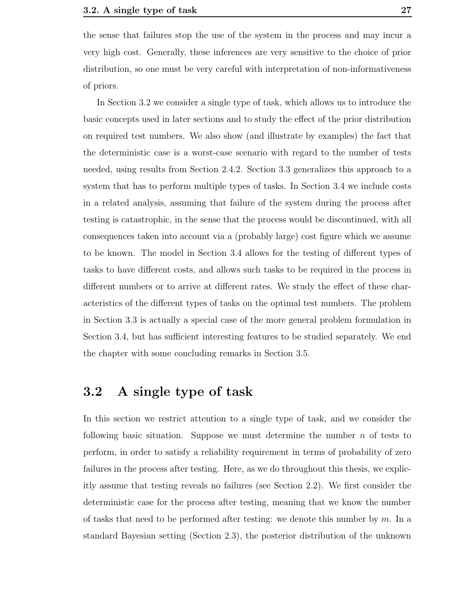the sense that failures stop the use of the system in the process and may incur a very high cost. Generally, these inferences are very sensitive to the choice of prior distribution, so one must be very careful with interpretation of non-informativeness of priors.

In Section 3.2 we consider a single type of task, which allows us to introduce the basic concepts used in later sections and to study the effect of the prior distribution on required test numbers. We also show (and illustrate by examples) the fact that the deterministic case is a worst-case scenario with regard to the number of tests needed, using results from Section 2.4.2. Section 3.3 generalizes this approach to a system that has to perform multiple types of tasks. In Section 3.4 we include costs in a related analysis, assuming that failure of the system during the process after testing is catastrophic, in the sense that the process would be discontinued, with all consequences taken into account via a (probably large) cost figure which we assume to be known. The model in Section 3.4 allows for the testing of different types of tasks to have different costs, and allows such tasks to be required in the process in different numbers or to arrive at different rates. We study the effect of these characteristics of the different types of tasks on the optimal test numbers. The problem in Section 3.3 is actually a special case of the more general problem formulation in Section 3.4, but has sufficient interesting features to be studied separately. We end the chapter with some concluding remarks in Section 3.5.

## 3.2 A single type of task

In this section we restrict attention to a single type of task, and we consider the following basic situation. Suppose we must determine the number  $n$  of tests to perform, in order to satisfy a reliability requirement in terms of probability of zero failures in the process after testing. Here, as we do throughout this thesis, we explicitly assume that testing reveals no failures (see Section 2.2). We first consider the deterministic case for the process after testing, meaning that we know the number of tasks that need to be performed after testing: we denote this number by  $m$ . In a standard Bayesian setting (Section 2.3), the posterior distribution of the unknown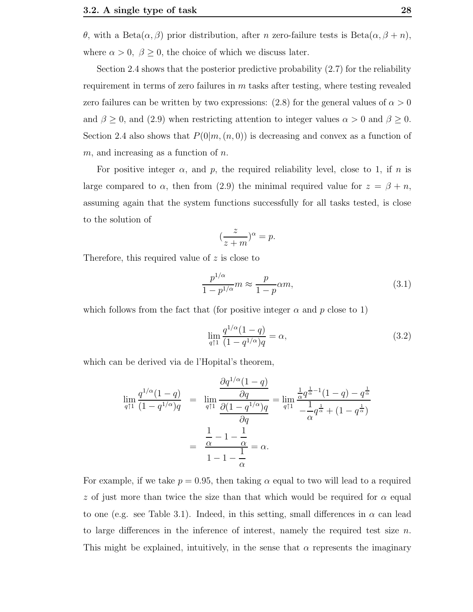θ, with a Beta $(α, β)$  prior distribution, after *n* zero-failure tests is Beta $(α, β + n)$ , where  $\alpha > 0$ ,  $\beta \ge 0$ , the choice of which we discuss later.

Section 2.4 shows that the posterior predictive probability (2.7) for the reliability requirement in terms of zero failures in  $m$  tasks after testing, where testing revealed zero failures can be written by two expressions:  $(2.8)$  for the general values of  $\alpha > 0$ and  $\beta \geq 0$ , and (2.9) when restricting attention to integer values  $\alpha > 0$  and  $\beta \geq 0$ . Section 2.4 also shows that  $P(0|m,(n,0))$  is decreasing and convex as a function of  $m$ , and increasing as a function of  $n$ .

For positive integer  $\alpha$ , and  $p$ , the required reliability level, close to 1, if  $n$  is large compared to  $\alpha$ , then from (2.9) the minimal required value for  $z = \beta + n$ , assuming again that the system functions successfully for all tasks tested, is close to the solution of

$$
(\frac{z}{z+m})^{\alpha} = p.
$$

Therefore, this required value of z is close to

$$
\frac{p^{1/\alpha}}{1-p^{1/\alpha}}m \approx \frac{p}{1-p}\alpha m,
$$
\n(3.1)

which follows from the fact that (for positive integer  $\alpha$  and p close to 1)

$$
\lim_{q \uparrow 1} \frac{q^{1/\alpha}(1-q)}{(1-q^{1/\alpha})q} = \alpha,\tag{3.2}
$$

which can be derived via de l'Hopital's theorem,

$$
\lim_{q \uparrow 1} \frac{q^{1/\alpha}(1-q)}{(1-q^{1/\alpha})q} = \lim_{q \uparrow 1} \frac{\frac{\partial q^{1/\alpha}(1-q)}{\partial q}}{\frac{\partial (1-q^{1/\alpha})q}{\partial q}} = \lim_{q \uparrow 1} \frac{\frac{1}{\alpha} q^{\frac{1}{\alpha}-1} (1-q) - q^{\frac{1}{\alpha}}}{-\frac{1}{\alpha} q^{\frac{1}{\alpha}} + (1-q^{\frac{1}{\alpha}})} = \frac{\frac{1}{\alpha} - 1 - \frac{1}{\alpha}}{1 - 1 - \frac{1}{\alpha}} = \alpha.
$$

For example, if we take  $p = 0.95$ , then taking  $\alpha$  equal to two will lead to a required z of just more than twice the size than that which would be required for  $\alpha$  equal to one (e.g. see Table 3.1). Indeed, in this setting, small differences in  $\alpha$  can lead to large differences in the inference of interest, namely the required test size  $n$ . This might be explained, intuitively, in the sense that  $\alpha$  represents the imaginary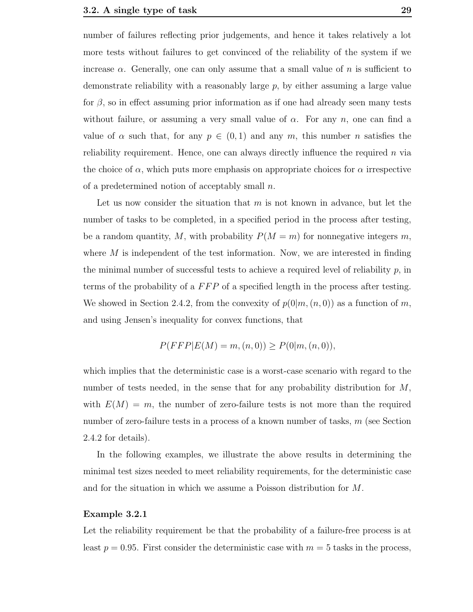number of failures reflecting prior judgements, and hence it takes relatively a lot more tests without failures to get convinced of the reliability of the system if we increase  $\alpha$ . Generally, one can only assume that a small value of n is sufficient to demonstrate reliability with a reasonably large  $p$ , by either assuming a large value for  $\beta$ , so in effect assuming prior information as if one had already seen many tests without failure, or assuming a very small value of  $\alpha$ . For any n, one can find a value of  $\alpha$  such that, for any  $p \in (0,1)$  and any m, this number n satisfies the reliability requirement. Hence, one can always directly influence the required  $n$  via the choice of  $\alpha$ , which puts more emphasis on appropriate choices for  $\alpha$  irrespective of a predetermined notion of acceptably small  $n$ .

Let us now consider the situation that  $m$  is not known in advance, but let the number of tasks to be completed, in a specified period in the process after testing, be a random quantity, M, with probability  $P(M = m)$  for nonnegative integers m, where  $M$  is independent of the test information. Now, we are interested in finding the minimal number of successful tests to achieve a required level of reliability  $p$ , in terms of the probability of a FFP of a specified length in the process after testing. We showed in Section 2.4.2, from the convexity of  $p(0|m,(n,0))$  as a function of m, and using Jensen's inequality for convex functions, that

$$
P(FFP|E(M) = m, (n, 0)) \ge P(0|m, (n, 0)),
$$

which implies that the deterministic case is a worst-case scenario with regard to the number of tests needed, in the sense that for any probability distribution for M, with  $E(M) = m$ , the number of zero-failure tests is not more than the required number of zero-failure tests in a process of a known number of tasks,  $m$  (see Section 2.4.2 for details).

In the following examples, we illustrate the above results in determining the minimal test sizes needed to meet reliability requirements, for the deterministic case and for the situation in which we assume a Poisson distribution for M.

## Example 3.2.1

Let the reliability requirement be that the probability of a failure-free process is at least  $p = 0.95$ . First consider the deterministic case with  $m = 5$  tasks in the process,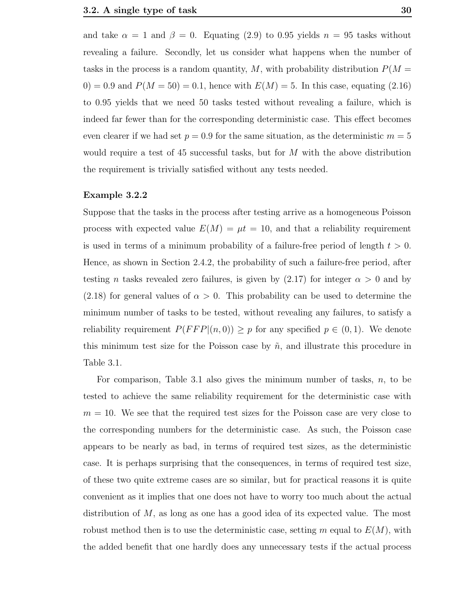and take  $\alpha = 1$  and  $\beta = 0$ . Equating (2.9) to 0.95 yields  $n = 95$  tasks without revealing a failure. Secondly, let us consider what happens when the number of tasks in the process is a random quantity, M, with probability distribution  $P(M =$  $(0) = 0.9$  and  $P(M = 50) = 0.1$ , hence with  $E(M) = 5$ . In this case, equating  $(2.16)$ to 0.95 yields that we need 50 tasks tested without revealing a failure, which is indeed far fewer than for the corresponding deterministic case. This effect becomes even clearer if we had set  $p = 0.9$  for the same situation, as the deterministic  $m = 5$ would require a test of 45 successful tasks, but for  $M$  with the above distribution the requirement is trivially satisfied without any tests needed.

## Example 3.2.2

Suppose that the tasks in the process after testing arrive as a homogeneous Poisson process with expected value  $E(M) = \mu t = 10$ , and that a reliability requirement is used in terms of a minimum probability of a failure-free period of length  $t > 0$ . Hence, as shown in Section 2.4.2, the probability of such a failure-free period, after testing *n* tasks revealed zero failures, is given by  $(2.17)$  for integer  $\alpha > 0$  and by  $(2.18)$  for general values of  $\alpha > 0$ . This probability can be used to determine the minimum number of tasks to be tested, without revealing any failures, to satisfy a reliability requirement  $P(FFP|(n, 0)) \geq p$  for any specified  $p \in (0, 1)$ . We denote this minimum test size for the Poisson case by  $\tilde{n}$ , and illustrate this procedure in Table 3.1.

For comparison, Table 3.1 also gives the minimum number of tasks,  $n$ , to be tested to achieve the same reliability requirement for the deterministic case with  $m = 10$ . We see that the required test sizes for the Poisson case are very close to the corresponding numbers for the deterministic case. As such, the Poisson case appears to be nearly as bad, in terms of required test sizes, as the deterministic case. It is perhaps surprising that the consequences, in terms of required test size, of these two quite extreme cases are so similar, but for practical reasons it is quite convenient as it implies that one does not have to worry too much about the actual distribution of  $M$ , as long as one has a good idea of its expected value. The most robust method then is to use the deterministic case, setting m equal to  $E(M)$ , with the added benefit that one hardly does any unnecessary tests if the actual process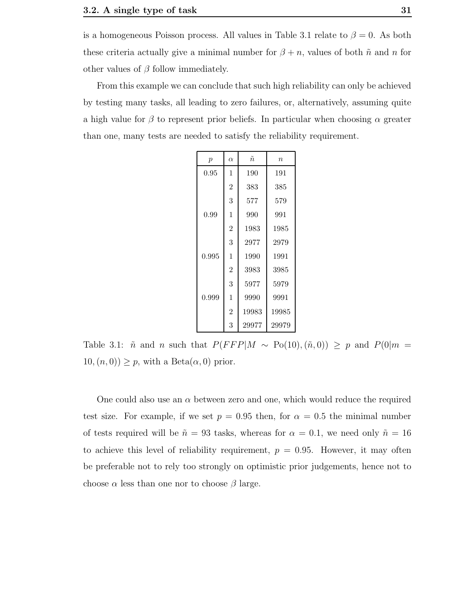is a homogeneous Poisson process. All values in Table 3.1 relate to  $\beta = 0$ . As both these criteria actually give a minimal number for  $\beta + n$ , values of both  $\tilde{n}$  and n for other values of  $\beta$  follow immediately.

From this example we can conclude that such high reliability can only be achieved by testing many tasks, all leading to zero failures, or, alternatively, assuming quite a high value for  $\beta$  to represent prior beliefs. In particular when choosing  $\alpha$  greater than one, many tests are needed to satisfy the reliability requirement.

| $\boldsymbol{p}$ | $\alpha$       | $\tilde{n}$ | $\eta$ |
|------------------|----------------|-------------|--------|
| 0.95             | 1              | 190         | 191    |
|                  | $\overline{2}$ | 383         | 385    |
|                  | 3              | 577         | 579    |
| 0.99             | 1              | 990         | 991    |
|                  | $\overline{2}$ | 1983        | 1985   |
|                  | 3              | 2977        | 2979   |
| 0.995            | 1              | 1990        | 1991   |
|                  | $\overline{2}$ | 3983        | 3985   |
|                  | 3              | 5977        | 5979   |
| 0.999            | 1              | 9990        | 9991   |
|                  | $\overline{2}$ | 19983       | 19985  |
|                  | 3              | 29977       | 29979  |

Table 3.1:  $\tilde{n}$  and n such that  $P(FFP|M \sim Po(10), (\tilde{n}, 0)) \ge p$  and  $P(0|m =$  $10,(n, 0) \geq p$ , with a Beta $(\alpha, 0)$  prior.

One could also use an  $\alpha$  between zero and one, which would reduce the required test size. For example, if we set  $p = 0.95$  then, for  $\alpha = 0.5$  the minimal number of tests required will be  $\tilde{n} = 93$  tasks, whereas for  $\alpha = 0.1$ , we need only  $\tilde{n} = 16$ to achieve this level of reliability requirement,  $p = 0.95$ . However, it may often be preferable not to rely too strongly on optimistic prior judgements, hence not to choose  $\alpha$  less than one nor to choose  $\beta$  large.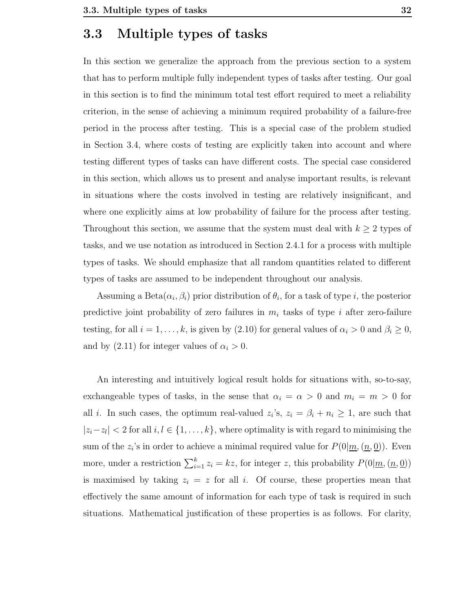## 3.3 Multiple types of tasks

In this section we generalize the approach from the previous section to a system that has to perform multiple fully independent types of tasks after testing. Our goal in this section is to find the minimum total test effort required to meet a reliability criterion, in the sense of achieving a minimum required probability of a failure-free period in the process after testing. This is a special case of the problem studied in Section 3.4, where costs of testing are explicitly taken into account and where testing different types of tasks can have different costs. The special case considered in this section, which allows us to present and analyse important results, is relevant in situations where the costs involved in testing are relatively insignificant, and where one explicitly aims at low probability of failure for the process after testing. Throughout this section, we assume that the system must deal with  $k \geq 2$  types of tasks, and we use notation as introduced in Section 2.4.1 for a process with multiple types of tasks. We should emphasize that all random quantities related to different types of tasks are assumed to be independent throughout our analysis.

Assuming a Beta $(\alpha_i, \beta_i)$  prior distribution of  $\theta_i$ , for a task of type i, the posterior predictive joint probability of zero failures in  $m_i$  tasks of type i after zero-failure testing, for all  $i = 1, ..., k$ , is given by (2.10) for general values of  $\alpha_i > 0$  and  $\beta_i \ge 0$ , and by  $(2.11)$  for integer values of  $\alpha_i > 0$ .

An interesting and intuitively logical result holds for situations with, so-to-say, exchangeable types of tasks, in the sense that  $\alpha_i = \alpha > 0$  and  $m_i = m > 0$  for all *i*. In such cases, the optimum real-valued  $z_i$ 's,  $z_i = \beta_i + n_i \geq 1$ , are such that  $|z_i - z_l| < 2$  for all  $i, l \in \{1, ..., k\}$ , where optimality is with regard to minimising the sum of the  $z_i$ 's in order to achieve a minimal required value for  $P(0|\underline{m},(\underline{n},\underline{0}))$ . Even more, under a restriction  $\sum_{i=1}^{k} z_i = kz$ , for integer z, this probability  $P(0|\underline{m}, (\underline{n}, \underline{0}))$ is maximised by taking  $z_i = z$  for all i. Of course, these properties mean that effectively the same amount of information for each type of task is required in such situations. Mathematical justification of these properties is as follows. For clarity,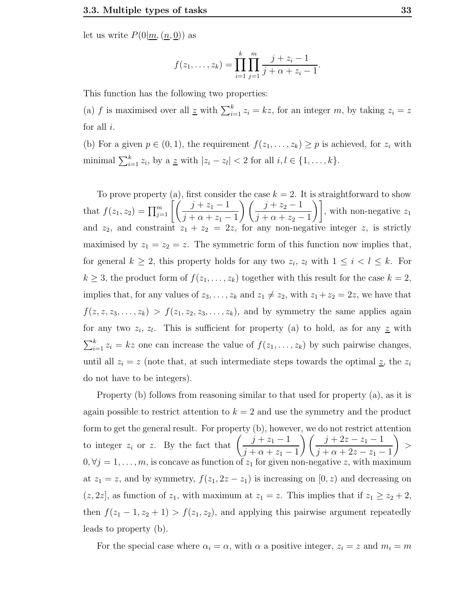let us write  $P(0|m,(n, 0))$  as

$$
f(z_1,\ldots,z_k) = \prod_{i=1}^k \prod_{j=1}^m \frac{j+z_i-1}{j+\alpha+z_i-1}.
$$

This function has the following two properties:

(a) f is maximised over all  $\underline{z}$  with  $\sum_{i=1}^{k} z_i = kz$ , for an integer m, by taking  $z_i = z$ for all  $i$ .

(b) For a given  $p \in (0, 1)$ , the requirement  $f(z_1, \ldots, z_k) \geq p$  is achieved, for  $z_i$  with minimal  $\sum_{i=1}^{k} z_i$ , by a  $\underline{z}$  with  $|z_i - z_i| < 2$  for all  $i, l \in \{1, ..., k\}$ .

To prove property (a), first consider the case  $k = 2$ . It is straightforward to show that  $f(z_1, z_2) = \prod_{j=1}^m \left[ \left( \frac{j+z_1-1}{\frac{j+z_2+1}{\cdots}} \right) \right]$  $j + \alpha + z_1 - 1$  $\left(\frac{j+z_2-1}{\cdots}\right)$  $j + \alpha + z_2 - 1$  $\Big)$ , with non-negative  $z_1$ and  $z_2$ , and constraint  $z_1 + z_2 = 2z$ , for any non-negative integer z, is strictly maximised by  $z_1 = z_2 = z$ . The symmetric form of this function now implies that, for general  $k \geq 2$ , this property holds for any two  $z_i$ ,  $z_l$  with  $1 \leq i \leq k$ . For  $k \geq 3$ , the product form of  $f(z_1, \ldots, z_k)$  together with this result for the case  $k = 2$ , implies that, for any values of  $z_3, \ldots, z_k$  and  $z_1 \neq z_2$ , with  $z_1 + z_2 = 2z$ , we have that  $f(z, z, z_3, \ldots, z_k) > f(z_1, z_2, z_3, \ldots, z_k)$ , and by symmetry the same applies again for any two  $z_i, z_l$ . This is sufficient for property (a) to hold, as for any  $\underline{z}$  with  $\sum_{i=1}^{k} z_i = kz$  one can increase the value of  $f(z_1, \ldots, z_k)$  by such pairwise changes, until all  $z_i = z$  (note that, at such intermediate steps towards the optimal  $z$ , the  $z_i$ do not have to be integers).

Property (b) follows from reasoning similar to that used for property (a), as it is again possible to restrict attention to  $k = 2$  and use the symmetry and the product form to get the general result. For property (b), however, we do not restrict attention to integer  $z_i$  or z. By the fact that  $\left(\frac{j+z_1-1}{j+z_2-1}\right)$  $j + \alpha + z_1 - 1$  $\binom{j+2z-z_1-1}{2}$  $j + \alpha + 2z - z_1 - 1$  $\Big)$  >  $0, \forall j = 1, \ldots, m$ , is concave as function of  $z_1$  for given non-negative z, with maximum at  $z_1 = z$ , and by symmetry,  $f(z_1, 2z - z_1)$  is increasing on [0, z) and decreasing on  $(z, 2z]$ , as function of  $z_1$ , with maximum at  $z_1 = z$ . This implies that if  $z_1 \ge z_2 + 2$ , then  $f(z_1 - 1, z_2 + 1) > f(z_1, z_2)$ , and applying this pairwise argument repeatedly leads to property (b).

For the special case where  $\alpha_i = \alpha$ , with  $\alpha$  a positive integer,  $z_i = z$  and  $m_i = m$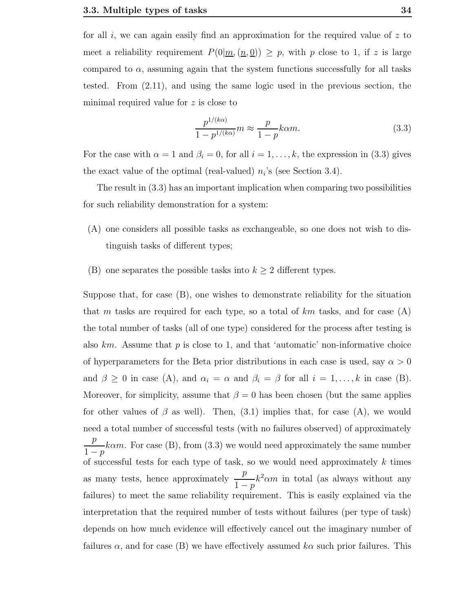for all i, we can again easily find an approximation for the required value of  $z$  to meet a reliability requirement  $P(0|\underline{m}, (\underline{n}, \underline{0})) \geq p$ , with p close to 1, if z is large compared to  $\alpha$ , assuming again that the system functions successfully for all tasks tested. From (2.11), and using the same logic used in the previous section, the minimal required value for z is close to

$$
\frac{p^{1/(k\alpha)}}{1-p^{1/(k\alpha)}}m \approx \frac{p}{1-p}k\alpha m.
$$
\n(3.3)

For the case with  $\alpha = 1$  and  $\beta_i = 0$ , for all  $i = 1, ..., k$ , the expression in (3.3) gives the exact value of the optimal (real-valued)  $n_i$ 's (see Section 3.4).

The result in (3.3) has an important implication when comparing two possibilities for such reliability demonstration for a system:

- (A) one considers all possible tasks as exchangeable, so one does not wish to distinguish tasks of different types;
- (B) one separates the possible tasks into  $k \geq 2$  different types.

Suppose that, for case (B), one wishes to demonstrate reliability for the situation that m tasks are required for each type, so a total of  $km$  tasks, and for case (A) the total number of tasks (all of one type) considered for the process after testing is also  $km$ . Assume that p is close to 1, and that 'automatic' non-informative choice of hyperparameters for the Beta prior distributions in each case is used, say  $\alpha > 0$ and  $\beta \geq 0$  in case (A), and  $\alpha_i = \alpha$  and  $\beta_i = \beta$  for all  $i = 1, ..., k$  in case (B). Moreover, for simplicity, assume that  $\beta = 0$  has been chosen (but the same applies for other values of  $\beta$  as well). Then, (3.1) implies that, for case (A), we would need a total number of successful tests (with no failures observed) of approximately p  $1-p$  $k\alpha m$ . For case (B), from (3.3) we would need approximately the same number of successful tests for each type of task, so we would need approximately  $k$  times as many tests, hence approximately  $\frac{p}{p}$  $1-p$  $k^2 \alpha m$  in total (as always without any failures) to meet the same reliability requirement. This is easily explained via the interpretation that the required number of tests without failures (per type of task) depends on how much evidence will effectively cancel out the imaginary number of failures  $\alpha$ , and for case (B) we have effectively assumed  $k\alpha$  such prior failures. This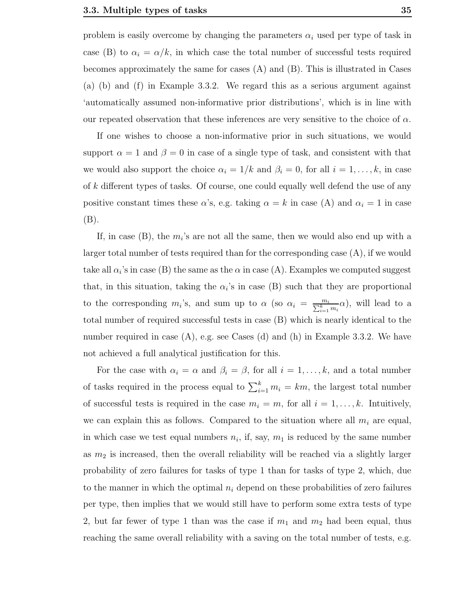problem is easily overcome by changing the parameters  $\alpha_i$  used per type of task in case (B) to  $\alpha_i = \alpha/k$ , in which case the total number of successful tests required becomes approximately the same for cases (A) and (B). This is illustrated in Cases (a) (b) and (f) in Example 3.3.2. We regard this as a serious argument against 'automatically assumed non-informative prior distributions', which is in line with our repeated observation that these inferences are very sensitive to the choice of  $\alpha$ .

If one wishes to choose a non-informative prior in such situations, we would support  $\alpha = 1$  and  $\beta = 0$  in case of a single type of task, and consistent with that we would also support the choice  $\alpha_i = 1/k$  and  $\beta_i = 0$ , for all  $i = 1, \ldots, k$ , in case of k different types of tasks. Of course, one could equally well defend the use of any positive constant times these  $\alpha$ 's, e.g. taking  $\alpha = k$  in case (A) and  $\alpha_i = 1$  in case (B).

If, in case  $(B)$ , the  $m_i$ 's are not all the same, then we would also end up with a larger total number of tests required than for the corresponding case (A), if we would take all  $\alpha_i$ 's in case (B) the same as the  $\alpha$  in case (A). Examples we computed suggest that, in this situation, taking the  $\alpha_i$ 's in case (B) such that they are proportional to the corresponding  $m_i$ 's, and sum up to  $\alpha$  (so  $\alpha_i = \frac{m_i}{\sum_{i=1}^{k} m_i \alpha}$ ), will lead to a total number of required successful tests in case (B) which is nearly identical to the number required in case  $(A)$ , e.g. see Cases  $(d)$  and  $(h)$  in Example 3.3.2. We have not achieved a full analytical justification for this.

For the case with  $\alpha_i = \alpha$  and  $\beta_i = \beta$ , for all  $i = 1, \ldots, k$ , and a total number of tasks required in the process equal to  $\sum_{i=1}^{k} m_i = km$ , the largest total number of successful tests is required in the case  $m_i = m$ , for all  $i = 1, \ldots, k$ . Intuitively, we can explain this as follows. Compared to the situation where all  $m_i$  are equal, in which case we test equal numbers  $n_i$ , if, say,  $m_1$  is reduced by the same number as  $m_2$  is increased, then the overall reliability will be reached via a slightly larger probability of zero failures for tasks of type 1 than for tasks of type 2, which, due to the manner in which the optimal  $n_i$  depend on these probabilities of zero failures per type, then implies that we would still have to perform some extra tests of type 2, but far fewer of type 1 than was the case if  $m_1$  and  $m_2$  had been equal, thus reaching the same overall reliability with a saving on the total number of tests, e.g.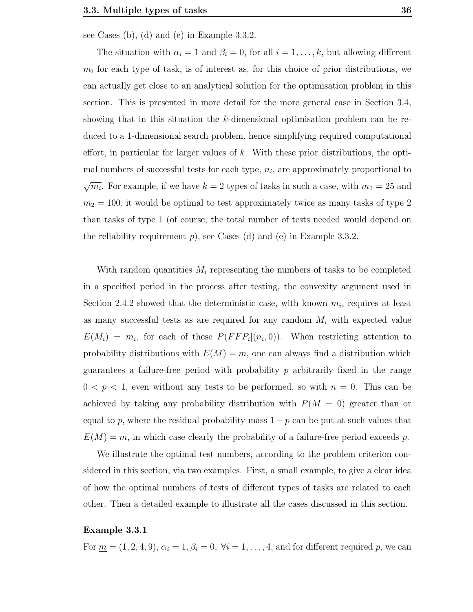see Cases (b), (d) and (e) in Example 3.3.2.

The situation with  $\alpha_i = 1$  and  $\beta_i = 0$ , for all  $i = 1, ..., k$ , but allowing different  $m_i$  for each type of task, is of interest as, for this choice of prior distributions, we can actually get close to an analytical solution for the optimisation problem in this section. This is presented in more detail for the more general case in Section 3.4, showing that in this situation the k-dimensional optimisation problem can be reduced to a 1-dimensional search problem, hence simplifying required computational effort, in particular for larger values of k. With these prior distributions, the optimal numbers of successful tests for each type,  $n_i$ , are approximately proportional to  $\sqrt{m_i}$ . For example, if we have  $k = 2$  types of tasks in such a case, with  $m_1 = 25$  and  $m_2 = 100$ , it would be optimal to test approximately twice as many tasks of type 2 than tasks of type 1 (of course, the total number of tests needed would depend on the reliability requirement  $p$ , see Cases (d) and (e) in Example 3.3.2.

With random quantities  $M_i$  representing the numbers of tasks to be completed in a specified period in the process after testing, the convexity argument used in Section 2.4.2 showed that the deterministic case, with known  $m_i$ , requires at least as many successful tests as are required for any random  $M_i$  with expected value  $E(M_i) = m_i$ , for each of these  $P(FFP_i|(n_i,0))$ . When restricting attention to probability distributions with  $E(M) = m$ , one can always find a distribution which guarantees a failure-free period with probability  $p$  arbitrarily fixed in the range  $0 < p < 1$ , even without any tests to be performed, so with  $n = 0$ . This can be achieved by taking any probability distribution with  $P(M = 0)$  greater than or equal to p, where the residual probability mass  $1 - p$  can be put at such values that  $E(M) = m$ , in which case clearly the probability of a failure-free period exceeds p.

We illustrate the optimal test numbers, according to the problem criterion considered in this section, via two examples. First, a small example, to give a clear idea of how the optimal numbers of tests of different types of tasks are related to each other. Then a detailed example to illustrate all the cases discussed in this section.

#### Example 3.3.1

For  $\underline{m} = (1, 2, 4, 9), \alpha_i = 1, \beta_i = 0, \forall i = 1, \ldots, 4$ , and for different required p, we can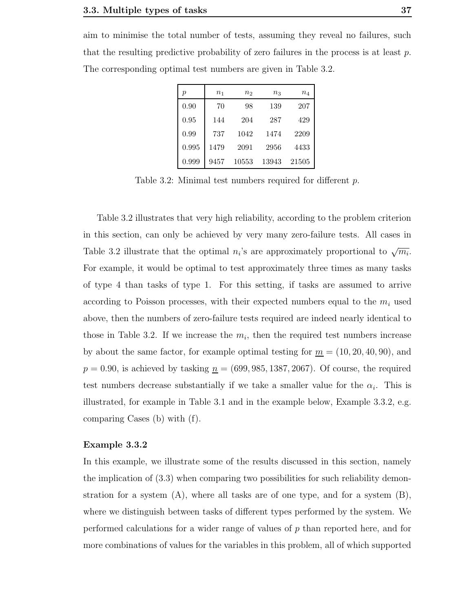aim to minimise the total number of tests, assuming they reveal no failures, such that the resulting predictive probability of zero failures in the process is at least  $p$ . The corresponding optimal test numbers are given in Table 3.2.

| р     | n <sub>1</sub> | n <sub>2</sub> | $n_{3}$ | $\, n_{4}$ |
|-------|----------------|----------------|---------|------------|
| 0.90  | 70             | 98             | 139     | 207        |
| 0.95  | 144            | 204            | 287     | 429        |
| 0.99  | 737            | 1042           | 1474    | 2209       |
| 0.995 | 1479           | 2091           | 2956    | 4433       |
| 0.999 | 9457           | 10553          | 13943   | 21505      |

Table 3.2: Minimal test numbers required for different p.

Table 3.2 illustrates that very high reliability, according to the problem criterion in this section, can only be achieved by very many zero-failure tests. All cases in Table 3.2 illustrate that the optimal  $n_i$ 's are approximately proportional to  $\sqrt{m_i}$ . For example, it would be optimal to test approximately three times as many tasks of type 4 than tasks of type 1. For this setting, if tasks are assumed to arrive according to Poisson processes, with their expected numbers equal to the  $m<sub>i</sub>$  used above, then the numbers of zero-failure tests required are indeed nearly identical to those in Table 3.2. If we increase the  $m_i$ , then the required test numbers increase by about the same factor, for example optimal testing for  $m = (10, 20, 40, 90)$ , and  $p = 0.90$ , is achieved by tasking  $n = (699, 985, 1387, 2067)$ . Of course, the required test numbers decrease substantially if we take a smaller value for the  $\alpha_i$ . This is illustrated, for example in Table 3.1 and in the example below, Example 3.3.2, e.g. comparing Cases (b) with (f).

## Example 3.3.2

In this example, we illustrate some of the results discussed in this section, namely the implication of (3.3) when comparing two possibilities for such reliability demonstration for a system  $(A)$ , where all tasks are of one type, and for a system  $(B)$ , where we distinguish between tasks of different types performed by the system. We performed calculations for a wider range of values of p than reported here, and for more combinations of values for the variables in this problem, all of which supported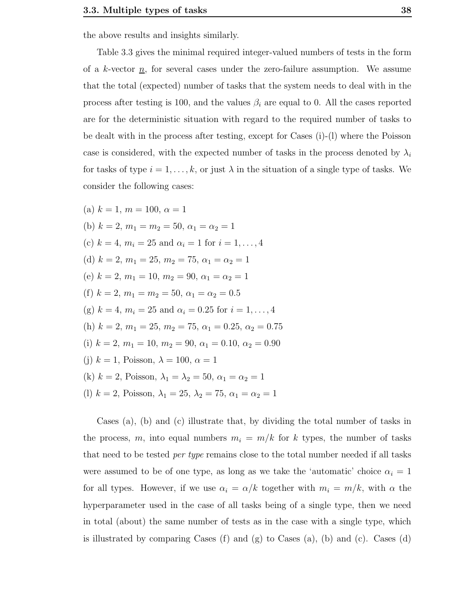the above results and insights similarly.

Table 3.3 gives the minimal required integer-valued numbers of tests in the form of a k-vector  $\underline{n}$ , for several cases under the zero-failure assumption. We assume that the total (expected) number of tasks that the system needs to deal with in the process after testing is 100, and the values  $\beta_i$  are equal to 0. All the cases reported are for the deterministic situation with regard to the required number of tasks to be dealt with in the process after testing, except for Cases (i)-(l) where the Poisson case is considered, with the expected number of tasks in the process denoted by  $\lambda_i$ for tasks of type  $i = 1, \ldots, k$ , or just  $\lambda$  in the situation of a single type of tasks. We consider the following cases:

(a) 
$$
k = 1
$$
,  $m = 100$ ,  $\alpha = 1$   
\n(b)  $k = 2$ ,  $m_1 = m_2 = 50$ ,  $\alpha_1 = \alpha_2 = 1$   
\n(c)  $k = 4$ ,  $m_i = 25$  and  $\alpha_i = 1$  for  $i = 1, ..., 4$   
\n(d)  $k = 2$ ,  $m_1 = 25$ ,  $m_2 = 75$ ,  $\alpha_1 = \alpha_2 = 1$   
\n(e)  $k = 2$ ,  $m_1 = 10$ ,  $m_2 = 90$ ,  $\alpha_1 = \alpha_2 = 1$   
\n(f)  $k = 2$ ,  $m_1 = m_2 = 50$ ,  $\alpha_1 = \alpha_2 = 0.5$   
\n(g)  $k = 4$ ,  $m_i = 25$  and  $\alpha_i = 0.25$  for  $i = 1, ..., 4$   
\n(h)  $k = 2$ ,  $m_1 = 25$ ,  $m_2 = 75$ ,  $\alpha_1 = 0.25$ ,  $\alpha_2 = 0.75$   
\n(i)  $k = 2$ ,  $m_1 = 10$ ,  $m_2 = 90$ ,  $\alpha_1 = 0.10$ ,  $\alpha_2 = 0.90$   
\n(j)  $k = 1$ , Poisson,  $\lambda = 100$ ,  $\alpha = 1$   
\n(k)  $k = 2$ , Poisson,  $\lambda_1 = \lambda_2 = 50$ ,  $\alpha_1 = \alpha_2 = 1$   
\n(l)  $k = 2$ , Poisson,  $\lambda_1 = 25$ ,  $\lambda_2 = 75$ ,  $\alpha_1 = \alpha_2 = 1$ 

Cases (a), (b) and (c) illustrate that, by dividing the total number of tasks in the process, m, into equal numbers  $m_i = m/k$  for k types, the number of tasks that need to be tested *per type* remains close to the total number needed if all tasks were assumed to be of one type, as long as we take the 'automatic' choice  $\alpha_i = 1$ for all types. However, if we use  $\alpha_i = \alpha/k$  together with  $m_i = m/k$ , with  $\alpha$  the hyperparameter used in the case of all tasks being of a single type, then we need in total (about) the same number of tests as in the case with a single type, which is illustrated by comparing Cases  $(f)$  and  $(g)$  to Cases  $(a)$ ,  $(b)$  and  $(c)$ . Cases  $(d)$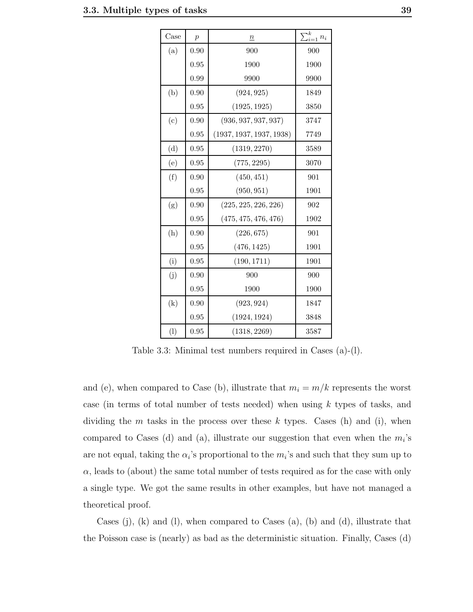| Case              | $\overline{p}$ | $\underline{n}$          | $\sum_{i=1}^k n_i$ |
|-------------------|----------------|--------------------------|--------------------|
| (a)               | 0.90           | 900                      | 900                |
|                   | 0.95           | 1900                     | 1900               |
|                   | 0.99           | 9900                     | 9900               |
| (b)               | 0.90           | (924, 925)               | 1849               |
|                   | 0.95           | (1925, 1925)             | 3850               |
| (c)               | 0.90           | (936, 937, 937, 937)     | 3747               |
|                   | 0.95           | (1937, 1937, 1937, 1938) | 7749               |
| (d)               | 0.95           | (1319, 2270)             | 3589               |
| (e)               | 0.95           | (775, 2295)              | 3070               |
| (f)               | 0.90           | (450, 451)               | 901                |
|                   | 0.95           | (950, 951)               | 1901               |
| (g)               | 0.90           | (225, 225, 226, 226)     | 902                |
|                   | 0.95           | (475, 475, 476, 476)     | 1902               |
| (h)               | 0.90           | (226, 675)               | 901                |
|                   | 0.95           | (476, 1425)              | 1901               |
| (i)               | 0.95           | (190, 1711)              | 1901               |
| (j)               | 0.90           | 900                      | 900                |
|                   | 0.95           | 1900                     | 1900               |
| $\left( k\right)$ | 0.90           | (923, 924)               | 1847               |
|                   | 0.95           | (1924, 1924)             | 3848               |
| (1)               | 0.95           | (1318, 2269)             | 3587               |

Table 3.3: Minimal test numbers required in Cases (a)-(l).

and (e), when compared to Case (b), illustrate that  $m_i = m/k$  represents the worst case (in terms of total number of tests needed) when using  $k$  types of tasks, and dividing the m tasks in the process over these k types. Cases (h) and (i), when compared to Cases (d) and (a), illustrate our suggestion that even when the  $m_i$ 's are not equal, taking the  $\alpha_i$ 's proportional to the  $m_i$ 's and such that they sum up to  $\alpha$ , leads to (about) the same total number of tests required as for the case with only a single type. We got the same results in other examples, but have not managed a theoretical proof.

Cases  $(i)$ ,  $(k)$  and  $(l)$ , when compared to Cases  $(a)$ ,  $(b)$  and  $(d)$ , illustrate that the Poisson case is (nearly) as bad as the deterministic situation. Finally, Cases (d)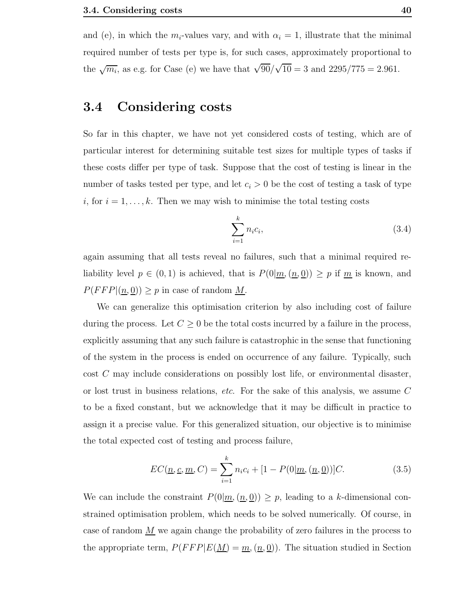and (e), in which the  $m_i$ -values vary, and with  $\alpha_i = 1$ , illustrate that the minimal required number of tests per type is, for such cases, approximately proportional to the  $\sqrt{m_i}$ , as e.g. for Case (e) we have that  $\sqrt{90}/\sqrt{10} = 3$  and  $2295/775 = 2.961$ .

## 3.4 Considering costs

So far in this chapter, we have not yet considered costs of testing, which are of particular interest for determining suitable test sizes for multiple types of tasks if these costs differ per type of task. Suppose that the cost of testing is linear in the number of tasks tested per type, and let  $c_i > 0$  be the cost of testing a task of type i, for  $i = 1, \ldots, k$ . Then we may wish to minimise the total testing costs

$$
\sum_{i=1}^{k} n_i c_i, \tag{3.4}
$$

again assuming that all tests reveal no failures, such that a minimal required reliability level  $p \in (0, 1)$  is achieved, that is  $P(0|\underline{m}, (\underline{n}, 0)) \geq p$  if  $\underline{m}$  is known, and  $P(FFP | (\underline{n}, \underline{0})) \geq p$  in case of random <u>M</u>.

We can generalize this optimisation criterion by also including cost of failure during the process. Let  $C \geq 0$  be the total costs incurred by a failure in the process, explicitly assuming that any such failure is catastrophic in the sense that functioning of the system in the process is ended on occurrence of any failure. Typically, such cost C may include considerations on possibly lost life, or environmental disaster, or lost trust in business relations, etc. For the sake of this analysis, we assume C to be a fixed constant, but we acknowledge that it may be difficult in practice to assign it a precise value. For this generalized situation, our objective is to minimise the total expected cost of testing and process failure,

$$
EC(\underline{n}, \underline{c}, \underline{m}, C) = \sum_{i=1}^{k} n_i c_i + [1 - P(0 | \underline{m}, (\underline{n}, \underline{0}))]C.
$$
 (3.5)

We can include the constraint  $P(0|\underline{m},(\underline{n},\underline{0})) \geq p$ , leading to a k-dimensional constrained optimisation problem, which needs to be solved numerically. Of course, in case of random  $M$  we again change the probability of zero failures in the process to the appropriate term,  $P(FFP|E(\underline{M}) = \underline{m}, (\underline{n}, \underline{0}))$ . The situation studied in Section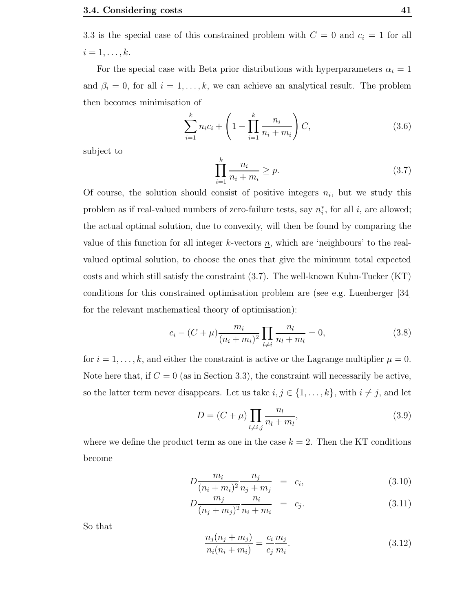3.3 is the special case of this constrained problem with  $C = 0$  and  $c_i = 1$  for all  $i=1,\ldots,k.$ 

For the special case with Beta prior distributions with hyperparameters  $\alpha_i = 1$ and  $\beta_i = 0$ , for all  $i = 1, ..., k$ , we can achieve an analytical result. The problem then becomes minimisation of

$$
\sum_{i=1}^{k} n_i c_i + \left(1 - \prod_{i=1}^{k} \frac{n_i}{n_i + m_i}\right) C,\tag{3.6}
$$

subject to

$$
\prod_{i=1}^{k} \frac{n_i}{n_i + m_i} \ge p. \tag{3.7}
$$

Of course, the solution should consist of positive integers  $n_i$ , but we study this problem as if real-valued numbers of zero-failure tests, say  $n_i^*$ , for all i, are allowed; the actual optimal solution, due to convexity, will then be found by comparing the value of this function for all integer k-vectors  $n$ , which are 'neighbours' to the realvalued optimal solution, to choose the ones that give the minimum total expected costs and which still satisfy the constraint (3.7). The well-known Kuhn-Tucker (KT) conditions for this constrained optimisation problem are (see e.g. Luenberger [34] for the relevant mathematical theory of optimisation):

$$
c_i - (C + \mu) \frac{m_i}{(n_i + m_i)^2} \prod_{l \neq i} \frac{n_l}{n_l + m_l} = 0,
$$
\n(3.8)

for  $i = 1, \ldots, k$ , and either the constraint is active or the Lagrange multiplier  $\mu = 0$ . Note here that, if  $C = 0$  (as in Section 3.3), the constraint will necessarily be active, so the latter term never disappears. Let us take  $i, j \in \{1, ..., k\}$ , with  $i \neq j$ , and let

$$
D = (C + \mu) \prod_{l \neq i,j} \frac{n_l}{n_l + m_l},
$$
\n(3.9)

where we define the product term as one in the case  $k = 2$ . Then the KT conditions become

$$
D\frac{m_i}{(n_i + m_i)^2} \frac{n_j}{n_j + m_j} = c_i,
$$
\n(3.10)

$$
D\frac{m_j}{(n_j + m_j)^2} \frac{n_i}{n_i + m_i} = c_j.
$$
 (3.11)

So that

$$
\frac{n_j(n_j + m_j)}{n_i(n_i + m_i)} = \frac{c_i}{c_j} \frac{m_j}{m_i}.
$$
\n(3.12)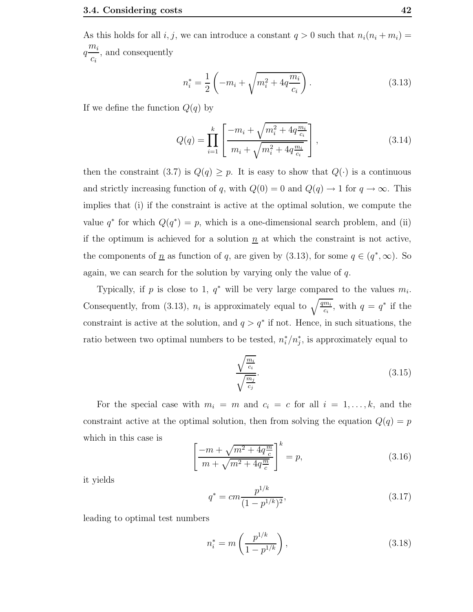As this holds for all i, j, we can introduce a constant  $q > 0$  such that  $n_i(n_i + m_i) =$  $q^{\overline{m_i}}$  $c_i$ , and consequently

$$
n_i^* = \frac{1}{2} \left( -m_i + \sqrt{m_i^2 + 4q \frac{m_i}{c_i}} \right). \tag{3.13}
$$

If we define the function  $Q(q)$  by

$$
Q(q) = \prod_{i=1}^{k} \left[ \frac{-m_i + \sqrt{m_i^2 + 4q \frac{m_i}{c_i}}}{m_i + \sqrt{m_i^2 + 4q \frac{m_i}{c_i}}} \right],
$$
\n(3.14)

then the constraint (3.7) is  $Q(q) \geq p$ . It is easy to show that  $Q(\cdot)$  is a continuous and strictly increasing function of q, with  $Q(0) = 0$  and  $Q(q) \rightarrow 1$  for  $q \rightarrow \infty$ . This implies that (i) if the constraint is active at the optimal solution, we compute the value  $q^*$  for which  $Q(q^*) = p$ , which is a one-dimensional search problem, and (ii) if the optimum is achieved for a solution  $\underline{n}$  at which the constraint is not active, the components of  $\underline{n}$  as function of q, are given by (3.13), for some  $q \in (q^*, \infty)$ . So again, we can search for the solution by varying only the value of  $q$ .

Typically, if p is close to 1,  $q^*$  will be very large compared to the values  $m_i$ . Consequently, from (3.13),  $n_i$  is approximately equal to  $\sqrt{\frac{qm_i}{c_i}}$ , with  $q = q^*$  if the constraint is active at the solution, and  $q > q^*$  if not. Hence, in such situations, the ratio between two optimal numbers to be tested,  $n_i^*/n_j^*$ , is approximately equal to

$$
\frac{\sqrt{\frac{m_i}{c_i}}}{\sqrt{\frac{m_j}{c_j}}}.\tag{3.15}
$$

For the special case with  $m_i = m$  and  $c_i = c$  for all  $i = 1, ..., k$ , and the constraint active at the optimal solution, then from solving the equation  $Q(q) = p$ which in this case is

$$
\left[\frac{-m + \sqrt{m^2 + 4q\frac{m}{c}}}{m + \sqrt{m^2 + 4q\frac{m}{c}}}\right]^k = p,
$$
\n(3.16)

it yields

$$
q^* = cm \frac{p^{1/k}}{(1 - p^{1/k})^2},\tag{3.17}
$$

leading to optimal test numbers

$$
n_i^* = m\left(\frac{p^{1/k}}{1 - p^{1/k}}\right),\tag{3.18}
$$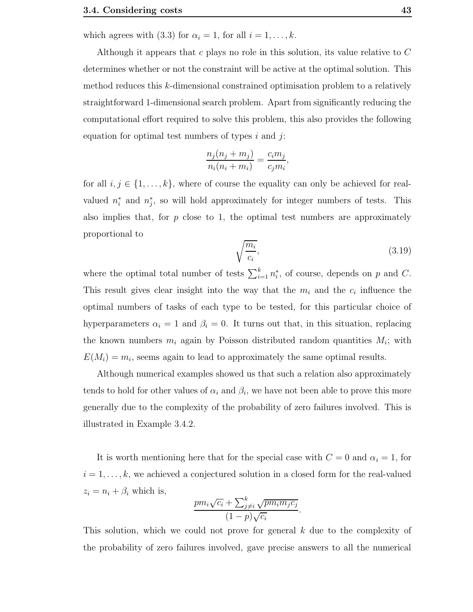which agrees with (3.3) for  $\alpha_i = 1$ , for all  $i = 1, \ldots, k$ .

Although it appears that c plays no role in this solution, its value relative to C determines whether or not the constraint will be active at the optimal solution. This method reduces this k-dimensional constrained optimisation problem to a relatively straightforward 1-dimensional search problem. Apart from significantly reducing the computational effort required to solve this problem, this also provides the following equation for optimal test numbers of types  $i$  and  $j$ :

$$
\frac{n_j(n_j + m_j)}{n_i(n_i + m_i)} = \frac{c_i m_j}{c_j m_i}
$$

,

for all  $i, j \in \{1, \ldots, k\}$ , where of course the equality can only be achieved for realvalued  $n_i^*$  and  $n_j^*$ , so will hold approximately for integer numbers of tests. This also implies that, for  $p$  close to 1, the optimal test numbers are approximately proportional to

$$
\sqrt{\frac{m_i}{c_i}},\tag{3.19}
$$

where the optimal total number of tests  $\sum_{i=1}^{k} n_i^*$ , of course, depends on p and C. This result gives clear insight into the way that the  $m_i$  and the  $c_i$  influence the optimal numbers of tasks of each type to be tested, for this particular choice of hyperparameters  $\alpha_i = 1$  and  $\beta_i = 0$ . It turns out that, in this situation, replacing the known numbers  $m_i$  again by Poisson distributed random quantities  $M_i$ ; with  $E(M_i) = m_i$ , seems again to lead to approximately the same optimal results.

Although numerical examples showed us that such a relation also approximately tends to hold for other values of  $\alpha_i$  and  $\beta_i$ , we have not been able to prove this more generally due to the complexity of the probability of zero failures involved. This is illustrated in Example 3.4.2.

It is worth mentioning here that for the special case with  $C = 0$  and  $\alpha_i = 1$ , for  $i = 1, \ldots, k$ , we achieved a conjectured solution in a closed form for the real-valued  $z_i = n_i + \beta_i$  which is,

$$
\frac{pm_i\sqrt{c_i} + \sum_{j\neq i}^k \sqrt{pm_i m_j c_j}}{(1-p)\sqrt{c_i}}.
$$

This solution, which we could not prove for general  $k$  due to the complexity of the probability of zero failures involved, gave precise answers to all the numerical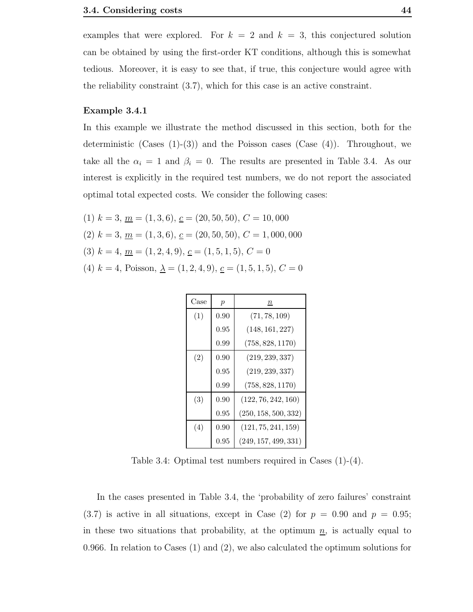examples that were explored. For  $k = 2$  and  $k = 3$ , this conjectured solution can be obtained by using the first-order KT conditions, although this is somewhat tedious. Moreover, it is easy to see that, if true, this conjecture would agree with the reliability constraint (3.7), which for this case is an active constraint.

#### Example 3.4.1

In this example we illustrate the method discussed in this section, both for the deterministic (Cases  $(1)-(3)$ ) and the Poisson cases (Case  $(4)$ ). Throughout, we take all the  $\alpha_i = 1$  and  $\beta_i = 0$ . The results are presented in Table 3.4. As our interest is explicitly in the required test numbers, we do not report the associated optimal total expected costs. We consider the following cases:

- (1)  $k = 3, \underline{m} = (1, 3, 6), \underline{c} = (20, 50, 50), C = 10,000$
- (2)  $k = 3, \underline{m} = (1, 3, 6), \underline{c} = (20, 50, 50), C = 1,000,000$
- (3)  $k = 4, \underline{m} = (1, 2, 4, 9), \underline{c} = (1, 5, 1, 5), C = 0$
- (4)  $k = 4$ , Poisson,  $\underline{\lambda} = (1, 2, 4, 9), \underline{c} = (1, 5, 1, 5), C = 0$

| Case | $\mathcal{p}$ | $\it n$              |
|------|---------------|----------------------|
| (1)  | 0.90          | (71, 78, 109)        |
|      | 0.95          | (148, 161, 227)      |
|      | 0.99          | (758, 828, 1170)     |
| (2)  | 0.90          | (219, 239, 337)      |
|      | 0.95          | (219, 239, 337)      |
|      | 0.99          | (758, 828, 1170)     |
| (3)  | 0.90          | (122, 76, 242, 160)  |
|      | 0.95          | (250, 158, 500, 332) |
| (4)  | 0.90          | (121, 75, 241, 159)  |
|      | 0.95          | (249, 157, 499, 331) |

Table 3.4: Optimal test numbers required in Cases (1)-(4).

In the cases presented in Table 3.4, the 'probability of zero failures' constraint  $(3.7)$  is active in all situations, except in Case (2) for  $p = 0.90$  and  $p = 0.95$ ; in these two situations that probability, at the optimum  $n<sub>l</sub>$ , is actually equal to 0.966. In relation to Cases (1) and (2), we also calculated the optimum solutions for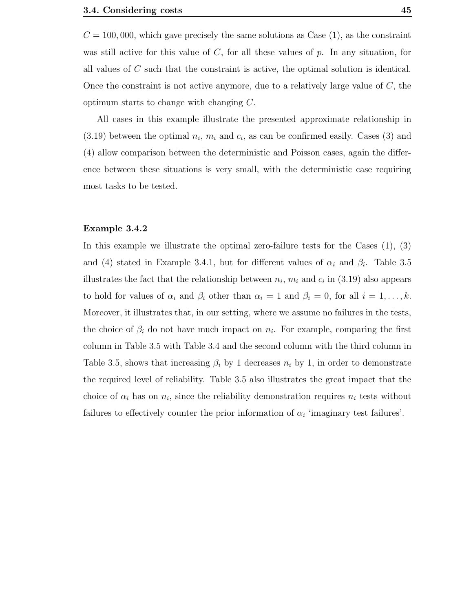$C = 100,000$ , which gave precisely the same solutions as Case  $(1)$ , as the constraint was still active for this value of  $C$ , for all these values of  $p$ . In any situation, for all values of C such that the constraint is active, the optimal solution is identical. Once the constraint is not active anymore, due to a relatively large value of  $C$ , the optimum starts to change with changing C.

All cases in this example illustrate the presented approximate relationship in  $(3.19)$  between the optimal  $n_i$ ,  $m_i$  and  $c_i$ , as can be confirmed easily. Cases  $(3)$  and (4) allow comparison between the deterministic and Poisson cases, again the difference between these situations is very small, with the deterministic case requiring most tasks to be tested.

#### Example 3.4.2

In this example we illustrate the optimal zero-failure tests for the Cases  $(1), (3)$ and (4) stated in Example 3.4.1, but for different values of  $\alpha_i$  and  $\beta_i$ . Table 3.5 illustrates the fact that the relationship between  $n_i$ ,  $m_i$  and  $c_i$  in (3.19) also appears to hold for values of  $\alpha_i$  and  $\beta_i$  other than  $\alpha_i = 1$  and  $\beta_i = 0$ , for all  $i = 1, \ldots, k$ . Moreover, it illustrates that, in our setting, where we assume no failures in the tests, the choice of  $\beta_i$  do not have much impact on  $n_i$ . For example, comparing the first column in Table 3.5 with Table 3.4 and the second column with the third column in Table 3.5, shows that increasing  $\beta_i$  by 1 decreases  $n_i$  by 1, in order to demonstrate the required level of reliability. Table 3.5 also illustrates the great impact that the choice of  $\alpha_i$  has on  $n_i$ , since the reliability demonstration requires  $n_i$  tests without failures to effectively counter the prior information of  $\alpha_i$  'imaginary test failures'.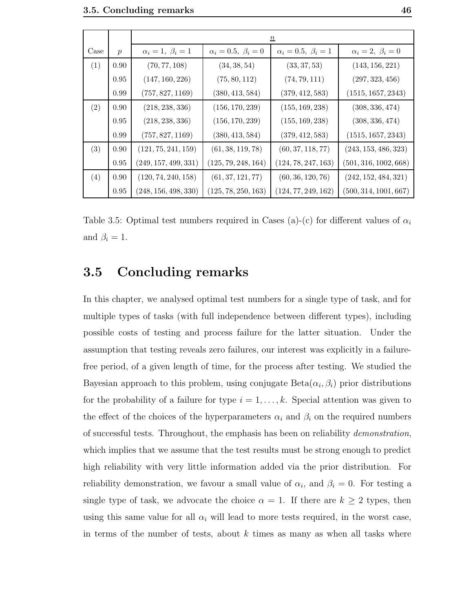|      |                  | $\underline{n}$                 |                                 |                                 |                           |  |  |  |
|------|------------------|---------------------------------|---------------------------------|---------------------------------|---------------------------|--|--|--|
| Case | $\boldsymbol{p}$ | $\alpha_i=1, \ \beta_i=1$       | $\alpha_i = 0.5, \ \beta_i = 0$ | $\alpha_i = 0.5, \ \beta_i = 1$ | $\alpha_i=2, \ \beta_i=0$ |  |  |  |
| (1)  | 0.90             | (70, 77, 108)                   | (34, 38, 54)                    | (33, 37, 53)                    | (143, 156, 221)           |  |  |  |
|      | 0.95             | (147, 160, 226)                 | (75, 80, 112)                   | (74, 79, 111)                   | (297, 323, 456)           |  |  |  |
|      | 0.99             | (757, 827, 1169)                | (380, 413, 584)                 | (379, 412, 583)                 | (1515, 1657, 2343)        |  |  |  |
| (2)  | 0.90             | (218, 238, 336)                 | (156, 170, 239)                 | (155, 169, 238)                 | (308, 336, 474)           |  |  |  |
|      | 0.95             | (218, 238, 336)                 | (156, 170, 239)                 | (155, 169, 238)                 | (308, 336, 474)           |  |  |  |
|      | 0.99             | (757, 827, 1169)                | (380, 413, 584)                 | (379, 412, 583)                 | (1515, 1657, 2343)        |  |  |  |
| (3)  | 0.90             | (121, 75, 241, 159)             | (61, 38, 119, 78)               | (60, 37, 118, 77)               | (243, 153, 486, 323)      |  |  |  |
|      | 0.95             | $\left( 249,157,499,331\right)$ | (125,79,248,164)                | (124, 78, 247, 163)             | (501, 316, 1002, 668)     |  |  |  |
| (4)  | 0.90             | (120, 74, 240, 158)             | (61, 37, 121, 77)               | (60, 36, 120, 76)               | (242, 152, 484, 321)      |  |  |  |
|      | 0.95             | (248, 156, 498, 330)            | (125, 78, 250, 163)             | (124, 77, 249, 162)             | (500, 314, 1001, 667)     |  |  |  |

Table 3.5: Optimal test numbers required in Cases (a)-(c) for different values of  $\alpha_i$ and  $\beta_i = 1$ .

## 3.5 Concluding remarks

In this chapter, we analysed optimal test numbers for a single type of task, and for multiple types of tasks (with full independence between different types), including possible costs of testing and process failure for the latter situation. Under the assumption that testing reveals zero failures, our interest was explicitly in a failurefree period, of a given length of time, for the process after testing. We studied the Bayesian approach to this problem, using conjugate  $Beta(\alpha_i, \beta_i)$  prior distributions for the probability of a failure for type  $i = 1, \ldots, k$ . Special attention was given to the effect of the choices of the hyperparameters  $\alpha_i$  and  $\beta_i$  on the required numbers of successful tests. Throughout, the emphasis has been on reliability *demonstration*, which implies that we assume that the test results must be strong enough to predict high reliability with very little information added via the prior distribution. For reliability demonstration, we favour a small value of  $\alpha_i$ , and  $\beta_i = 0$ . For testing a single type of task, we advocate the choice  $\alpha = 1$ . If there are  $k \geq 2$  types, then using this same value for all  $\alpha_i$  will lead to more tests required, in the worst case, in terms of the number of tests, about  $k$  times as many as when all tasks where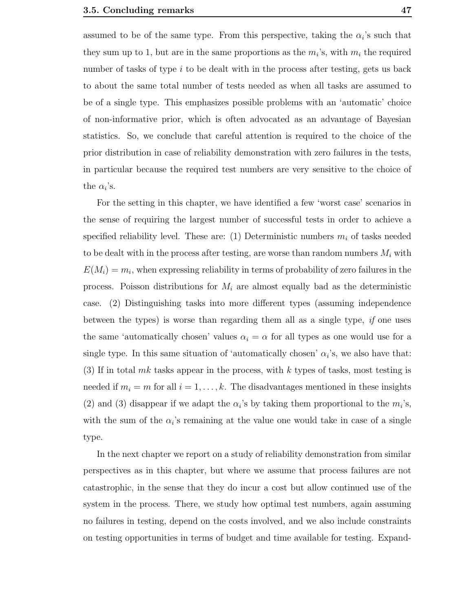assumed to be of the same type. From this perspective, taking the  $\alpha_i$ 's such that they sum up to 1, but are in the same proportions as the  $m_i$ 's, with  $m_i$  the required number of tasks of type  $i$  to be dealt with in the process after testing, gets us back to about the same total number of tests needed as when all tasks are assumed to be of a single type. This emphasizes possible problems with an 'automatic' choice of non-informative prior, which is often advocated as an advantage of Bayesian statistics. So, we conclude that careful attention is required to the choice of the prior distribution in case of reliability demonstration with zero failures in the tests, in particular because the required test numbers are very sensitive to the choice of the  $\alpha_i$ 's.

For the setting in this chapter, we have identified a few 'worst case' scenarios in the sense of requiring the largest number of successful tests in order to achieve a specified reliability level. These are: (1) Deterministic numbers  $m_i$  of tasks needed to be dealt with in the process after testing, are worse than random numbers  $M_i$  with  $E(M_i) = m_i$ , when expressing reliability in terms of probability of zero failures in the process. Poisson distributions for  $M_i$  are almost equally bad as the deterministic case. (2) Distinguishing tasks into more different types (assuming independence between the types) is worse than regarding them all as a single type, if one uses the same 'automatically chosen' values  $\alpha_i = \alpha$  for all types as one would use for a single type. In this same situation of 'automatically chosen'  $\alpha_i$ 's, we also have that: (3) If in total mk tasks appear in the process, with k types of tasks, most testing is needed if  $m_i = m$  for all  $i = 1, ..., k$ . The disadvantages mentioned in these insights (2) and (3) disappear if we adapt the  $\alpha_i$ 's by taking them proportional to the  $m_i$ 's, with the sum of the  $\alpha_i$ 's remaining at the value one would take in case of a single type.

In the next chapter we report on a study of reliability demonstration from similar perspectives as in this chapter, but where we assume that process failures are not catastrophic, in the sense that they do incur a cost but allow continued use of the system in the process. There, we study how optimal test numbers, again assuming no failures in testing, depend on the costs involved, and we also include constraints on testing opportunities in terms of budget and time available for testing. Expand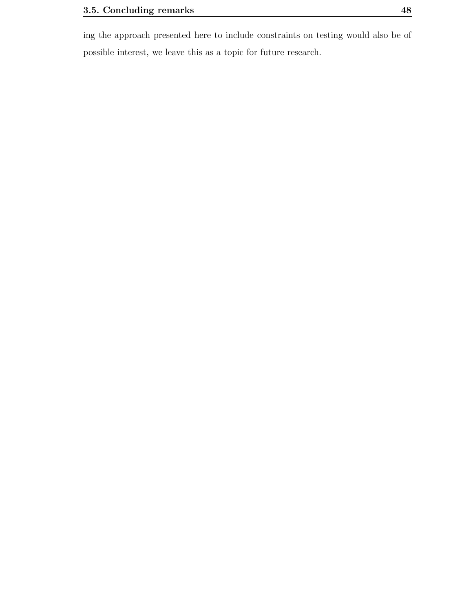ing the approach presented here to include constraints on testing would also be of possible interest, we leave this as a topic for future research.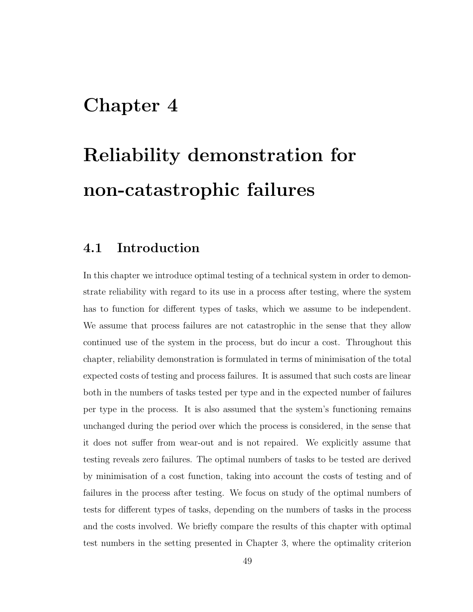## Chapter 4

# Reliability demonstration for non-catastrophic failures

## 4.1 Introduction

In this chapter we introduce optimal testing of a technical system in order to demonstrate reliability with regard to its use in a process after testing, where the system has to function for different types of tasks, which we assume to be independent. We assume that process failures are not catastrophic in the sense that they allow continued use of the system in the process, but do incur a cost. Throughout this chapter, reliability demonstration is formulated in terms of minimisation of the total expected costs of testing and process failures. It is assumed that such costs are linear both in the numbers of tasks tested per type and in the expected number of failures per type in the process. It is also assumed that the system's functioning remains unchanged during the period over which the process is considered, in the sense that it does not suffer from wear-out and is not repaired. We explicitly assume that testing reveals zero failures. The optimal numbers of tasks to be tested are derived by minimisation of a cost function, taking into account the costs of testing and of failures in the process after testing. We focus on study of the optimal numbers of tests for different types of tasks, depending on the numbers of tasks in the process and the costs involved. We briefly compare the results of this chapter with optimal test numbers in the setting presented in Chapter 3, where the optimality criterion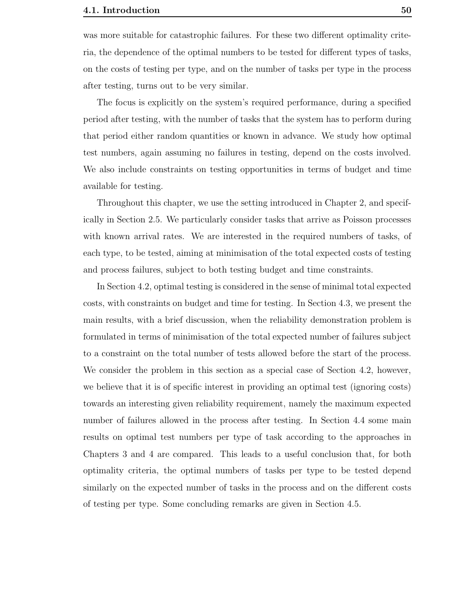was more suitable for catastrophic failures. For these two different optimality criteria, the dependence of the optimal numbers to be tested for different types of tasks, on the costs of testing per type, and on the number of tasks per type in the process after testing, turns out to be very similar.

The focus is explicitly on the system's required performance, during a specified period after testing, with the number of tasks that the system has to perform during that period either random quantities or known in advance. We study how optimal test numbers, again assuming no failures in testing, depend on the costs involved. We also include constraints on testing opportunities in terms of budget and time available for testing.

Throughout this chapter, we use the setting introduced in Chapter 2, and specifically in Section 2.5. We particularly consider tasks that arrive as Poisson processes with known arrival rates. We are interested in the required numbers of tasks, of each type, to be tested, aiming at minimisation of the total expected costs of testing and process failures, subject to both testing budget and time constraints.

In Section 4.2, optimal testing is considered in the sense of minimal total expected costs, with constraints on budget and time for testing. In Section 4.3, we present the main results, with a brief discussion, when the reliability demonstration problem is formulated in terms of minimisation of the total expected number of failures subject to a constraint on the total number of tests allowed before the start of the process. We consider the problem in this section as a special case of Section 4.2, however, we believe that it is of specific interest in providing an optimal test (ignoring costs) towards an interesting given reliability requirement, namely the maximum expected number of failures allowed in the process after testing. In Section 4.4 some main results on optimal test numbers per type of task according to the approaches in Chapters 3 and 4 are compared. This leads to a useful conclusion that, for both optimality criteria, the optimal numbers of tasks per type to be tested depend similarly on the expected number of tasks in the process and on the different costs of testing per type. Some concluding remarks are given in Section 4.5.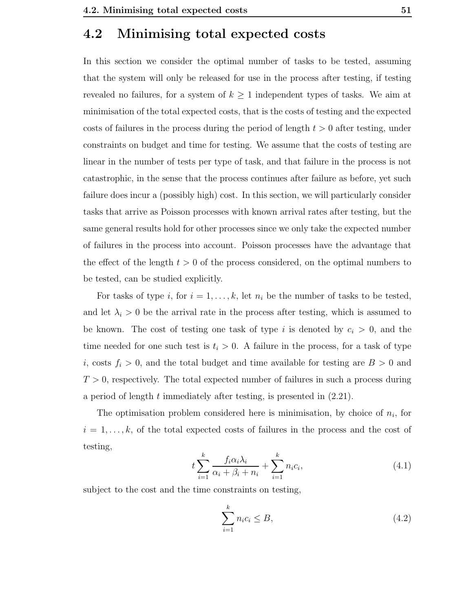## 4.2 Minimising total expected costs

In this section we consider the optimal number of tasks to be tested, assuming that the system will only be released for use in the process after testing, if testing revealed no failures, for a system of  $k \geq 1$  independent types of tasks. We aim at minimisation of the total expected costs, that is the costs of testing and the expected costs of failures in the process during the period of length  $t > 0$  after testing, under constraints on budget and time for testing. We assume that the costs of testing are linear in the number of tests per type of task, and that failure in the process is not catastrophic, in the sense that the process continues after failure as before, yet such failure does incur a (possibly high) cost. In this section, we will particularly consider tasks that arrive as Poisson processes with known arrival rates after testing, but the same general results hold for other processes since we only take the expected number of failures in the process into account. Poisson processes have the advantage that the effect of the length  $t > 0$  of the process considered, on the optimal numbers to be tested, can be studied explicitly.

For tasks of type i, for  $i = 1, \ldots, k$ , let  $n_i$  be the number of tasks to be tested, and let  $\lambda_i > 0$  be the arrival rate in the process after testing, which is assumed to be known. The cost of testing one task of type i is denoted by  $c_i > 0$ , and the time needed for one such test is  $t_i > 0$ . A failure in the process, for a task of type i, costs  $f_i > 0$ , and the total budget and time available for testing are  $B > 0$  and  $T > 0$ , respectively. The total expected number of failures in such a process during a period of length t immediately after testing, is presented in (2.21).

The optimisation problem considered here is minimisation, by choice of  $n_i$ , for  $i = 1, \ldots, k$ , of the total expected costs of failures in the process and the cost of testing,

$$
t\sum_{i=1}^{k} \frac{f_i \alpha_i \lambda_i}{\alpha_i + \beta_i + n_i} + \sum_{i=1}^{k} n_i c_i,
$$
\n(4.1)

subject to the cost and the time constraints on testing,

$$
\sum_{i=1}^{k} n_i c_i \le B,\tag{4.2}
$$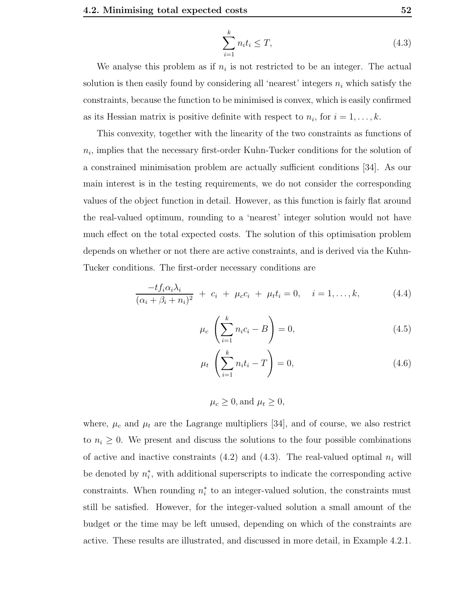$$
\sum_{i=1}^{k} n_i t_i \le T,\tag{4.3}
$$

We analyse this problem as if  $n_i$  is not restricted to be an integer. The actual solution is then easily found by considering all 'nearest' integers  $n_i$  which satisfy the constraints, because the function to be minimised is convex, which is easily confirmed as its Hessian matrix is positive definite with respect to  $n_i$ , for  $i = 1, \ldots, k$ .

This convexity, together with the linearity of the two constraints as functions of  $n_i$ , implies that the necessary first-order Kuhn-Tucker conditions for the solution of a constrained minimisation problem are actually sufficient conditions [34]. As our main interest is in the testing requirements, we do not consider the corresponding values of the object function in detail. However, as this function is fairly flat around the real-valued optimum, rounding to a 'nearest' integer solution would not have much effect on the total expected costs. The solution of this optimisation problem depends on whether or not there are active constraints, and is derived via the Kuhn-Tucker conditions. The first-order necessary conditions are

$$
\frac{-tf_i\alpha_i\lambda_i}{(\alpha_i+\beta_i+n_i)^2} + c_i + \mu_c c_i + \mu_t t_i = 0, \quad i = 1,\dots,k,
$$
\n(4.4)

$$
\mu_c \left( \sum_{i=1}^k n_i c_i - B \right) = 0, \tag{4.5}
$$

$$
\mu_t \left( \sum_{i=1}^k n_i t_i - T \right) = 0,\tag{4.6}
$$

$$
\mu_c \ge 0
$$
, and  $\mu_t \ge 0$ ,

where,  $\mu_c$  and  $\mu_t$  are the Lagrange multipliers [34], and of course, we also restrict to  $n_i \geq 0$ . We present and discuss the solutions to the four possible combinations of active and inactive constraints (4.2) and (4.3). The real-valued optimal  $n_i$  will be denoted by  $n_i^*$ , with additional superscripts to indicate the corresponding active constraints. When rounding  $n_i^*$  to an integer-valued solution, the constraints must still be satisfied. However, for the integer-valued solution a small amount of the budget or the time may be left unused, depending on which of the constraints are active. These results are illustrated, and discussed in more detail, in Example 4.2.1.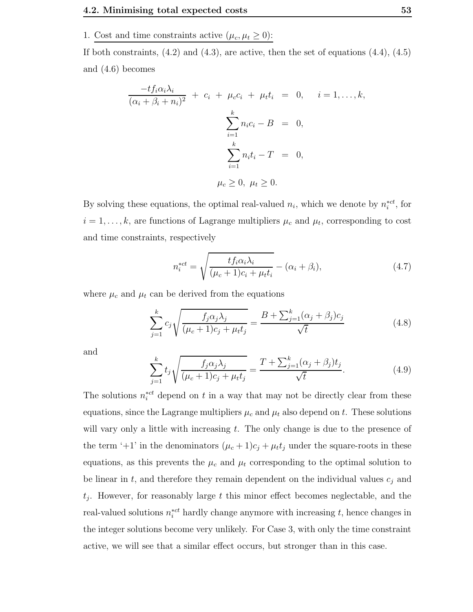1. Cost and time constraints active  $(\mu_c, \mu_t \ge 0)$ :

If both constraints,  $(4.2)$  and  $(4.3)$ , are active, then the set of equations  $(4.4)$ ,  $(4.5)$ and (4.6) becomes

$$
\frac{-tf_i\alpha_i\lambda_i}{(\alpha_i + \beta_i + n_i)^2} + c_i + \mu_c c_i + \mu_t t_i = 0, \quad i = 1, ..., k,
$$
  

$$
\sum_{i=1}^k n_i c_i - B = 0,
$$
  

$$
\sum_{i=1}^k n_i t_i - T = 0,
$$
  

$$
\mu_c \ge 0, \mu_t \ge 0.
$$

By solving these equations, the optimal real-valued  $n_i$ , which we denote by  $n_i^{*ct}$ , for  $i = 1, \ldots, k$ , are functions of Lagrange multipliers  $\mu_c$  and  $\mu_t$ , corresponding to cost and time constraints, respectively

$$
n_i^{*ct} = \sqrt{\frac{tf_i\alpha_i\lambda_i}{(\mu_c+1)c_i + \mu_t t_i}} - (\alpha_i + \beta_i),\tag{4.7}
$$

where  $\mu_c$  and  $\mu_t$  can be derived from the equations

$$
\sum_{j=1}^{k} c_j \sqrt{\frac{f_j \alpha_j \lambda_j}{(\mu_c + 1)c_j + \mu_t t_j}} = \frac{B + \sum_{j=1}^{k} (\alpha_j + \beta_j) c_j}{\sqrt{t}}
$$
(4.8)

and

$$
\sum_{j=1}^{k} t_j \sqrt{\frac{f_j \alpha_j \lambda_j}{(\mu_c + 1)c_j + \mu_t t_j}} = \frac{T + \sum_{j=1}^{k} (\alpha_j + \beta_j) t_j}{\sqrt{t}}.
$$
\n(4.9)

The solutions  $n_i^{*ct}$  depend on t in a way that may not be directly clear from these equations, since the Lagrange multipliers  $\mu_c$  and  $\mu_t$  also depend on t. These solutions will vary only a little with increasing  $t$ . The only change is due to the presence of the term '+1' in the denominators  $(\mu_c + 1)c_j + \mu_t t_j$  under the square-roots in these equations, as this prevents the  $\mu_c$  and  $\mu_t$  corresponding to the optimal solution to be linear in  $t$ , and therefore they remain dependent on the individual values  $c_j$  and  $t_j$ . However, for reasonably large  $t$  this minor effect becomes neglectable, and the real-valued solutions  $n_i^{*ct}$  hardly change anymore with increasing t, hence changes in the integer solutions become very unlikely. For Case 3, with only the time constraint active, we will see that a similar effect occurs, but stronger than in this case.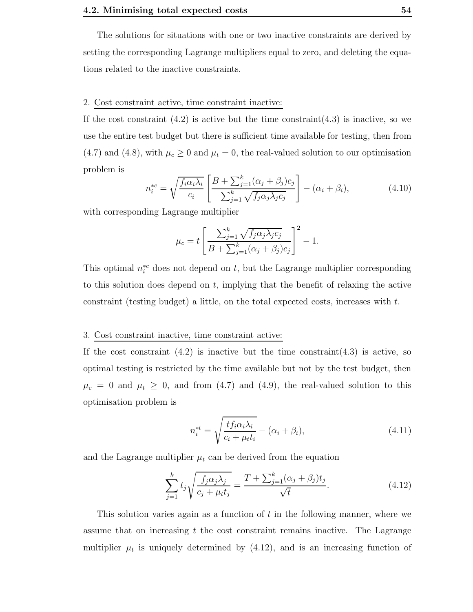The solutions for situations with one or two inactive constraints are derived by setting the corresponding Lagrange multipliers equal to zero, and deleting the equations related to the inactive constraints.

## 2. Cost constraint active, time constraint inactive:

If the cost constraint  $(4.2)$  is active but the time constraint  $(4.3)$  is inactive, so we use the entire test budget but there is sufficient time available for testing, then from (4.7) and (4.8), with  $\mu_c \geq 0$  and  $\mu_t = 0$ , the real-valued solution to our optimisation problem is

$$
n_i^{*c} = \sqrt{\frac{f_i \alpha_i \lambda_i}{c_i}} \left[ \frac{B + \sum_{j=1}^k (\alpha_j + \beta_j) c_j}{\sum_{j=1}^k \sqrt{f_j \alpha_j \lambda_j c_j}} \right] - (\alpha_i + \beta_i), \tag{4.10}
$$

with corresponding Lagrange multiplier

$$
\mu_c = t \left[ \frac{\sum_{j=1}^k \sqrt{f_j \alpha_j \lambda_j c_j}}{B + \sum_{j=1}^k (\alpha_j + \beta_j) c_j} \right]^2 - 1.
$$

This optimal  $n_i^{*c}$  does not depend on t, but the Lagrange multiplier corresponding to this solution does depend on  $t$ , implying that the benefit of relaxing the active constraint (testing budget) a little, on the total expected costs, increases with t.

## 3. Cost constraint inactive, time constraint active:

If the cost constraint  $(4.2)$  is inactive but the time constraint  $(4.3)$  is active, so optimal testing is restricted by the time available but not by the test budget, then  $\mu_c = 0$  and  $\mu_t \geq 0$ , and from (4.7) and (4.9), the real-valued solution to this optimisation problem is

$$
n_i^{*t} = \sqrt{\frac{tf_i\alpha_i\lambda_i}{c_i + \mu_t t_i}} - (\alpha_i + \beta_i),\tag{4.11}
$$

and the Lagrange multiplier  $\mu_t$  can be derived from the equation

$$
\sum_{j=1}^{k} t_j \sqrt{\frac{f_j \alpha_j \lambda_j}{c_j + \mu_t t_j}} = \frac{T + \sum_{j=1}^{k} (\alpha_j + \beta_j) t_j}{\sqrt{t}}.
$$
\n(4.12)

This solution varies again as a function of  $t$  in the following manner, where we assume that on increasing t the cost constraint remains inactive. The Lagrange multiplier  $\mu_t$  is uniquely determined by  $(4.12)$ , and is an increasing function of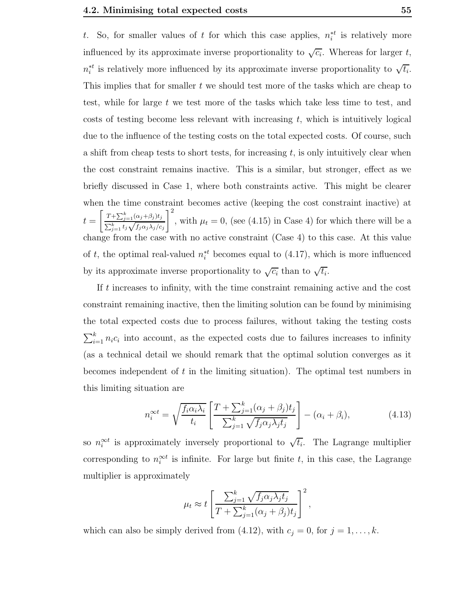t. So, for smaller values of t for which this case applies,  $n_i^{*t}$  is relatively more influenced by its approximate inverse proportionality to  $\sqrt{c_i}$ . Whereas for larger t,  $n_i^{*t}$  is relatively more influenced by its approximate inverse proportionality to  $\sqrt{t_i}$ . This implies that for smaller t we should test more of the tasks which are cheap to test, while for large  $t$  we test more of the tasks which take less time to test, and costs of testing become less relevant with increasing  $t$ , which is intuitively logical due to the influence of the testing costs on the total expected costs. Of course, such a shift from cheap tests to short tests, for increasing  $t$ , is only intuitively clear when the cost constraint remains inactive. This is a similar, but stronger, effect as we briefly discussed in Case 1, where both constraints active. This might be clearer when the time constraint becomes active (keeping the cost constraint inactive) at  $t = \left[\frac{T + \sum_{j=1}^{k} (\alpha_j + \beta_j) t_j}{\sum_{k=1}^{k} (\alpha_k + \beta_k)}\right]$  $\frac{\sum_{j=1}^{k} t_j \sqrt{f_j \alpha_j \lambda_j/c_j}}{\sum_{j=1}^{k} t_j \sqrt{f_j \alpha_j \lambda_j/c_j}}$  $\vert$ <sup>2</sup> , with  $\mu_t = 0$ , (see (4.15) in Case 4) for which there will be a change from the case with no active constraint (Case 4) to this case. At this value of t, the optimal real-valued  $n_i^{*t}$  becomes equal to (4.17), which is more influenced by its approximate inverse proportionality to  $\sqrt{c_i}$  than to  $\sqrt{t_i}$ .

If t increases to infinity, with the time constraint remaining active and the cost constraint remaining inactive, then the limiting solution can be found by minimising the total expected costs due to process failures, without taking the testing costs  $\sum_{i=1}^{k} n_i c_i$  into account, as the expected costs due to failures increases to infinity (as a technical detail we should remark that the optimal solution converges as it becomes independent of  $t$  in the limiting situation). The optimal test numbers in this limiting situation are

$$
n_i^{\infty t} = \sqrt{\frac{f_i \alpha_i \lambda_i}{t_i}} \left[ \frac{T + \sum_{j=1}^k (\alpha_j + \beta_j) t_j}{\sum_{j=1}^k \sqrt{f_j \alpha_j \lambda_j t_j}} \right] - (\alpha_i + \beta_i), \tag{4.13}
$$

so  $n_i^{\infty t}$  is approximately inversely proportional to  $\sqrt{t_i}$ . The Lagrange multiplier corresponding to  $n_i^{\infty t}$  is infinite. For large but finite t, in this case, the Lagrange multiplier is approximately

$$
\mu_t \approx t \left[ \frac{\sum_{j=1}^k \sqrt{f_j \alpha_j \lambda_j t_j}}{T + \sum_{j=1}^k (\alpha_j + \beta_j) t_j} \right]^2,
$$

which can also be simply derived from (4.12), with  $c_j = 0$ , for  $j = 1, ..., k$ .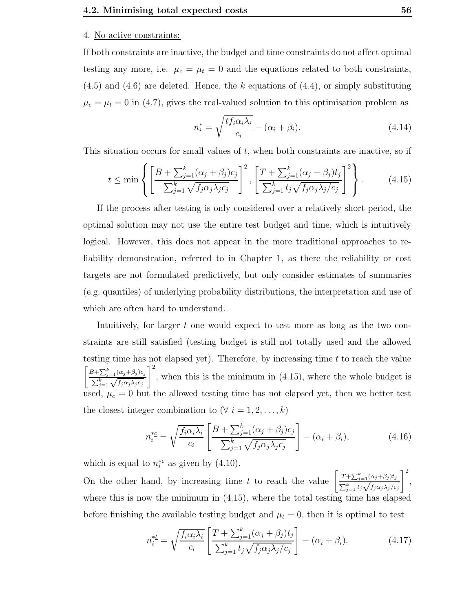#### 4. No active constraints:

If both constraints are inactive, the budget and time constraints do not affect optimal testing any more, i.e.  $\mu_c = \mu_t = 0$  and the equations related to both constraints,  $(4.5)$  and  $(4.6)$  are deleted. Hence, the k equations of  $(4.4)$ , or simply substituting  $\mu_c = \mu_t = 0$  in (4.7), gives the real-valued solution to this optimisation problem as

$$
n_i^* = \sqrt{\frac{tf_i \alpha_i \lambda_i}{c_i}} - (\alpha_i + \beta_i). \tag{4.14}
$$

This situation occurs for small values of  $t$ , when both constraints are inactive, so if

$$
t \le \min\left\{ \left[ \frac{B + \sum_{j=1}^{k} (\alpha_j + \beta_j) c_j}{\sum_{j=1}^{k} \sqrt{f_j \alpha_j \lambda_j c_j}} \right]^2, \left[ \frac{T + \sum_{j=1}^{k} (\alpha_j + \beta_j) t_j}{\sum_{j=1}^{k} t_j \sqrt{f_j \alpha_j \lambda_j / c_j}} \right]^2 \right\}.
$$
 (4.15)

If the process after testing is only considered over a relatively short period, the optimal solution may not use the entire test budget and time, which is intuitively logical. However, this does not appear in the more traditional approaches to reliability demonstration, referred to in Chapter 1, as there the reliability or cost targets are not formulated predictively, but only consider estimates of summaries (e.g. quantiles) of underlying probability distributions, the interpretation and use of which are often hard to understand.

Intuitively, for larger t one would expect to test more as long as the two constraints are still satisfied (testing budget is still not totally used and the allowed testing time has not elapsed yet). Therefore, by increasing time  $t$  to reach the value  $B + \sum_{j=1}^{k} (\alpha_j + \beta_j) c_j$  $\frac{\sum_{j=1}^k \sqrt{f_j \alpha_j \lambda_j c_j}}{\sum_{j=1}^k \sqrt{f_j \alpha_j \lambda_j c_j}}$  $\vert$ <sup>2</sup> , when this is the minimum in (4.15), where the whole budget is used,  $\mu_c = 0$  but the allowed testing time has not elapsed yet, then we better test the closest integer combination to  $(\forall i = 1, 2, \ldots, k)$ 

$$
n_i^{*c} = \sqrt{\frac{f_i \alpha_i \lambda_i}{c_i}} \left[ \frac{B + \sum_{j=1}^k (\alpha_j + \beta_j) c_j}{\sum_{j=1}^k \sqrt{f_j \alpha_j \lambda_j c_j}} \right] - (\alpha_i + \beta_i), \tag{4.16}
$$

which is equal to  $n_i^{*c}$  as given by (4.10).

On the other hand, by increasing time t to reach the value  $\left[ \frac{T + \sum_{j=1}^{k} (\alpha_j + \beta_j) t_j}{\sum_{k=1}^{k} (\alpha_k + \beta_k) t_k} \right]$  $\sum_{j=1}^k t_j \sqrt{f_j \alpha_j \lambda_j/c_j}$  $\vert$ <sup>2</sup> , where this is now the minimum in (4.15), where the total testing time has elapsed before finishing the available testing budget and  $\mu_t = 0$ , then it is optimal to test

$$
n_i^{*t} = \sqrt{\frac{f_i \alpha_i \lambda_i}{c_i}} \left[ \frac{T + \sum_{j=1}^k (\alpha_j + \beta_j) t_j}{\sum_{j=1}^k t_j \sqrt{f_j \alpha_j \lambda_j / c_j}} \right] - (\alpha_i + \beta_i). \tag{4.17}
$$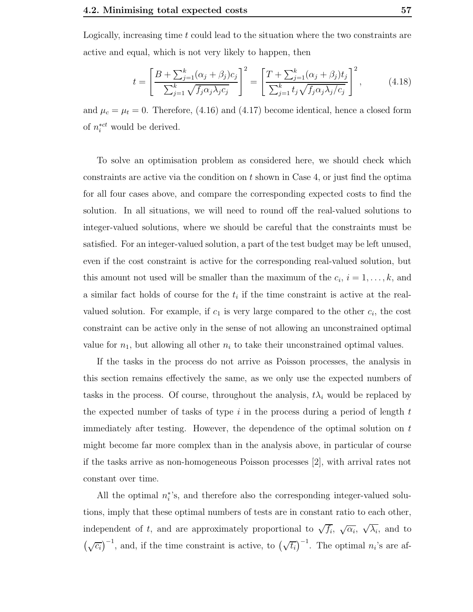Logically, increasing time t could lead to the situation where the two constraints are active and equal, which is not very likely to happen, then

$$
t = \left[\frac{B + \sum_{j=1}^{k} (\alpha_j + \beta_j) c_j}{\sum_{j=1}^{k} \sqrt{f_j \alpha_j \lambda_j c_j}}\right]^2 = \left[\frac{T + \sum_{j=1}^{k} (\alpha_j + \beta_j) t_j}{\sum_{j=1}^{k} t_j \sqrt{f_j \alpha_j \lambda_j / c_j}}\right]^2,
$$
(4.18)

and  $\mu_c = \mu_t = 0$ . Therefore, (4.16) and (4.17) become identical, hence a closed form of  $n_i^{*ct}$  would be derived.

To solve an optimisation problem as considered here, we should check which constraints are active via the condition on  $t$  shown in Case 4, or just find the optima for all four cases above, and compare the corresponding expected costs to find the solution. In all situations, we will need to round off the real-valued solutions to integer-valued solutions, where we should be careful that the constraints must be satisfied. For an integer-valued solution, a part of the test budget may be left unused, even if the cost constraint is active for the corresponding real-valued solution, but this amount not used will be smaller than the maximum of the  $c_i$ ,  $i = 1, \ldots, k$ , and a similar fact holds of course for the  $t_i$  if the time constraint is active at the realvalued solution. For example, if  $c_1$  is very large compared to the other  $c_i$ , the cost constraint can be active only in the sense of not allowing an unconstrained optimal value for  $n_1$ , but allowing all other  $n_i$  to take their unconstrained optimal values.

If the tasks in the process do not arrive as Poisson processes, the analysis in this section remains effectively the same, as we only use the expected numbers of tasks in the process. Of course, throughout the analysis,  $t\lambda_i$  would be replaced by the expected number of tasks of type  $i$  in the process during a period of length  $t$ immediately after testing. However, the dependence of the optimal solution on t might become far more complex than in the analysis above, in particular of course if the tasks arrive as non-homogeneous Poisson processes [2], with arrival rates not constant over time.

All the optimal  $n_i^*$ 's, and therefore also the corresponding integer-valued solutions, imply that these optimal numbers of tests are in constant ratio to each other, independent of t, and are approximately proportional to  $\sqrt{f_i}$ ,  $\sqrt{\alpha_i}$ ,  $\sqrt{\lambda_i}$ , and to  $(\sqrt{c_i})^{-1}$ , and, if the time constraint is active, to  $(\sqrt{t_i})^{-1}$ . The optimal  $n_i$ 's are af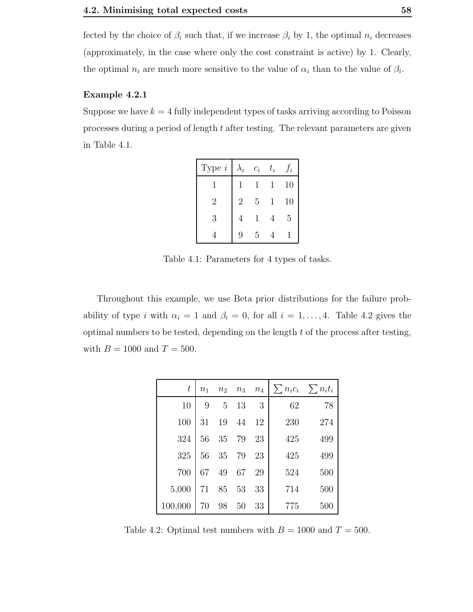fected by the choice of  $\beta_i$  such that, if we increase  $\beta_i$  by 1, the optimal  $n_i$  decreases (approximately, in the case where only the cost constraint is active) by 1. Clearly, the optimal  $n_i$  are much more sensitive to the value of  $\alpha_i$  than to the value of  $\beta_i$ .

#### Example 4.2.1

Suppose we have  $k = 4$  fully independent types of tasks arriving according to Poisson processes during a period of length t after testing. The relevant parameters are given in Table 4.1.

| Type $i$ | $\lambda_i$    | $c_i$ | $t_i$ | $J_{i}$ |
|----------|----------------|-------|-------|---------|
|          |                | 1     | 1     | 10      |
| 2        | $\overline{2}$ | 5     | 1     | 10      |
| 3        |                | 1     |       | 5       |
|          | Q              | 5     |       |         |

Table 4.1: Parameters for 4 types of tasks.

Throughout this example, we use Beta prior distributions for the failure probability of type i with  $\alpha_i = 1$  and  $\beta_i = 0$ , for all  $i = 1, ..., 4$ . Table 4.2 gives the optimal numbers to be tested, depending on the length  $t$  of the process after testing, with  $B = 1000$  and  $T = 500$ .

| $\,t$   | n <sub>1</sub> | n <sub>2</sub> | $n_3$ | $n_4$ | $\sum n_i c_i \quad \sum n_i t_i$ |     |
|---------|----------------|----------------|-------|-------|-----------------------------------|-----|
| 10      | 9              | 5              | 13    | 3     | 62                                | 78  |
| 100     | 31             | 19             | 44    | 12    | 230                               | 274 |
| 324     | 56             | 35             | 79    | 23    | 425                               | 499 |
| 325     | 56             | 35             | 79    | 23    | 425                               | 499 |
| 700     | 67             | 49             | 67    | 29    | 524                               | 500 |
| 5,000   | 71             | 85             | 53    | 33    | 714                               | 500 |
| 100,000 | 70             | 98             | 50    | 33    | 775                               | 500 |

Table 4.2: Optimal test numbers with  $B = 1000$  and  $T = 500$ .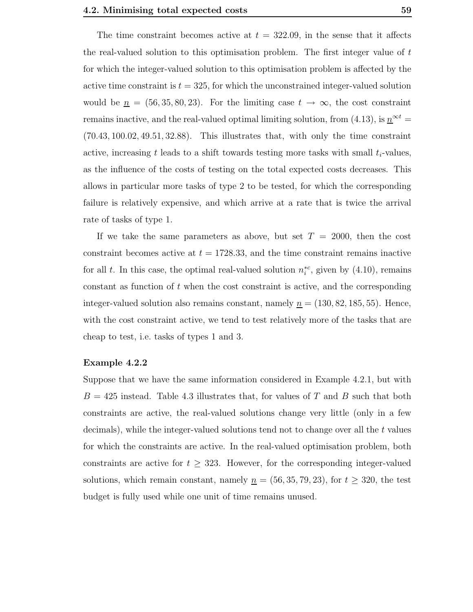The time constraint becomes active at  $t = 322.09$ , in the sense that it affects the real-valued solution to this optimisation problem. The first integer value of  $t$ for which the integer-valued solution to this optimisation problem is affected by the active time constraint is  $t = 325$ , for which the unconstrained integer-valued solution would be  $n = (56, 35, 80, 23)$ . For the limiting case  $t \to \infty$ , the cost constraint remains inactive, and the real-valued optimal limiting solution, from (4.13), is  $n^{\infty t} =$ (70.43, 100.02, 49.51, 32.88). This illustrates that, with only the time constraint active, increasing t leads to a shift towards testing more tasks with small  $t_i$ -values, as the influence of the costs of testing on the total expected costs decreases. This allows in particular more tasks of type 2 to be tested, for which the corresponding failure is relatively expensive, and which arrive at a rate that is twice the arrival rate of tasks of type 1.

If we take the same parameters as above, but set  $T = 2000$ , then the cost constraint becomes active at  $t = 1728.33$ , and the time constraint remains inactive for all t. In this case, the optimal real-valued solution  $n_i^{*c}$ , given by (4.10), remains constant as function of  $t$  when the cost constraint is active, and the corresponding integer-valued solution also remains constant, namely  $n = (130, 82, 185, 55)$ . Hence, with the cost constraint active, we tend to test relatively more of the tasks that are cheap to test, i.e. tasks of types 1 and 3.

#### Example 4.2.2

Suppose that we have the same information considered in Example 4.2.1, but with  $B = 425$  instead. Table 4.3 illustrates that, for values of T and B such that both constraints are active, the real-valued solutions change very little (only in a few decimals), while the integer-valued solutions tend not to change over all the  $t$  values for which the constraints are active. In the real-valued optimisation problem, both constraints are active for  $t \geq 323$ . However, for the corresponding integer-valued solutions, which remain constant, namely  $n = (56, 35, 79, 23)$ , for  $t \geq 320$ , the test budget is fully used while one unit of time remains unused.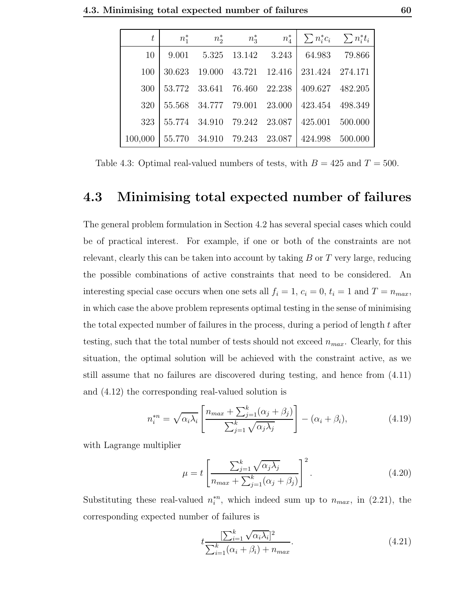| t       | $n_1^*$ | $n_2^*$                     | $n_3^*$       |                             | $n_4^*$ $\sum n_i^* c_i$ $\sum n_i^* t_i$ |         |
|---------|---------|-----------------------------|---------------|-----------------------------|-------------------------------------------|---------|
| 10      | 9.001   |                             |               | 5.325 13.142 3.243          | 64.983                                    | 79.866  |
| 100     | 30.623  | 19.000                      |               | 43.721 12.416               | 231.424 274.171                           |         |
| 300     |         |                             |               | 53.772 33.641 76.460 22.238 | 409.627                                   | 482.205 |
| 320     |         | 55.568 34.777 79.001 23.000 |               |                             | 423.454 498.349                           |         |
| 323     |         | 55.774 34.910               | 79.242 23.087 |                             | 425.001                                   | 500.000 |
| 100,000 |         | 55.770 34.910               | 79.243 23.087 |                             | 424.998                                   | 500.000 |

Table 4.3: Optimal real-valued numbers of tests, with  $B = 425$  and  $T = 500$ .

## 4.3 Minimising total expected number of failures

The general problem formulation in Section 4.2 has several special cases which could be of practical interest. For example, if one or both of the constraints are not relevant, clearly this can be taken into account by taking  $B$  or  $T$  very large, reducing the possible combinations of active constraints that need to be considered. An interesting special case occurs when one sets all  $f_i = 1$ ,  $c_i = 0$ ,  $t_i = 1$  and  $T = n_{max}$ , in which case the above problem represents optimal testing in the sense of minimising the total expected number of failures in the process, during a period of length  $t$  after testing, such that the total number of tests should not exceed  $n_{max}$ . Clearly, for this situation, the optimal solution will be achieved with the constraint active, as we still assume that no failures are discovered during testing, and hence from (4.11) and (4.12) the corresponding real-valued solution is

$$
n_i^{*n} = \sqrt{\alpha_i \lambda_i} \left[ \frac{n_{max} + \sum_{j=1}^k (\alpha_j + \beta_j)}{\sum_{j=1}^k \sqrt{\alpha_j \lambda_j}} \right] - (\alpha_i + \beta_i), \tag{4.19}
$$

with Lagrange multiplier

$$
\mu = t \left[ \frac{\sum_{j=1}^{k} \sqrt{\alpha_j \lambda_j}}{n_{max} + \sum_{j=1}^{k} (\alpha_j + \beta_j)} \right]^2.
$$
\n(4.20)

Substituting these real-valued  $n_i^{*n}$ , which indeed sum up to  $n_{max}$ , in (2.21), the corresponding expected number of failures is

$$
t \frac{\left[\sum_{i=1}^{k} \sqrt{\alpha_i \lambda_i}\right]^2}{\sum_{i=1}^{k} (\alpha_i + \beta_i) + n_{max}}.\tag{4.21}
$$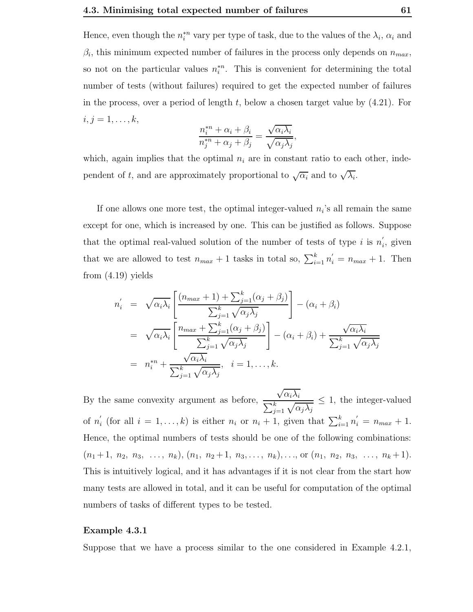Hence, even though the  $n_i^{*n}$  vary per type of task, due to the values of the  $\lambda_i$ ,  $\alpha_i$  and  $\beta_i$ , this minimum expected number of failures in the process only depends on  $n_{max}$ , so not on the particular values  $n_i^{*n}$ . This is convenient for determining the total number of tests (without failures) required to get the expected number of failures in the process, over a period of length t, below a chosen target value by  $(4.21)$ . For  $i, j = 1, \ldots, k,$ 

$$
\frac{n_i^{*n} + \alpha_i + \beta_i}{n_j^{*n} + \alpha_j + \beta_j} = \frac{\sqrt{\alpha_i \lambda_i}}{\sqrt{\alpha_j \lambda_j}},
$$

which, again implies that the optimal  $n_i$  are in constant ratio to each other, independent of t, and are approximately proportional to  $\sqrt{\alpha_i}$  and to  $\sqrt{\lambda_i}$ .

If one allows one more test, the optimal integer-valued  $n_i$ 's all remain the same except for one, which is increased by one. This can be justified as follows. Suppose that the optimal real-valued solution of the number of tests of type i is  $n'_i$  $i$ , given that we are allowed to test  $n_{max} + 1$  tasks in total so,  $\sum_{i=1}^{k} n'_{i} = n_{max} + 1$ . Then from (4.19) yields

$$
n'_{i} = \sqrt{\alpha_{i}\lambda_{i}} \left[ \frac{(n_{max} + 1) + \sum_{j=1}^{k} (\alpha_{j} + \beta_{j})}{\sum_{j=1}^{k} \sqrt{\alpha_{j}\lambda_{j}}} \right] - (\alpha_{i} + \beta_{i})
$$
  
\n
$$
= \sqrt{\alpha_{i}\lambda_{i}} \left[ \frac{n_{max} + \sum_{j=1}^{k} (\alpha_{j} + \beta_{j})}{\sum_{j=1}^{k} \sqrt{\alpha_{j}\lambda_{j}}} \right] - (\alpha_{i} + \beta_{i}) + \frac{\sqrt{\alpha_{i}\lambda_{i}}}{\sum_{j=1}^{k} \sqrt{\alpha_{j}\lambda_{j}}}
$$
  
\n
$$
= n_{i}^{*n} + \frac{\sqrt{\alpha_{i}\lambda_{i}}}{\sum_{j=1}^{k} \sqrt{\alpha_{j}\lambda_{j}}}, \quad i = 1, ..., k.
$$

By the same convexity argument as before,  $\sqrt{\alpha_i \lambda_i}$  $\frac{\sqrt{\alpha_i \mu_i}}{\sum_{j=1}^k \sqrt{\alpha_j \lambda_j}} \leq 1$ , the integer-valued of  $n'_i$  (for all  $i = 1, ..., k$ ) is either  $n_i$  or  $n_i + 1$ , given that  $\sum_{i=1}^k n'_i = n_{max} + 1$ .  $\frac{1}{2}$   $\frac{1}{2}$   $\frac{1}{2}$   $\frac{1}{2}$   $\frac{1}{2}$   $\frac{1}{2}$   $\frac{1}{2}$   $\frac{1}{2}$   $\frac{1}{2}$   $\frac{1}{2}$   $\frac{1}{2}$   $\frac{1}{2}$   $\frac{1}{2}$   $\frac{1}{2}$   $\frac{1}{2}$   $\frac{1}{2}$   $\frac{1}{2}$   $\frac{1}{2}$   $\frac{1}{2}$   $\frac{1}{2}$   $\frac{1}{2}$   $\frac{1}{2}$  Hence, the optimal numbers of tests should be one of the following combinations:  $(n_1+1, n_2, n_3, \ldots, n_k), (n_1, n_2+1, n_3, \ldots, n_k), \ldots, \text{or } (n_1, n_2, n_3, \ldots, n_k+1).$ This is intuitively logical, and it has advantages if it is not clear from the start how many tests are allowed in total, and it can be useful for computation of the optimal numbers of tasks of different types to be tested.

## Example 4.3.1

Suppose that we have a process similar to the one considered in Example 4.2.1,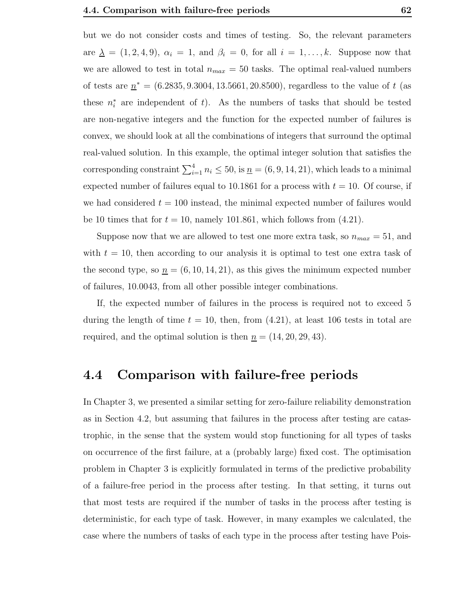but we do not consider costs and times of testing. So, the relevant parameters are  $\underline{\lambda} = (1, 2, 4, 9), \alpha_i = 1, \text{ and } \beta_i = 0, \text{ for all } i = 1, \ldots, k.$  Suppose now that we are allowed to test in total  $n_{max} = 50$  tasks. The optimal real-valued numbers of tests are  $n^* = (6.2835, 9.3004, 13.5661, 20.8500)$ , regardless to the value of t (as these  $n_i^*$  are independent of t). As the numbers of tasks that should be tested are non-negative integers and the function for the expected number of failures is convex, we should look at all the combinations of integers that surround the optimal real-valued solution. In this example, the optimal integer solution that satisfies the corresponding constraint  $\sum_{i=1}^{4} n_i \le 50$ , is  $\underline{n} = (6, 9, 14, 21)$ , which leads to a minimal expected number of failures equal to 10.1861 for a process with  $t = 10$ . Of course, if we had considered  $t = 100$  instead, the minimal expected number of failures would be 10 times that for  $t = 10$ , namely 101.861, which follows from (4.21).

Suppose now that we are allowed to test one more extra task, so  $n_{max} = 51$ , and with  $t = 10$ , then according to our analysis it is optimal to test one extra task of the second type, so  $n = (6, 10, 14, 21)$ , as this gives the minimum expected number of failures, 10.0043, from all other possible integer combinations.

If, the expected number of failures in the process is required not to exceed 5 during the length of time  $t = 10$ , then, from  $(4.21)$ , at least 106 tests in total are required, and the optimal solution is then  $n = (14, 20, 29, 43)$ .

## 4.4 Comparison with failure-free periods

In Chapter 3, we presented a similar setting for zero-failure reliability demonstration as in Section 4.2, but assuming that failures in the process after testing are catastrophic, in the sense that the system would stop functioning for all types of tasks on occurrence of the first failure, at a (probably large) fixed cost. The optimisation problem in Chapter 3 is explicitly formulated in terms of the predictive probability of a failure-free period in the process after testing. In that setting, it turns out that most tests are required if the number of tasks in the process after testing is deterministic, for each type of task. However, in many examples we calculated, the case where the numbers of tasks of each type in the process after testing have Pois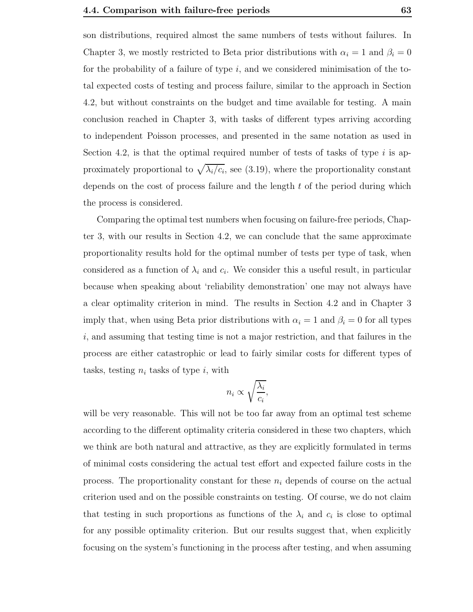son distributions, required almost the same numbers of tests without failures. In Chapter 3, we mostly restricted to Beta prior distributions with  $\alpha_i = 1$  and  $\beta_i = 0$ for the probability of a failure of type  $i$ , and we considered minimisation of the total expected costs of testing and process failure, similar to the approach in Section 4.2, but without constraints on the budget and time available for testing. A main conclusion reached in Chapter 3, with tasks of different types arriving according to independent Poisson processes, and presented in the same notation as used in Section 4.2, is that the optimal required number of tests of tasks of type  $i$  is approximately proportional to  $\sqrt{\lambda_i/c_i}$ , see (3.19), where the proportionality constant depends on the cost of process failure and the length  $t$  of the period during which the process is considered.

Comparing the optimal test numbers when focusing on failure-free periods, Chapter 3, with our results in Section 4.2, we can conclude that the same approximate proportionality results hold for the optimal number of tests per type of task, when considered as a function of  $\lambda_i$  and  $c_i$ . We consider this a useful result, in particular because when speaking about 'reliability demonstration' one may not always have a clear optimality criterion in mind. The results in Section 4.2 and in Chapter 3 imply that, when using Beta prior distributions with  $\alpha_i = 1$  and  $\beta_i = 0$  for all types  $i$ , and assuming that testing time is not a major restriction, and that failures in the process are either catastrophic or lead to fairly similar costs for different types of tasks, testing  $n_i$  tasks of type i, with

$$
n_i \propto \sqrt{\frac{\lambda_i}{c_i}},
$$

will be very reasonable. This will not be too far away from an optimal test scheme according to the different optimality criteria considered in these two chapters, which we think are both natural and attractive, as they are explicitly formulated in terms of minimal costs considering the actual test effort and expected failure costs in the process. The proportionality constant for these  $n_i$  depends of course on the actual criterion used and on the possible constraints on testing. Of course, we do not claim that testing in such proportions as functions of the  $\lambda_i$  and  $c_i$  is close to optimal for any possible optimality criterion. But our results suggest that, when explicitly focusing on the system's functioning in the process after testing, and when assuming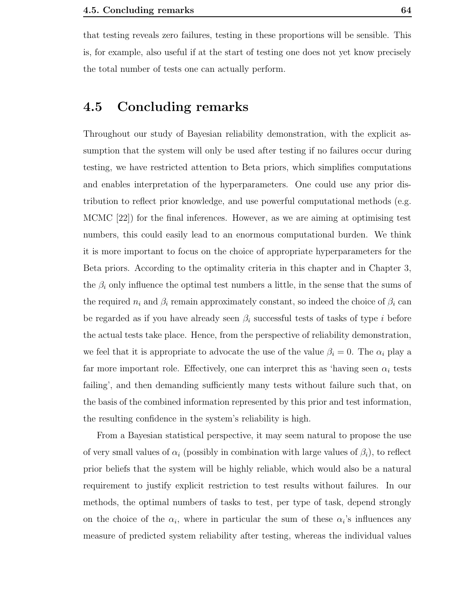that testing reveals zero failures, testing in these proportions will be sensible. This is, for example, also useful if at the start of testing one does not yet know precisely the total number of tests one can actually perform.

## 4.5 Concluding remarks

Throughout our study of Bayesian reliability demonstration, with the explicit assumption that the system will only be used after testing if no failures occur during testing, we have restricted attention to Beta priors, which simplifies computations and enables interpretation of the hyperparameters. One could use any prior distribution to reflect prior knowledge, and use powerful computational methods (e.g. MCMC [22]) for the final inferences. However, as we are aiming at optimising test numbers, this could easily lead to an enormous computational burden. We think it is more important to focus on the choice of appropriate hyperparameters for the Beta priors. According to the optimality criteria in this chapter and in Chapter 3, the  $\beta_i$  only influence the optimal test numbers a little, in the sense that the sums of the required  $n_i$  and  $\beta_i$  remain approximately constant, so indeed the choice of  $\beta_i$  can be regarded as if you have already seen  $\beta_i$  successful tests of tasks of type i before the actual tests take place. Hence, from the perspective of reliability demonstration, we feel that it is appropriate to advocate the use of the value  $\beta_i = 0$ . The  $\alpha_i$  play a far more important role. Effectively, one can interpret this as 'having seen  $\alpha_i$  tests failing', and then demanding sufficiently many tests without failure such that, on the basis of the combined information represented by this prior and test information, the resulting confidence in the system's reliability is high.

From a Bayesian statistical perspective, it may seem natural to propose the use of very small values of  $\alpha_i$  (possibly in combination with large values of  $\beta_i$ ), to reflect prior beliefs that the system will be highly reliable, which would also be a natural requirement to justify explicit restriction to test results without failures. In our methods, the optimal numbers of tasks to test, per type of task, depend strongly on the choice of the  $\alpha_i$ , where in particular the sum of these  $\alpha_i$ 's influences any measure of predicted system reliability after testing, whereas the individual values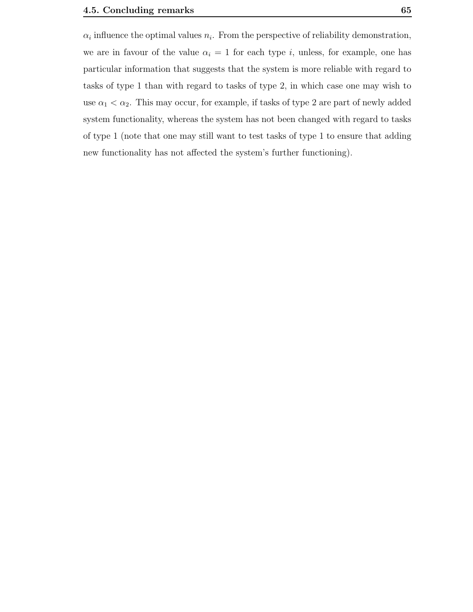$\alpha_i$  influence the optimal values  $n_i$ . From the perspective of reliability demonstration, we are in favour of the value  $\alpha_i = 1$  for each type i, unless, for example, one has particular information that suggests that the system is more reliable with regard to tasks of type 1 than with regard to tasks of type 2, in which case one may wish to use  $\alpha_1 < \alpha_2$ . This may occur, for example, if tasks of type 2 are part of newly added system functionality, whereas the system has not been changed with regard to tasks of type 1 (note that one may still want to test tasks of type 1 to ensure that adding new functionality has not affected the system's further functioning).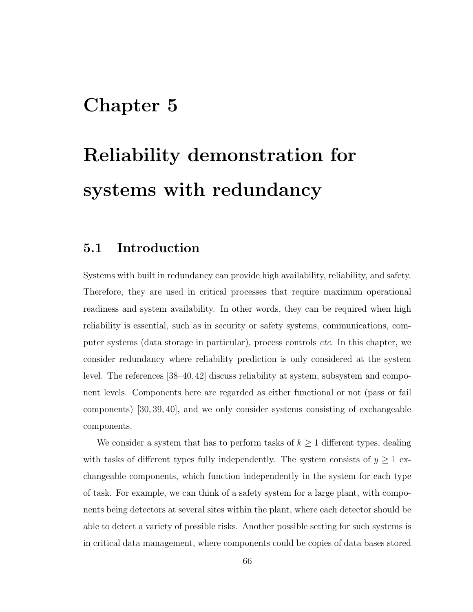## Chapter 5

# Reliability demonstration for systems with redundancy

## 5.1 Introduction

Systems with built in redundancy can provide high availability, reliability, and safety. Therefore, they are used in critical processes that require maximum operational readiness and system availability. In other words, they can be required when high reliability is essential, such as in security or safety systems, communications, computer systems (data storage in particular), process controls etc. In this chapter, we consider redundancy where reliability prediction is only considered at the system level. The references [38–40,42] discuss reliability at system, subsystem and component levels. Components here are regarded as either functional or not (pass or fail components) [30, 39, 40], and we only consider systems consisting of exchangeable components.

We consider a system that has to perform tasks of  $k \geq 1$  different types, dealing with tasks of different types fully independently. The system consists of  $y \ge 1$  exchangeable components, which function independently in the system for each type of task. For example, we can think of a safety system for a large plant, with components being detectors at several sites within the plant, where each detector should be able to detect a variety of possible risks. Another possible setting for such systems is in critical data management, where components could be copies of data bases stored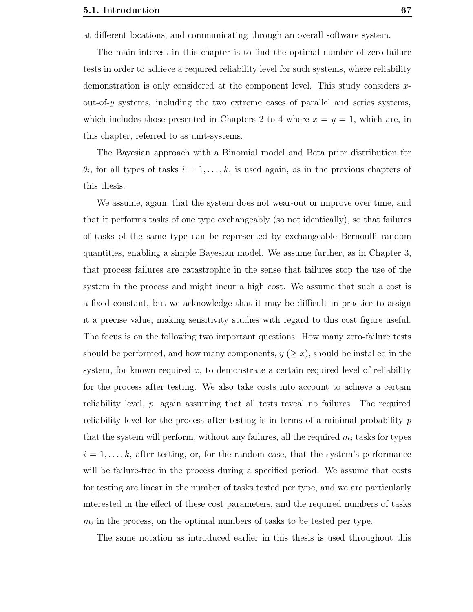at different locations, and communicating through an overall software system.

The main interest in this chapter is to find the optimal number of zero-failure tests in order to achieve a required reliability level for such systems, where reliability demonstration is only considered at the component level. This study considers xout-of- $\gamma$  systems, including the two extreme cases of parallel and series systems, which includes those presented in Chapters 2 to 4 where  $x = y = 1$ , which are, in this chapter, referred to as unit-systems.

The Bayesian approach with a Binomial model and Beta prior distribution for  $\theta_i$ , for all types of tasks  $i = 1, \ldots, k$ , is used again, as in the previous chapters of this thesis.

We assume, again, that the system does not wear-out or improve over time, and that it performs tasks of one type exchangeably (so not identically), so that failures of tasks of the same type can be represented by exchangeable Bernoulli random quantities, enabling a simple Bayesian model. We assume further, as in Chapter 3, that process failures are catastrophic in the sense that failures stop the use of the system in the process and might incur a high cost. We assume that such a cost is a fixed constant, but we acknowledge that it may be difficult in practice to assign it a precise value, making sensitivity studies with regard to this cost figure useful. The focus is on the following two important questions: How many zero-failure tests should be performed, and how many components,  $y \ (\geq x)$ , should be installed in the system, for known required x, to demonstrate a certain required level of reliability for the process after testing. We also take costs into account to achieve a certain reliability level, p, again assuming that all tests reveal no failures. The required reliability level for the process after testing is in terms of a minimal probability p that the system will perform, without any failures, all the required  $m_i$  tasks for types  $i = 1, \ldots, k$ , after testing, or, for the random case, that the system's performance will be failure-free in the process during a specified period. We assume that costs for testing are linear in the number of tasks tested per type, and we are particularly interested in the effect of these cost parameters, and the required numbers of tasks  $m_i$  in the process, on the optimal numbers of tasks to be tested per type.

The same notation as introduced earlier in this thesis is used throughout this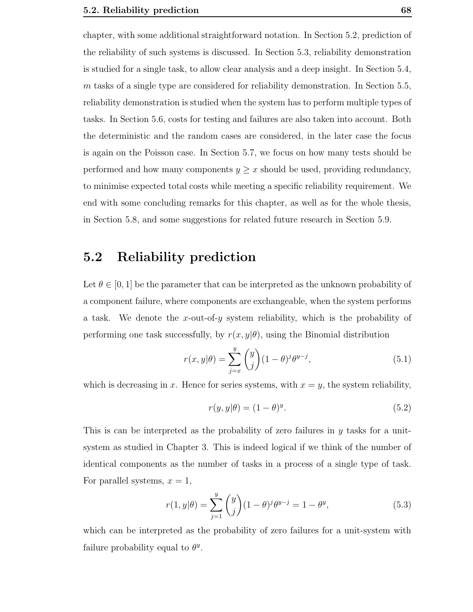chapter, with some additional straightforward notation. In Section 5.2, prediction of the reliability of such systems is discussed. In Section 5.3, reliability demonstration is studied for a single task, to allow clear analysis and a deep insight. In Section 5.4, m tasks of a single type are considered for reliability demonstration. In Section 5.5, reliability demonstration is studied when the system has to perform multiple types of tasks. In Section 5.6, costs for testing and failures are also taken into account. Both the deterministic and the random cases are considered, in the later case the focus is again on the Poisson case. In Section 5.7, we focus on how many tests should be performed and how many components  $y \geq x$  should be used, providing redundancy, to minimise expected total costs while meeting a specific reliability requirement. We end with some concluding remarks for this chapter, as well as for the whole thesis, in Section 5.8, and some suggestions for related future research in Section 5.9.

## 5.2 Reliability prediction

Let  $\theta \in [0,1]$  be the parameter that can be interpreted as the unknown probability of a component failure, where components are exchangeable, when the system performs a task. We denote the x-out-of-y system reliability, which is the probability of performing one task successfully, by  $r(x, y | \theta)$ , using the Binomial distribution

$$
r(x,y|\theta) = \sum_{j=x}^{y} {y \choose j} (1-\theta)^j \theta^{y-j}, \qquad (5.1)
$$

which is decreasing in x. Hence for series systems, with  $x = y$ , the system reliability,

$$
r(y, y|\theta) = (1 - \theta)^y.
$$
\n<sup>(5.2)</sup>

This is can be interpreted as the probability of zero failures in  $y$  tasks for a unitsystem as studied in Chapter 3. This is indeed logical if we think of the number of identical components as the number of tasks in a process of a single type of task. For parallel systems,  $x = 1$ ,

$$
r(1, y|\theta) = \sum_{j=1}^{y} {y \choose j} (1 - \theta)^j \theta^{y-j} = 1 - \theta^y,
$$
\n(5.3)

which can be interpreted as the probability of zero failures for a unit-system with failure probability equal to  $\theta^y$ .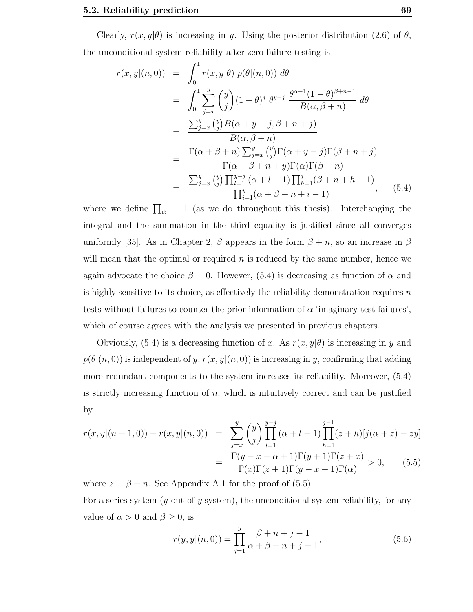Clearly,  $r(x, y|\theta)$  is increasing in y. Using the posterior distribution (2.6) of  $\theta$ , the unconditional system reliability after zero-failure testing is

$$
r(x,y|(n,0)) = \int_0^1 r(x,y|\theta) p(\theta|(n,0)) d\theta
$$
  
\n
$$
= \int_0^1 \sum_{j=x}^y {y \choose j} (1-\theta)^j \theta^{y-j} \frac{\theta^{\alpha-1}(1-\theta)^{\beta+n-1}}{B(\alpha,\beta+n)} d\theta
$$
  
\n
$$
= \frac{\sum_{j=x}^y {y \choose j} B(\alpha+y-j,\beta+n+j)}{B(\alpha,\beta+n)}
$$
  
\n
$$
= \frac{\Gamma(\alpha+\beta+n) \sum_{j=x}^y {y \choose j} \Gamma(\alpha+y-j) \Gamma(\beta+n+j)}{\Gamma(\alpha+\beta+n+y) \Gamma(\alpha) \Gamma(\beta+n)}
$$
  
\n
$$
= \frac{\sum_{j=x}^y {y \choose j} \prod_{l=1}^{y-j} (\alpha+l-1) \prod_{h=1}^j (\beta+n+h-1)}{\prod_{i=1}^y (\alpha+\beta+n+i-1)}, \quad (5.4)
$$

where we define  $\prod_{\emptyset} = 1$  (as we do throughout this thesis). Interchanging the integral and the summation in the third equality is justified since all converges uniformly [35]. As in Chapter 2,  $\beta$  appears in the form  $\beta + n$ , so an increase in  $\beta$ will mean that the optimal or required  $n$  is reduced by the same number, hence we again advocate the choice  $\beta = 0$ . However, (5.4) is decreasing as function of  $\alpha$  and is highly sensitive to its choice, as effectively the reliability demonstration requires  $n$ tests without failures to counter the prior information of  $\alpha$  'imaginary test failures', which of course agrees with the analysis we presented in previous chapters.

Obviously,  $(5.4)$  is a decreasing function of x. As  $r(x, y|\theta)$  is increasing in y and  $p(\theta|(n,0))$  is independent of y,  $r(x,y|(n,0))$  is increasing in y, confirming that adding more redundant components to the system increases its reliability. Moreover, (5.4) is strictly increasing function of  $n$ , which is intuitively correct and can be justified by

$$
r(x,y|(n+1,0)) - r(x,y|(n,0)) = \sum_{j=x}^{y} {y \choose j} \prod_{l=1}^{y-j} (\alpha + l - 1) \prod_{h=1}^{j-1} (z+h) [j(\alpha + z) - zy]
$$

$$
= \frac{\Gamma(y-x+\alpha+1)\Gamma(y+1)\Gamma(z+x)}{\Gamma(x)\Gamma(z+1)\Gamma(y-x+1)\Gamma(\alpha)} > 0, \qquad (5.5)
$$

where  $z = \beta + n$ . See Appendix A.1 for the proof of (5.5). For a series system  $(y$ -out-of- $y$  system), the unconditional system reliability, for any value of  $\alpha > 0$  and  $\beta \geq 0$ , is

$$
r(y, y | (n, 0)) = \prod_{j=1}^{y} \frac{\beta + n + j - 1}{\alpha + \beta + n + j - 1},
$$
\n(5.6)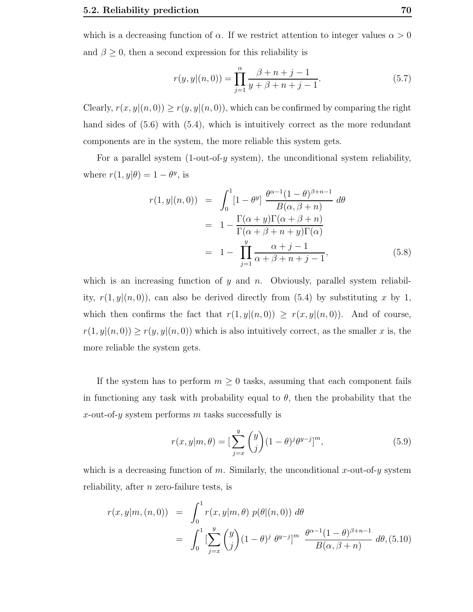which is a decreasing function of  $\alpha$ . If we restrict attention to integer values  $\alpha > 0$ and  $\beta \geq 0$ , then a second expression for this reliability is

$$
r(y, y | (n, 0)) = \prod_{j=1}^{\alpha} \frac{\beta + n + j - 1}{y + \beta + n + j - 1}.
$$
 (5.7)

Clearly,  $r(x, y|(n, 0)) \ge r(y, y|(n, 0))$ , which can be confirmed by comparing the right hand sides of  $(5.6)$  with  $(5.4)$ , which is intuitively correct as the more redundant components are in the system, the more reliable this system gets.

For a parallel system (1-out-of-y system), the unconditional system reliability, where  $r(1, y | \theta) = 1 - \theta^y$ , is

$$
r(1, y | (n, 0)) = \int_0^1 [1 - \theta^y] \frac{\theta^{\alpha - 1} (1 - \theta)^{\beta + n - 1}}{B(\alpha, \beta + n)} d\theta
$$
  

$$
= 1 - \frac{\Gamma(\alpha + y) \Gamma(\alpha + \beta + n)}{\Gamma(\alpha + \beta + n + y) \Gamma(\alpha)}
$$
  

$$
= 1 - \prod_{j=1}^y \frac{\alpha + j - 1}{\alpha + \beta + n + j - 1}, \tag{5.8}
$$

which is an increasing function of y and n. Obviously, parallel system reliability,  $r(1, y|(n, 0))$ , can also be derived directly from (5.4) by substituting x by 1, which then confirms the fact that  $r(1, y|(n, 0)) \ge r(x, y|(n, 0))$ . And of course,  $r(1, y|(n, 0)) \ge r(y, y|(n, 0))$  which is also intuitively correct, as the smaller x is, the more reliable the system gets.

If the system has to perform  $m \geq 0$  tasks, assuming that each component fails in functioning any task with probability equal to  $\theta$ , then the probability that the x-out-of-y system performs  $m$  tasks successfully is

$$
r(x,y|m,\theta) = \left[\sum_{j=x}^{y} \binom{y}{j} (1-\theta)^j \theta^{y-j}\right]^m, \tag{5.9}
$$

which is a decreasing function of m. Similarly, the unconditional x-out-of-y system reliability, after n zero-failure tests, is

$$
r(x, y|m, (n, 0)) = \int_0^1 r(x, y|m, \theta) p(\theta|(n, 0)) d\theta
$$
  
= 
$$
\int_0^1 \left[ \sum_{j=x}^y {y \choose j} (1 - \theta)^j \theta^{y-j} \right]^m \frac{\theta^{\alpha-1} (1 - \theta)^{\beta+n-1}}{B(\alpha, \beta+n)} d\theta, (5.10)
$$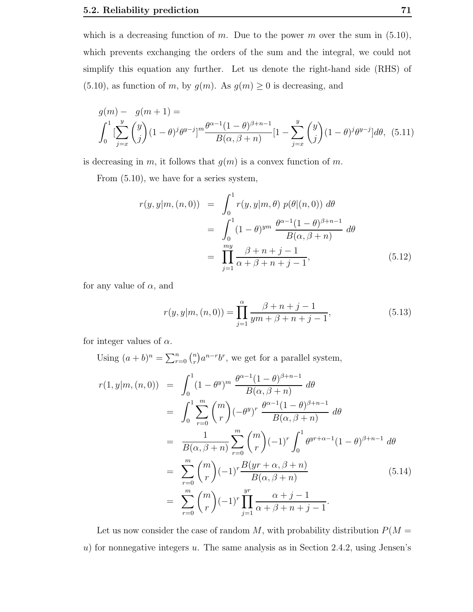which is a decreasing function of m. Due to the power m over the sum in  $(5.10)$ , which prevents exchanging the orders of the sum and the integral, we could not simplify this equation any further. Let us denote the right-hand side (RHS) of  $(5.10)$ , as function of m, by  $g(m)$ . As  $g(m) \geq 0$  is decreasing, and

$$
g(m) - g(m+1) =
$$
  

$$
\int_0^1 \left[ \sum_{j=x}^y \binom{y}{j} (1-\theta)^j \theta^{y-j} \right]^m \frac{\theta^{\alpha-1} (1-\theta)^{\beta+n-1}}{B(\alpha, \beta+n)} [1 - \sum_{j=x}^y \binom{y}{j} (1-\theta)^j \theta^{y-j}] d\theta, (5.11)
$$

is decreasing in m, it follows that  $g(m)$  is a convex function of m.

From (5.10), we have for a series system,

$$
r(y, y|m, (n, 0)) = \int_0^1 r(y, y|m, \theta) p(\theta|(n, 0)) d\theta
$$
  
= 
$$
\int_0^1 (1 - \theta)^{ym} \frac{\theta^{\alpha - 1}(1 - \theta)^{\beta + n - 1}}{B(\alpha, \beta + n)} d\theta
$$
  
= 
$$
\prod_{j=1}^{my} \frac{\beta + n + j - 1}{\alpha + \beta + n + j - 1},
$$
(5.12)

for any value of  $\alpha$ , and

$$
r(y, y|m, (n, 0)) = \prod_{j=1}^{\alpha} \frac{\beta + n + j - 1}{ym + \beta + n + j - 1},
$$
\n(5.13)

for integer values of  $\alpha$ .

Using  $(a + b)^n = \sum_{r=0}^n {n \choose r}$  $\binom{n}{r} a^{n-r} b^r$ , we get for a parallel system,

$$
r(1, y|m, (n, 0)) = \int_0^1 (1 - \theta^y)^m \frac{\theta^{\alpha - 1} (1 - \theta)^{\beta + n - 1}}{B(\alpha, \beta + n)} d\theta
$$
  
\n
$$
= \int_0^1 \sum_{r=0}^m {m \choose r} (-\theta^y)^r \frac{\theta^{\alpha - 1} (1 - \theta)^{\beta + n - 1}}{B(\alpha, \beta + n)} d\theta
$$
  
\n
$$
= \frac{1}{B(\alpha, \beta + n)} \sum_{r=0}^m {m \choose r} (-1)^r \int_0^1 \theta^{yr + \alpha - 1} (1 - \theta)^{\beta + n - 1} d\theta
$$
  
\n
$$
= \sum_{r=0}^m {m \choose r} (-1)^r \frac{B(yr + \alpha, \beta + n)}{B(\alpha, \beta + n)}
$$
(5.14)  
\n
$$
= \sum_{r=0}^m {m \choose r} (-1)^r \prod_{j=1}^m \frac{\alpha + j - 1}{\alpha + \beta + n + j - 1}.
$$

Let us now consider the case of random  $M$ , with probability distribution  $P(M =$  $u$ ) for nonnegative integers  $u$ . The same analysis as in Section 2.4.2, using Jensen's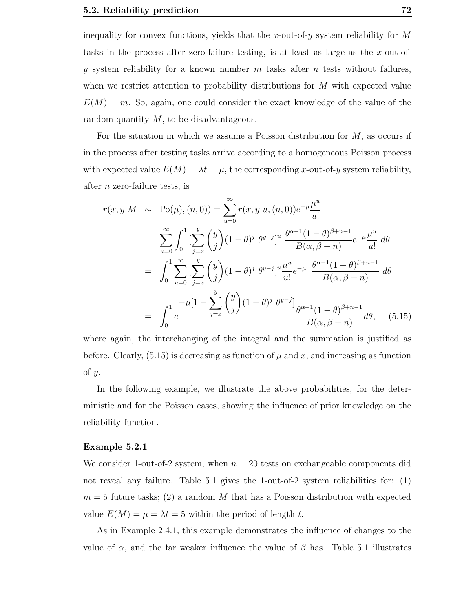inequality for convex functions, yields that the x-out-of-y system reliability for  $M$ tasks in the process after zero-failure testing, is at least as large as the  $x$ -out-ofy system reliability for a known number m tasks after n tests without failures, when we restrict attention to probability distributions for  $M$  with expected value  $E(M) = m$ . So, again, one could consider the exact knowledge of the value of the random quantity  $M$ , to be disadvantageous.

For the situation in which we assume a Poisson distribution for  $M$ , as occurs if in the process after testing tasks arrive according to a homogeneous Poisson process with expected value  $E(M) = \lambda t = \mu$ , the corresponding x-out-of-y system reliability, after n zero-failure tests, is

$$
r(x,y|M \sim Po(\mu), (n,0)) = \sum_{u=0}^{\infty} r(x,y|u, (n,0))e^{-\mu} \frac{\mu^{u}}{u!}
$$
  
\n
$$
= \sum_{u=0}^{\infty} \int_{0}^{1} \left[ \sum_{j=x}^{y} {y \choose j} (1-\theta)^{j} \theta^{y-j} \right]^{u} \frac{\theta^{\alpha-1}(1-\theta)^{\beta+n-1}}{B(\alpha,\beta+n)} e^{-\mu} \frac{\mu^{u}}{u!} d\theta
$$
  
\n
$$
= \int_{0}^{1} \sum_{u=0}^{\infty} \left[ \sum_{j=x}^{y} {y \choose j} (1-\theta)^{j} \theta^{y-j} \right]^{u} \frac{\mu^{u}}{u!} e^{-\mu} \frac{\theta^{\alpha-1}(1-\theta)^{\beta+n-1}}{B(\alpha,\beta+n)} d\theta
$$
  
\n
$$
= \int_{0}^{1} e^{-\mu} \left[1 - \sum_{j=x}^{y} {y \choose j} (1-\theta)^{j} \theta^{y-j} \right] \frac{\theta^{\alpha-1}(1-\theta)^{\beta+n-1}}{B(\alpha,\beta+n)} d\theta, \quad (5.15)
$$

where again, the interchanging of the integral and the summation is justified as before. Clearly,  $(5.15)$  is decreasing as function of  $\mu$  and x, and increasing as function of y.

In the following example, we illustrate the above probabilities, for the deterministic and for the Poisson cases, showing the influence of prior knowledge on the reliability function.

#### Example 5.2.1

We consider 1-out-of-2 system, when  $n = 20$  tests on exchangeable components did not reveal any failure. Table 5.1 gives the 1-out-of-2 system reliabilities for: (1)  $m = 5$  future tasks; (2) a random M that has a Poisson distribution with expected value  $E(M) = \mu = \lambda t = 5$  within the period of length t.

As in Example 2.4.1, this example demonstrates the influence of changes to the value of  $\alpha$ , and the far weaker influence the value of  $\beta$  has. Table 5.1 illustrates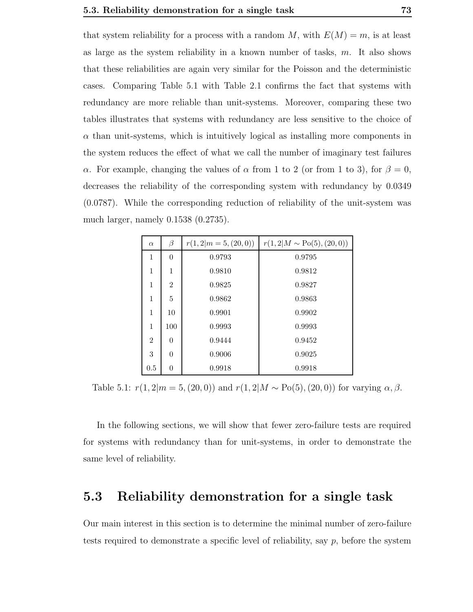that system reliability for a process with a random M, with  $E(M) = m$ , is at least as large as the system reliability in a known number of tasks,  $m$ . It also shows that these reliabilities are again very similar for the Poisson and the deterministic cases. Comparing Table 5.1 with Table 2.1 confirms the fact that systems with redundancy are more reliable than unit-systems. Moreover, comparing these two tables illustrates that systems with redundancy are less sensitive to the choice of  $\alpha$  than unit-systems, which is intuitively logical as installing more components in the system reduces the effect of what we call the number of imaginary test failures α. For example, changing the values of  $\alpha$  from 1 to 2 (or from 1 to 3), for  $\beta = 0$ , decreases the reliability of the corresponding system with redundancy by 0.0349 (0.0787). While the corresponding reduction of reliability of the unit-system was much larger, namely 0.1538 (0.2735).

| $\alpha$       | β              | $r(1,2 m=5,(20,0))$ | $r(1,2 M \sim Po(5), (20,0))$ |
|----------------|----------------|---------------------|-------------------------------|
| 1              | $\Omega$       | 0.9793              | 0.9795                        |
| 1              | 1              | 0.9810              | 0.9812                        |
| 1              | $\overline{2}$ | 0.9825              | 0.9827                        |
| 1              | 5              | 0.9862              | 0.9863                        |
| 1              | 10             | 0.9901              | 0.9902                        |
| 1              | 100            | 0.9993              | 0.9993                        |
| $\overline{2}$ | $\Omega$       | 0.9444              | 0.9452                        |
| 3              | $\Omega$       | 0.9006              | 0.9025                        |
| 0.5            | $\theta$       | 0.9918              | 0.9918                        |

Table 5.1:  $r(1, 2|m = 5, (20, 0))$  and  $r(1, 2|M \sim Po(5), (20, 0))$  for varying  $\alpha, \beta$ .

In the following sections, we will show that fewer zero-failure tests are required for systems with redundancy than for unit-systems, in order to demonstrate the same level of reliability.

## 5.3 Reliability demonstration for a single task

Our main interest in this section is to determine the minimal number of zero-failure tests required to demonstrate a specific level of reliability, say  $p$ , before the system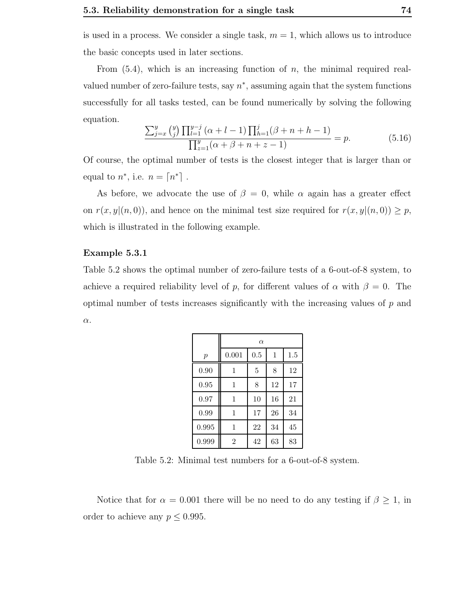is used in a process. We consider a single task,  $m = 1$ , which allows us to introduce the basic concepts used in later sections.

From  $(5.4)$ , which is an increasing function of  $n$ , the minimal required realvalued number of zero-failure tests, say  $n^*$ , assuming again that the system functions successfully for all tasks tested, can be found numerically by solving the following equation.

$$
\frac{\sum_{j=x}^{y} {y \choose j} \prod_{l=1}^{y-j} (\alpha + l - 1) \prod_{h=1}^{j} (\beta + n + h - 1)}{\prod_{z=1}^{y} (\alpha + \beta + n + z - 1)} = p.
$$
 (5.16)

Of course, the optimal number of tests is the closest integer that is larger than or equal to  $n^*$ , i.e.  $n = \lceil n^* \rceil$ .

As before, we advocate the use of  $\beta = 0$ , while  $\alpha$  again has a greater effect on  $r(x, y|(n, 0))$ , and hence on the minimal test size required for  $r(x, y|(n, 0)) \geq p$ , which is illustrated in the following example.

#### Example 5.3.1

Table 5.2 shows the optimal number of zero-failure tests of a 6-out-of-8 system, to achieve a required reliability level of p, for different values of  $\alpha$  with  $\beta = 0$ . The optimal number of tests increases significantly with the increasing values of  $p$  and  $\alpha$ .

|                  | $\alpha$       |     |    |         |  |  |  |
|------------------|----------------|-----|----|---------|--|--|--|
| $\boldsymbol{p}$ | 0.001          | 0.5 | 1  | $1.5\,$ |  |  |  |
| 0.90             | 1              | 5   | 8  | 12      |  |  |  |
| 0.95             | 1              | 8   | 12 | 17      |  |  |  |
| 0.97             | 1              | 10  | 16 | 21      |  |  |  |
| 0.99             | 1              | 17  | 26 | 34      |  |  |  |
| 0.995            | 1              | 22  | 34 | 45      |  |  |  |
| 0.999            | $\overline{2}$ | 42  | 63 | 83      |  |  |  |

Table 5.2: Minimal test numbers for a 6-out-of-8 system.

Notice that for  $\alpha = 0.001$  there will be no need to do any testing if  $\beta \geq 1$ , in order to achieve any  $p \leq 0.995$ .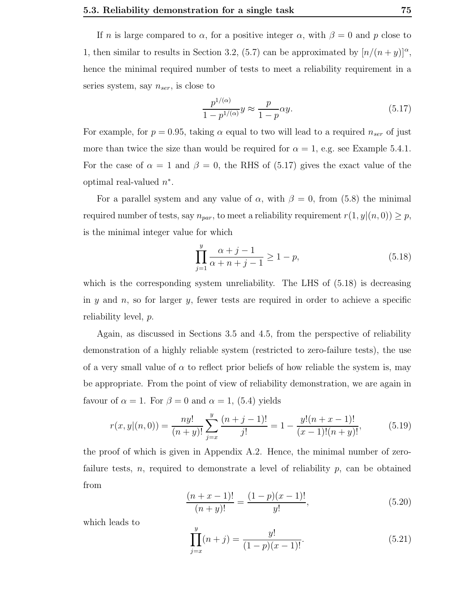If n is large compared to  $\alpha$ , for a positive integer  $\alpha$ , with  $\beta = 0$  and p close to 1, then similar to results in Section 3.2, (5.7) can be approximated by  $[n/(n+y)]^{\alpha}$ , hence the minimal required number of tests to meet a reliability requirement in a series system, say  $n_{ser}$ , is close to

$$
\frac{p^{1/(\alpha)}}{1-p^{1/(\alpha)}}y \approx \frac{p}{1-p}\alpha y.
$$
\n(5.17)

For example, for  $p = 0.95$ , taking  $\alpha$  equal to two will lead to a required  $n_{ser}$  of just more than twice the size than would be required for  $\alpha = 1$ , e.g. see Example 5.4.1. For the case of  $\alpha = 1$  and  $\beta = 0$ , the RHS of (5.17) gives the exact value of the optimal real-valued  $n^*$ .

For a parallel system and any value of  $\alpha$ , with  $\beta = 0$ , from (5.8) the minimal required number of tests, say  $n_{par}$ , to meet a reliability requirement  $r(1, y|(n, 0)) \geq p$ , is the minimal integer value for which

$$
\prod_{j=1}^{y} \frac{\alpha + j - 1}{\alpha + n + j - 1} \ge 1 - p,\tag{5.18}
$$

which is the corresponding system unreliability. The LHS of  $(5.18)$  is decreasing in  $y$  and  $n$ , so for larger  $y$ , fewer tests are required in order to achieve a specific reliability level, p.

Again, as discussed in Sections 3.5 and 4.5, from the perspective of reliability demonstration of a highly reliable system (restricted to zero-failure tests), the use of a very small value of  $\alpha$  to reflect prior beliefs of how reliable the system is, may be appropriate. From the point of view of reliability demonstration, we are again in favour of  $\alpha = 1$ . For  $\beta = 0$  and  $\alpha = 1$ , (5.4) yields

$$
r(x,y|(n,0)) = \frac{ny!}{(n+y)!} \sum_{j=x}^{y} \frac{(n+j-1)!}{j!} = 1 - \frac{y!(n+x-1)!}{(x-1)!(n+y)!},
$$
(5.19)

the proof of which is given in Appendix A.2. Hence, the minimal number of zerofailure tests, n, required to demonstrate a level of reliability p, can be obtained from

$$
\frac{(n+x-1)!}{(n+y)!} = \frac{(1-p)(x-1)!}{y!},\tag{5.20}
$$

which leads to

$$
\prod_{j=x}^{y} (n+j) = \frac{y!}{(1-p)(x-1)!}.
$$
\n(5.21)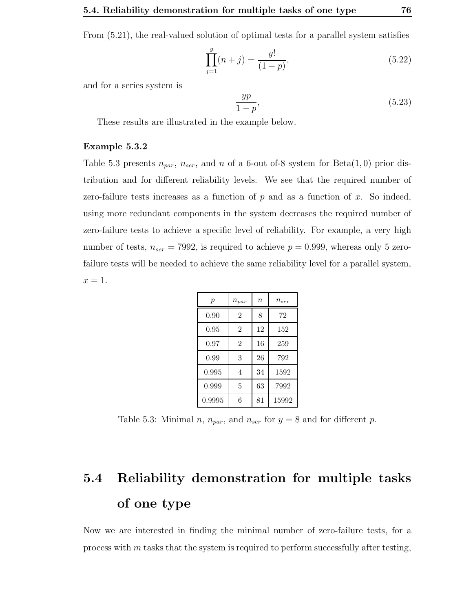From (5.21), the real-valued solution of optimal tests for a parallel system satisfies

$$
\prod_{j=1}^{y} (n+j) = \frac{y!}{(1-p)},
$$
\n(5.22)

and for a series system is

$$
\frac{yp}{1-p},\tag{5.23}
$$

These results are illustrated in the example below.

#### Example 5.3.2

Table 5.3 presents  $n_{par}$ ,  $n_{ser}$ , and n of a 6-out of-8 system for Beta(1,0) prior distribution and for different reliability levels. We see that the required number of zero-failure tests increases as a function of  $p$  and as a function of  $x$ . So indeed, using more redundant components in the system decreases the required number of zero-failure tests to achieve a specific level of reliability. For example, a very high number of tests,  $n_{ser} = 7992$ , is required to achieve  $p = 0.999$ , whereas only 5 zerofailure tests will be needed to achieve the same reliability level for a parallel system,  $x=1$ .

| $\boldsymbol{p}$ | $n_{par}$      | $\boldsymbol{n}$ | $n_{ser}$ |
|------------------|----------------|------------------|-----------|
| 0.90             | $\overline{2}$ | 8                | 72        |
| 0.95             | $\overline{2}$ | 12               | 152       |
| 0.97             | $\overline{2}$ | 16               | 259       |
| 0.99             | 3              | 26               | 792       |
| 0.995            | 4              | 34               | 1592      |
| 0.999            | 5              | 63               | 7992      |
| 0.9995           | 6              | 81               | 15992     |

Table 5.3: Minimal *n*,  $n_{par}$ , and  $n_{ser}$  for  $y = 8$  and for different *p*.

## 5.4 Reliability demonstration for multiple tasks of one type

Now we are interested in finding the minimal number of zero-failure tests, for a process with m tasks that the system is required to perform successfully after testing,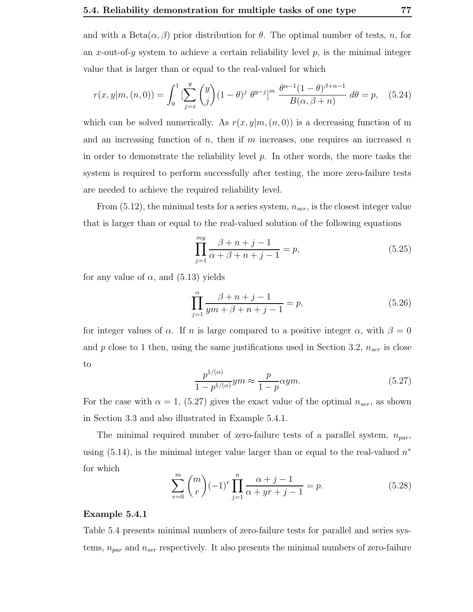and with a Beta $(\alpha, \beta)$  prior distribution for  $\theta$ . The optimal number of tests, n, for an x-out-of-y system to achieve a certain reliability level  $p$ , is the minimal integer value that is larger than or equal to the real-valued for which

$$
r(x,y|m,(n,0)) = \int_0^1 \left[\sum_{j=x}^y \binom{y}{j} (1-\theta)^j \ \theta^{y-j}\right]^m \ \frac{\theta^{\alpha-1}(1-\theta)^{\beta+n-1}}{B(\alpha,\beta+n)} \ d\theta = p, \quad (5.24)
$$

which can be solved numerically. As  $r(x, y|m, (n, 0))$  is a decreasing function of m and an increasing function of n, then if m increases, one requires an increased n in order to demonstrate the reliability level  $p$ . In other words, the more tasks the system is required to perform successfully after testing, the more zero-failure tests are needed to achieve the required reliability level.

From  $(5.12)$ , the minimal tests for a series system,  $n_{ser}$ , is the closest integer value that is larger than or equal to the real-valued solution of the following equations

$$
\prod_{j=1}^{my} \frac{\beta + n + j - 1}{\alpha + \beta + n + j - 1} = p,
$$
\n(5.25)

for any value of  $\alpha$ , and (5.13) yields

$$
\prod_{j=1}^{\alpha} \frac{\beta + n + j - 1}{ym + \beta + n + j - 1} = p,
$$
\n(5.26)

for integer values of  $\alpha$ . If n is large compared to a positive integer  $\alpha$ , with  $\beta = 0$ and p close to 1 then, using the same justifications used in Section 3.2,  $n_{ser}$  is close to

$$
\frac{p^{1/(\alpha)}}{1 - p^{1/(\alpha)}} ym \approx \frac{p}{1 - p} \alpha ym. \tag{5.27}
$$

For the case with  $\alpha = 1$ , (5.27) gives the exact value of the optimal  $n_{ser}$ , as shown in Section 3.3 and also illustrated in Example 5.4.1.

The minimal required number of zero-failure tests of a parallel system,  $n_{par}$ , using  $(5.14)$ , is the minimal integer value larger than or equal to the real-valued  $n^*$ for which

$$
\sum_{r=0}^{m} {m \choose r} (-1)^r \prod_{j=1}^{n} \frac{\alpha+j-1}{\alpha+yr+j-1} = p.
$$
 (5.28)

#### Example 5.4.1

Table 5.4 presents minimal numbers of zero-failure tests for parallel and series systems,  $n_{par}$  and  $n_{ser}$  respectively. It also presents the minimal numbers of zero-failure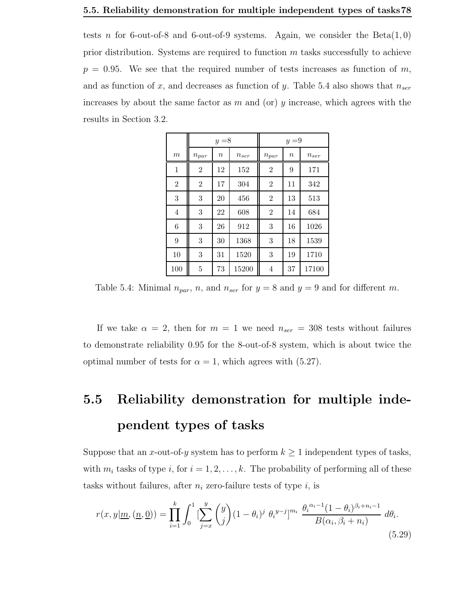#### 5.5. Reliability demonstration for multiple independent types of tasks78

tests n for 6-out-of-8 and 6-out-of-9 systems. Again, we consider the  $Beta(1, 0)$ prior distribution. Systems are required to function  $m$  tasks successfully to achieve  $p = 0.95$ . We see that the required number of tests increases as function of m, and as function of x, and decreases as function of y. Table 5.4 also shows that  $n_{ser}$ increases by about the same factor as m and (or) y increase, which agrees with the results in Section 3.2.

|                |                | $y = 8$          |           |                | $y = 9$ |                        |
|----------------|----------------|------------------|-----------|----------------|---------|------------------------|
| $_{m}$         | $n_{\it par}$  | $\boldsymbol{n}$ | $n_{ser}$ | $n_{\it par}$  | $\it n$ | $\boldsymbol{n_{ser}}$ |
| 1              | $\overline{2}$ | 12               | 152       | $\overline{2}$ | 9       | 171                    |
| $\overline{2}$ | $\overline{2}$ | 17               | 304       | $\overline{2}$ | 11      | 342                    |
| 3              | 3              | 20               | 456       | $\overline{2}$ | 13      | 513                    |
| $\overline{4}$ | 3              | 22               | 608       | $\overline{2}$ | 14      | 684                    |
| 6              | 3              | 26               | 912       | 3              | 16      | 1026                   |
| 9              | 3              | $30\,$           | 1368      | 3              | 18      | 1539                   |
| 10             | 3              | 31               | 1520      | 3              | 19      | 1710                   |
| 100            | 5              | 73               | 15200     | 4              | 37      | 17100                  |

Table 5.4: Minimal  $n_{par}$ , n, and  $n_{ser}$  for  $y = 8$  and  $y = 9$  and for different m.

If we take  $\alpha = 2$ , then for  $m = 1$  we need  $n_{ser} = 308$  tests without failures to demonstrate reliability 0.95 for the 8-out-of-8 system, which is about twice the optimal number of tests for  $\alpha = 1$ , which agrees with (5.27).

## 5.5 Reliability demonstration for multiple independent types of tasks

Suppose that an x-out-of-y system has to perform  $k \geq 1$  independent types of tasks, with  $m_i$  tasks of type i, for  $i = 1, 2, ..., k$ . The probability of performing all of these tasks without failures, after  $n_i$  zero-failure tests of type  $i$ , is

$$
r(x,y|\underline{m},(\underline{n},\underline{0})) = \prod_{i=1}^{k} \int_{0}^{1} \left[ \sum_{j=x}^{y} \binom{y}{j} (1-\theta_i)^j \ \theta_i^{y-j} \right]^{m_i} \ \frac{\theta_i^{\alpha_i-1} (1-\theta_i)^{\beta_i+n_i-1}}{B(\alpha_i, \beta_i+n_i)} \ d\theta_i.
$$
\n(5.29)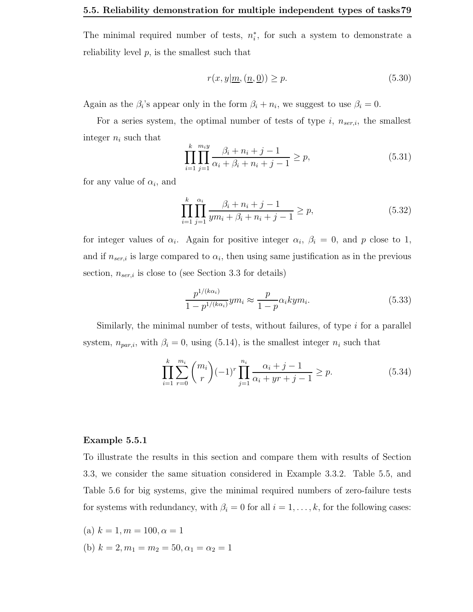The minimal required number of tests,  $n_i^*$ , for such a system to demonstrate a reliability level  $p$ , is the smallest such that

$$
r(x, y | \underline{m}, (\underline{n}, \underline{0})) \ge p. \tag{5.30}
$$

Again as the  $\beta_i$ 's appear only in the form  $\beta_i + n_i$ , we suggest to use  $\beta_i = 0$ .

For a series system, the optimal number of tests of type  $i$ ,  $n_{ser,i}$ , the smallest integer  $n_i$  such that

$$
\prod_{i=1}^{k} \prod_{j=1}^{m_i y} \frac{\beta_i + n_i + j - 1}{\alpha_i + \beta_i + n_i + j - 1} \ge p,
$$
\n(5.31)

for any value of  $\alpha_i$ , and

$$
\prod_{i=1}^{k} \prod_{j=1}^{\alpha_i} \frac{\beta_i + n_i + j - 1}{ym_i + \beta_i + n_i + j - 1} \ge p,
$$
\n(5.32)

for integer values of  $\alpha_i$ . Again for positive integer  $\alpha_i$ ,  $\beta_i = 0$ , and p close to 1, and if  $n_{ser,i}$  is large compared to  $\alpha_i$ , then using same justification as in the previous section,  $n_{ser,i}$  is close to (see Section 3.3 for details)

$$
\frac{p^{1/(k\alpha_i)}}{1-p^{1/(k\alpha_i)}}ym_i \approx \frac{p}{1-p}\alpha_i kym_i.
$$
\n(5.33)

Similarly, the minimal number of tests, without failures, of type  $i$  for a parallel system,  $n_{par,i}$ , with  $\beta_i = 0$ , using (5.14), is the smallest integer  $n_i$  such that

$$
\prod_{i=1}^{k} \sum_{r=0}^{m_i} {m_i \choose r} (-1)^r \prod_{j=1}^{n_i} \frac{\alpha_i + j - 1}{\alpha_i + yr + j - 1} \ge p.
$$
 (5.34)

#### Example 5.5.1

To illustrate the results in this section and compare them with results of Section 3.3, we consider the same situation considered in Example 3.3.2. Table 5.5, and Table 5.6 for big systems, give the minimal required numbers of zero-failure tests for systems with redundancy, with  $\beta_i = 0$  for all  $i = 1, \ldots, k$ , for the following cases:

(a) 
$$
k = 1, m = 100, \alpha = 1
$$

(b)  $k = 2, m_1 = m_2 = 50, \alpha_1 = \alpha_2 = 1$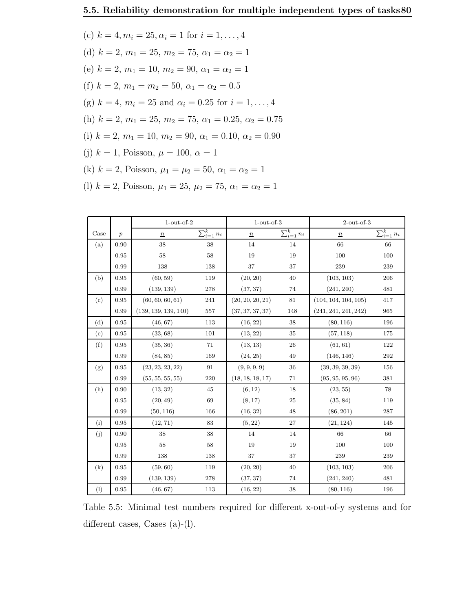(c)  $k = 4, m_i = 25, \alpha_i = 1$  for  $i = 1, ..., 4$ (d)  $k = 2, m_1 = 25, m_2 = 75, \alpha_1 = \alpha_2 = 1$ (e)  $k = 2, m_1 = 10, m_2 = 90, \alpha_1 = \alpha_2 = 1$ (f)  $k = 2, m_1 = m_2 = 50, \alpha_1 = \alpha_2 = 0.5$ (g)  $k = 4$ ,  $m_i = 25$  and  $\alpha_i = 0.25$  for  $i = 1, \ldots, 4$ (h)  $k = 2, m_1 = 25, m_2 = 75, \alpha_1 = 0.25, \alpha_2 = 0.75$ (i)  $k = 2, m_1 = 10, m_2 = 90, \alpha_1 = 0.10, \alpha_2 = 0.90$ (j)  $k = 1$ , Poisson,  $\mu = 100$ ,  $\alpha = 1$ (k)  $k = 2$ , Poisson,  $\mu_1 = \mu_2 = 50$ ,  $\alpha_1 = \alpha_2 = 1$ (l)  $k = 2$ , Poisson,  $\mu_1 = 25$ ,  $\mu_2 = 75$ ,  $\alpha_1 = \alpha_2 = 1$ 

|      |                  | $1$ -out-of- $2$     |                    | $1$ -out-of- $3$ |                    | $2$ -out-of- $3$     |                    |
|------|------------------|----------------------|--------------------|------------------|--------------------|----------------------|--------------------|
| Case | $\boldsymbol{p}$ | $\underline{n}$      | $\sum_{i=1}^k n_i$ | $\overline{n}$   | $\sum_{i=1}^k n_i$ | $\underline{n}$      | $\sum_{i=1}^k n_i$ |
| (a)  | 0.90             | 38                   | 38                 | 14               | 14                 | 66                   | 66                 |
|      | 0.95             | 58                   | 58                 | 19               | 19                 | 100                  | 100                |
|      | 0.99             | 138                  | 138                | 37               | 37                 | 239                  | 239                |
| (b)  | 0.95             | (60, 59)             | 119                | (20, 20)         | 40                 | (103, 103)           | 206                |
|      | 0.99             | (139, 139)           | 278                | (37, 37)         | 74                 | (241, 240)           | 481                |
| (c)  | 0.95             | (60, 60, 60, 61)     | 241                | (20, 20, 20, 21) | $81\,$             | (104, 104, 104, 105) | 417                |
|      | 0.99             | (139, 139, 139, 140) | 557                | (37, 37, 37, 37) | 148                | (241, 241, 241, 242) | 965                |
| (d)  | 0.95             | (46, 67)             | 113                | (16, 22)         | 38                 | (80, 116)            | 196                |
| (e)  | 0.95             | (33, 68)             | 101                | (13, 22)         | 35                 | (57, 118)            | 175                |
| (f)  | 0.95             | (35, 36)             | 71                 | (13, 13)         | 26                 | (61, 61)             | 122                |
|      | 0.99             | (84, 85)             | 169                | (24, 25)         | 49                 | (146, 146)           | 292                |
| (g)  | 0.95             | (23, 23, 23, 22)     | 91                 | (9, 9, 9, 9)     | 36                 | (39, 39, 39, 39)     | 156                |
|      | 0.99             | (55, 55, 55, 55)     | 220                | (18, 18, 18, 17) | $71\,$             | (95, 95, 95, 96)     | 381                |
| (h)  | 0.90             | (13, 32)             | 45                 | (6, 12)          | 18                 | (23, 55)             | 78                 |
|      | 0.95             | (20, 49)             | 69                 | (8, 17)          | 25                 | (35, 84)             | 119                |
|      | 0.99             | (50, 116)            | 166                | (16, 32)         | 48                 | (86, 201)            | 287                |
| (i)  | 0.95             | (12, 71)             | 83                 | (5, 22)          | 27                 | (21, 124)            | 145                |
| (j)  | 0.90             | 38                   | 38                 | 14               | 14                 | 66                   | 66                 |
|      | 0.95             | 58                   | 58                 | 19               | 19                 | 100                  | 100                |
|      | 0.99             | 138                  | 138                | 37               | 37                 | 239                  | 239                |
| (k)  | 0.95             | (59, 60)             | 119                | (20, 20)         | 40                 | (103, 103)           | 206                |
|      | 0.99             | (139, 139)           | 278                | (37, 37)         | 74                 | (241, 240)           | 481                |
| (1)  | 0.95             | (46, 67)             | 113                | (16, 22)         | 38                 | (80, 116)            | 196                |

Table 5.5: Minimal test numbers required for different x-out-of-y systems and for different cases, Cases (a)-(l).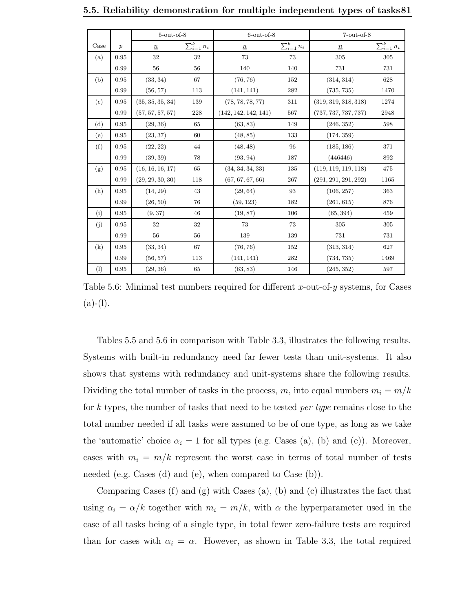|      |                  | $5$ -out-of- $8$ |                    | $6$ -out-of- $8$     |                    | $7$ -out-of- $8$     |                    |
|------|------------------|------------------|--------------------|----------------------|--------------------|----------------------|--------------------|
| Case | $\boldsymbol{p}$ | $\boldsymbol{n}$ | $\sum_{i=1}^k n_i$ | $\underline{n}$      | $\sum_{i=1}^k n_i$ | $\underline{n}$      | $\sum_{i=1}^k n_i$ |
| (a)  | 0.95             | 32               | 32                 | 73                   | 73                 | 305                  | 305                |
|      | 0.99             | 56               | 56                 | 140                  | 140                | 731                  | 731                |
| (b)  | 0.95             | (33, 34)         | 67                 | (76, 76)             | 152                | (314, 314)           | 628                |
|      | 0.99             | (56, 57)         | 113                | (141, 141)           | 282                | (735, 735)           | 1470               |
| (c)  | 0.95             | (35, 35, 35, 34) | 139                | (78, 78, 78, 77)     | 311                | (319, 319, 318, 318) | 1274               |
|      | 0.99             | (57, 57, 57, 57) | 228                | (142, 142, 142, 141) | 567                | (737, 737, 737, 737) | 2948               |
| (d)  | 0.95             | (29, 36)         | 65                 | (63, 83)             | 149                | (246, 352)           | 598                |
| (e)  | 0.95             | (23, 37)         | 60                 | (48, 85)             | 133                | (174, 359)           |                    |
| (f)  | 0.95             | (22, 22)         | 44                 | (48, 48)             | 96                 | (185, 186)           | 371                |
|      | 0.99             | (39, 39)         | 78                 | (93, 94)             | 187                | (446446)             | 892                |
| (g)  | 0.95             | (16, 16, 16, 17) | 65                 | (34, 34, 34, 33)     | 135                | (119, 119, 119, 118) | 475                |
|      | 0.99             | (29, 29, 30, 30) | 118                | (67, 67, 67, 66)     | 267                | (291, 291, 291, 292) | 1165               |
| (h)  | 0.95             | (14, 29)         | 43                 | (29, 64)             | 93                 | (106, 257)           | 363                |
|      | 0.99             | (26, 50)         | 76                 | (59, 123)            | 182                | (261, 615)           | 876                |
| (i)  | 0.95             | (9, 37)          | 46                 | (19, 87)             | 106                | (65, 394)            | 459                |
| (j)  | 0.95             | 32               | 32                 | 73                   | 73                 | 305                  | 305                |
|      | 0.99             | 56               | 56                 | 139                  | 139                | 731                  | 731                |
| (k)  | 0.95             | (33, 34)         | 67                 | (76, 76)             | 152                | (313, 314)           | 627                |
|      | 0.99             | (56, 57)         | 113                | (141, 141)           | 282                | (734, 735)           | 1469               |
| (1)  | 0.95             | (29, 36)         | 65                 | (63, 83)             | 146                | (245, 352)           | 597                |

Table 5.6: Minimal test numbers required for different x-out-of-y systems, for Cases  $(a)-(l).$ 

Tables 5.5 and 5.6 in comparison with Table 3.3, illustrates the following results. Systems with built-in redundancy need far fewer tests than unit-systems. It also shows that systems with redundancy and unit-systems share the following results. Dividing the total number of tasks in the process, m, into equal numbers  $m_i = m/k$ for k types, the number of tasks that need to be tested *per type* remains close to the total number needed if all tasks were assumed to be of one type, as long as we take the 'automatic' choice  $\alpha_i = 1$  for all types (e.g. Cases (a), (b) and (c)). Moreover, cases with  $m_i = m/k$  represent the worst case in terms of total number of tests needed (e.g. Cases (d) and (e), when compared to Case (b)).

Comparing Cases (f) and (g) with Cases (a), (b) and (c) illustrates the fact that using  $\alpha_i = \alpha/k$  together with  $m_i = m/k$ , with  $\alpha$  the hyperparameter used in the case of all tasks being of a single type, in total fewer zero-failure tests are required than for cases with  $\alpha_i = \alpha$ . However, as shown in Table 3.3, the total required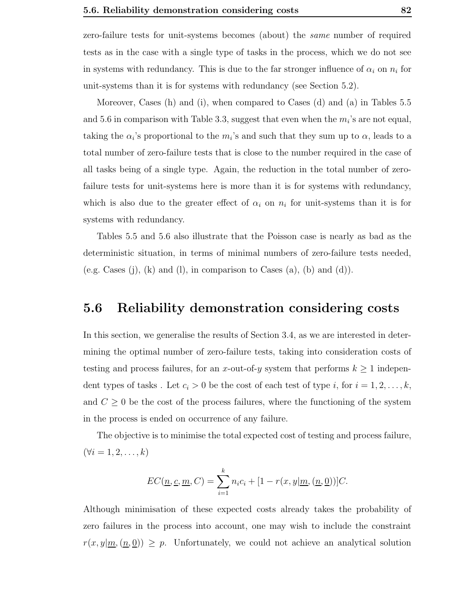zero-failure tests for unit-systems becomes (about) the same number of required tests as in the case with a single type of tasks in the process, which we do not see in systems with redundancy. This is due to the far stronger influence of  $\alpha_i$  on  $n_i$  for unit-systems than it is for systems with redundancy (see Section 5.2).

Moreover, Cases (h) and (i), when compared to Cases (d) and (a) in Tables 5.5 and 5.6 in comparison with Table 3.3, suggest that even when the  $m_i$ 's are not equal, taking the  $\alpha_i$ 's proportional to the  $m_i$ 's and such that they sum up to  $\alpha$ , leads to a total number of zero-failure tests that is close to the number required in the case of all tasks being of a single type. Again, the reduction in the total number of zerofailure tests for unit-systems here is more than it is for systems with redundancy, which is also due to the greater effect of  $\alpha_i$  on  $n_i$  for unit-systems than it is for systems with redundancy.

Tables 5.5 and 5.6 also illustrate that the Poisson case is nearly as bad as the deterministic situation, in terms of minimal numbers of zero-failure tests needed, (e.g. Cases (j), (k) and (l), in comparison to Cases (a), (b) and (d)).

### 5.6 Reliability demonstration considering costs

In this section, we generalise the results of Section 3.4, as we are interested in determining the optimal number of zero-failure tests, taking into consideration costs of testing and process failures, for an x-out-of-y system that performs  $k \geq 1$  independent types of tasks. Let  $c_i > 0$  be the cost of each test of type i, for  $i = 1, 2, \ldots, k$ , and  $C \geq 0$  be the cost of the process failures, where the functioning of the system in the process is ended on occurrence of any failure.

The objective is to minimise the total expected cost of testing and process failure,  $(\forall i = 1, 2, \ldots, k)$ 

$$
EC(\underline{n}, \underline{c}, \underline{m}, C) = \sum_{i=1}^{k} n_i c_i + [1 - r(x, y | \underline{m}, (\underline{n}, \underline{0}))]C.
$$

Although minimisation of these expected costs already takes the probability of zero failures in the process into account, one may wish to include the constraint  $r(x, y|m, (n, 0)) \geq p$ . Unfortunately, we could not achieve an analytical solution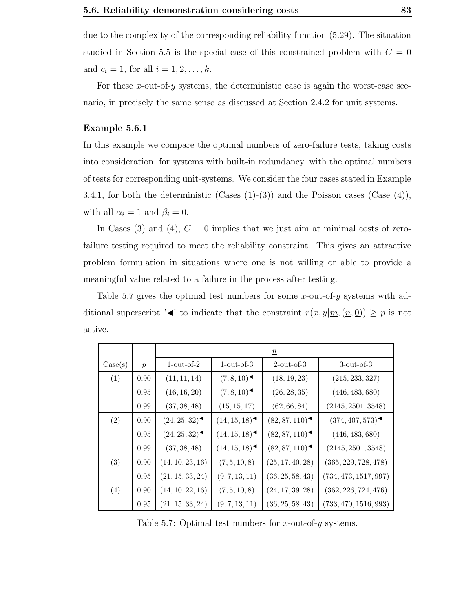due to the complexity of the corresponding reliability function (5.29). The situation studied in Section 5.5 is the special case of this constrained problem with  $C = 0$ and  $c_i = 1$ , for all  $i = 1, 2, ..., k$ .

For these  $x$ -out-of- $y$  systems, the deterministic case is again the worst-case scenario, in precisely the same sense as discussed at Section 2.4.2 for unit systems.

#### Example 5.6.1

In this example we compare the optimal numbers of zero-failure tests, taking costs into consideration, for systems with built-in redundancy, with the optimal numbers of tests for corresponding unit-systems. We consider the four cases stated in Example 3.4.1, for both the deterministic (Cases  $(1)-(3)$ ) and the Poisson cases (Case  $(4)$ ), with all  $\alpha_i = 1$  and  $\beta_i = 0$ .

In Cases (3) and (4),  $C = 0$  implies that we just aim at minimal costs of zerofailure testing required to meet the reliability constraint. This gives an attractive problem formulation in situations where one is not willing or able to provide a meaningful value related to a failure in the process after testing.

Table 5.7 gives the optimal test numbers for some x-out-of-y systems with additional superscript ' $\blacktriangleleft$ ' to indicate that the constraint  $r(x, y | m, (n, 0)) \geq p$  is not active.

|         |               |                  |                              | $\underline{n}$  |                       |  |  |
|---------|---------------|------------------|------------------------------|------------------|-----------------------|--|--|
| Case(s) | $\mathcal{p}$ | $1$ -out-of- $2$ | $1$ -out-of-3                | $2$ -out-of-3    | $3$ -out-of- $3$      |  |  |
| (1)     | 0.90          | (11, 11, 14)     | (7,8,10)                     | (18, 19, 23)     | (215, 233, 327)       |  |  |
|         | 0.95          | (16, 16, 20)     | (7,8,10)                     | (26, 28, 35)     | (446, 483, 680)       |  |  |
|         | 0.99          | (37, 38, 48)     | (15, 15, 17)                 | (62, 66, 84)     | (2145, 2501, 3548)    |  |  |
| (2)     | 0.90          | (24, 25, 32)     | $(14, 15, 18)$ <sup>-4</sup> | (82, 87, 110)    | (374, 407, 573)       |  |  |
|         | 0.95          | (24, 25, 32)     | (14, 15, 18)                 | (82, 87, 110)    | (446, 483, 680)       |  |  |
|         | 0.99          | (37, 38, 48)     | (14, 15, 18)                 | (82, 87, 110)    | (2145, 2501, 3548)    |  |  |
| (3)     | 0.90          | (14, 10, 23, 16) | (7, 5, 10, 8)                | (25, 17, 40, 28) | (365, 229, 728, 478)  |  |  |
|         | 0.95          | (21, 15, 33, 24) | (9, 7, 13, 11)               | (36, 25, 58, 43) | (734, 473, 1517, 997) |  |  |
| (4)     | 0.90          | (14, 10, 22, 16) | (7, 5, 10, 8)                | (24, 17, 39, 28) | (362, 226, 724, 476)  |  |  |
|         | 0.95          | (21, 15, 33, 24) | (9, 7, 13, 11)               | (36, 25, 58, 43) | (733, 470, 1516, 993) |  |  |

Table 5.7: Optimal test numbers for x-out-of-y systems.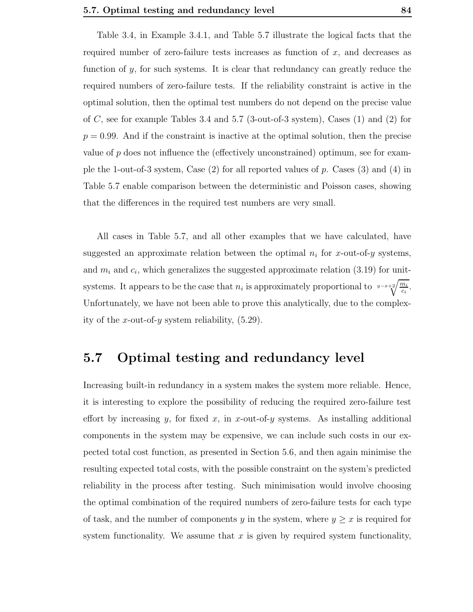Table 3.4, in Example 3.4.1, and Table 5.7 illustrate the logical facts that the required number of zero-failure tests increases as function of  $x$ , and decreases as function of  $\gamma$ , for such systems. It is clear that redundancy can greatly reduce the required numbers of zero-failure tests. If the reliability constraint is active in the optimal solution, then the optimal test numbers do not depend on the precise value of  $C$ , see for example Tables 3.4 and 5.7 (3-out-of-3 system), Cases  $(1)$  and  $(2)$  for  $p = 0.99$ . And if the constraint is inactive at the optimal solution, then the precise value of  $p$  does not influence the (effectively unconstrained) optimum, see for example the 1-out-of-3 system, Case  $(2)$  for all reported values of p. Cases  $(3)$  and  $(4)$  in Table 5.7 enable comparison between the deterministic and Poisson cases, showing that the differences in the required test numbers are very small.

All cases in Table 5.7, and all other examples that we have calculated, have suggested an approximate relation between the optimal  $n_i$  for x-out-of-y systems, and  $m_i$  and  $c_i$ , which generalizes the suggested approximate relation (3.19) for unitsystems. It appears to be the case that  $n_i$  is approximately proportional to  $y-x+2\sqrt{\frac{m_i}{c_i}}$ . Unfortunately, we have not been able to prove this analytically, due to the complexity of the x-out-of-y system reliability,  $(5.29)$ .

### 5.7 Optimal testing and redundancy level

Increasing built-in redundancy in a system makes the system more reliable. Hence, it is interesting to explore the possibility of reducing the required zero-failure test effort by increasing y, for fixed x, in x-out-of-y systems. As installing additional components in the system may be expensive, we can include such costs in our expected total cost function, as presented in Section 5.6, and then again minimise the resulting expected total costs, with the possible constraint on the system's predicted reliability in the process after testing. Such minimisation would involve choosing the optimal combination of the required numbers of zero-failure tests for each type of task, and the number of components y in the system, where  $y \geq x$  is required for system functionality. We assume that  $x$  is given by required system functionality,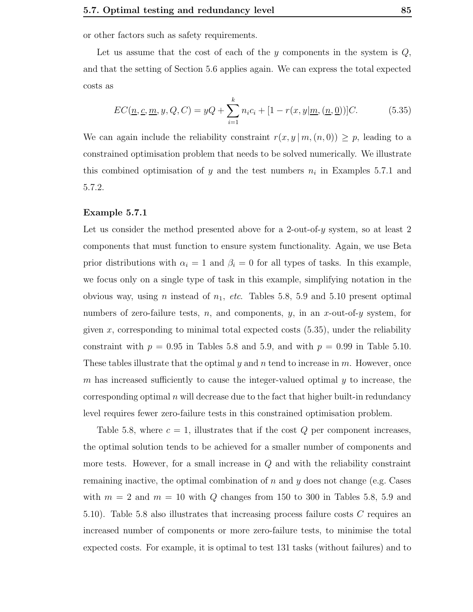or other factors such as safety requirements.

Let us assume that the cost of each of the  $y$  components in the system is  $Q$ , and that the setting of Section 5.6 applies again. We can express the total expected costs as

$$
EC(\underline{n}, \underline{c}, \underline{m}, y, Q, C) = yQ + \sum_{i=1}^{k} n_i c_i + [1 - r(x, y | \underline{m}, (\underline{n}, \underline{0}))]C.
$$
 (5.35)

We can again include the reliability constraint  $r(x, y | m, (n, 0)) \geq p$ , leading to a constrained optimisation problem that needs to be solved numerically. We illustrate this combined optimisation of y and the test numbers  $n_i$  in Examples 5.7.1 and 5.7.2.

#### Example 5.7.1

Let us consider the method presented above for a 2-out-of-y system, so at least 2 components that must function to ensure system functionality. Again, we use Beta prior distributions with  $\alpha_i = 1$  and  $\beta_i = 0$  for all types of tasks. In this example, we focus only on a single type of task in this example, simplifying notation in the obvious way, using *n* instead of  $n_1$ , etc. Tables 5.8, 5.9 and 5.10 present optimal numbers of zero-failure tests, n, and components, y, in an x-out-of-y system, for given x, corresponding to minimal total expected costs  $(5.35)$ , under the reliability constraint with  $p = 0.95$  in Tables 5.8 and 5.9, and with  $p = 0.99$  in Table 5.10. These tables illustrate that the optimal  $y$  and  $n$  tend to increase in  $m$ . However, once m has increased sufficiently to cause the integer-valued optimal  $y$  to increase, the corresponding optimal  $n$  will decrease due to the fact that higher built-in redundancy level requires fewer zero-failure tests in this constrained optimisation problem.

Table 5.8, where  $c = 1$ , illustrates that if the cost Q per component increases, the optimal solution tends to be achieved for a smaller number of components and more tests. However, for a small increase in  $Q$  and with the reliability constraint remaining inactive, the optimal combination of  $n$  and  $y$  does not change (e.g. Cases with  $m = 2$  and  $m = 10$  with Q changes from 150 to 300 in Tables 5.8, 5.9 and 5.10). Table 5.8 also illustrates that increasing process failure costs C requires an increased number of components or more zero-failure tests, to minimise the total expected costs. For example, it is optimal to test 131 tasks (without failures) and to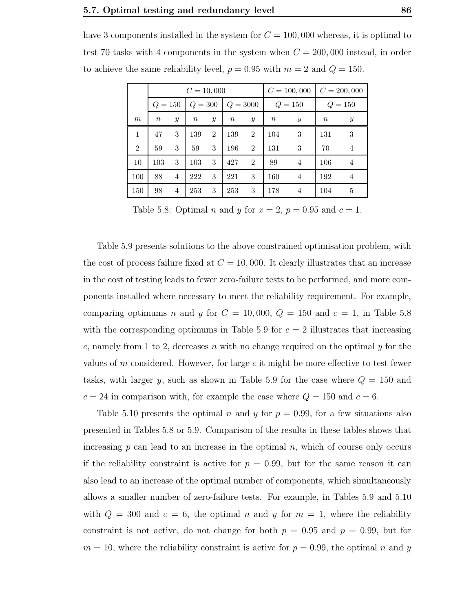have 3 components installed in the system for  $C = 100,000$  whereas, it is optimal to test 70 tasks with 4 components in the system when  $C = 200,000$  instead, in order to achieve the same reliability level,  $p = 0.95$  with  $m = 2$  and  $Q = 150$ .

|                |                  |               | $C = 10,000$ |                  |            | $C = 100,000$    |             |                | $C = 200,000$    |                |
|----------------|------------------|---------------|--------------|------------------|------------|------------------|-------------|----------------|------------------|----------------|
|                | $Q = 150$        |               | $Q = 300$    |                  | $Q = 3000$ |                  | $=150$<br>Q |                | $=150$<br>Q      |                |
| m              | $\boldsymbol{n}$ | $\mathcal{Y}$ | $\it n$      | $\boldsymbol{y}$ | $\, n$     | $\boldsymbol{y}$ | $\, n$      | $\mathcal{Y}$  | $\boldsymbol{n}$ | $\mathcal{Y}$  |
| 1              | 47               | 3             | 139          | $\overline{2}$   | 139        | $\overline{2}$   | 104         | 3              | 131              | 3              |
| $\overline{2}$ | 59               | 3             | 59           | 3                | 196        | $\overline{2}$   | 131         | 3              | 70               | 4              |
| 10             | 103              | 3             | 103          | 3                | 427        | $\overline{2}$   | 89          | 4              | 106              | $\overline{4}$ |
| 100            | 88               | 4             | 222          | 3                | 221        | 3                | 160         | $\overline{4}$ | 192              | 4              |
| 150            | 98               | 4             | 253          | 3                | 253        | 3                | 178         | 4              | 104              | 5              |

Table 5.8: Optimal *n* and *y* for  $x = 2$ ,  $p = 0.95$  and  $c = 1$ .

Table 5.9 presents solutions to the above constrained optimisation problem, with the cost of process failure fixed at  $C = 10,000$ . It clearly illustrates that an increase in the cost of testing leads to fewer zero-failure tests to be performed, and more components installed where necessary to meet the reliability requirement. For example, comparing optimums n and y for  $C = 10,000, Q = 150$  and  $c = 1$ , in Table 5.8 with the corresponding optimums in Table 5.9 for  $c = 2$  illustrates that increasing c, namely from 1 to 2, decreases n with no change required on the optimal y for the values of m considered. However, for large  $c$  it might be more effective to test fewer tasks, with larger y, such as shown in Table 5.9 for the case where  $Q = 150$  and  $c = 24$  in comparison with, for example the case where  $Q = 150$  and  $c = 6$ .

Table 5.10 presents the optimal n and y for  $p = 0.99$ , for a few situations also presented in Tables 5.8 or 5.9. Comparison of the results in these tables shows that increasing  $p$  can lead to an increase in the optimal  $n$ , which of course only occurs if the reliability constraint is active for  $p = 0.99$ , but for the same reason it can also lead to an increase of the optimal number of components, which simultaneously allows a smaller number of zero-failure tests. For example, in Tables 5.9 and 5.10 with  $Q = 300$  and  $c = 6$ , the optimal n and y for  $m = 1$ , where the reliability constraint is not active, do not change for both  $p = 0.95$  and  $p = 0.99$ , but for  $m = 10$ , where the reliability constraint is active for  $p = 0.99$ , the optimal n and y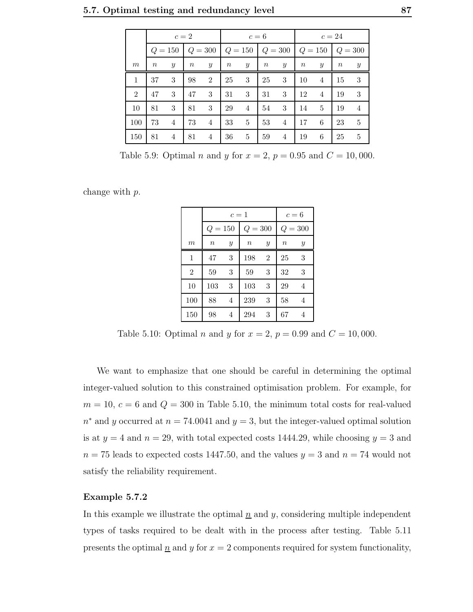|                | $c=2$  |                  |        |                                                    | $c=6$ |                  |        |                  | $c=24$ |                  |       |                  |
|----------------|--------|------------------|--------|----------------------------------------------------|-------|------------------|--------|------------------|--------|------------------|-------|------------------|
|                |        | $Q = 150$        |        | $ Q = 300   Q = 150   Q = 300   Q = 150   Q = 300$ |       |                  |        |                  |        |                  |       |                  |
| m              | $\, n$ | $\boldsymbol{y}$ | $\, n$ | $\boldsymbol{y}$                                   | $\,n$ | $\boldsymbol{y}$ | $\, n$ | $\boldsymbol{y}$ | $\, n$ | $\boldsymbol{y}$ | $\,n$ | $\boldsymbol{y}$ |
| 1              | 37     | 3                | 98     | $\overline{2}$                                     | 25    | 3                | 25     | 3                | 10     | $\overline{4}$   | 15    | 3                |
| $\overline{2}$ | 47     | 3                | 47     | 3                                                  | 31    | 3                | 31     | 3                | 12     | $\overline{4}$   | 19    | 3                |
| 10             | 81     | 3                | 81     | 3                                                  | 29    | $\overline{4}$   | 54     | 3                | 14     | 5                | 19    | 4                |
| 100            | 73     | 4                | 73     | $\overline{4}$                                     | 33    | 5                | 53     | $\overline{4}$   | 17     | 6                | 23    | 5                |
| 150            | 81     | 4                | 81     | $\overline{4}$                                     | 36    | 5                | 59     | 4                | 19     | 6                | 25    | 5                |

Table 5.9: Optimal *n* and *y* for  $x = 2$ ,  $p = 0.95$  and  $C = 10,000$ .

change with p.

|                  |           | $c=1$         |                  | $c=6$          |                  |               |  |
|------------------|-----------|---------------|------------------|----------------|------------------|---------------|--|
|                  | $Q = 150$ |               | $Q = 300$        |                | $Q = 300$        |               |  |
| $\boldsymbol{m}$ | $\it n$   | $\mathcal{Y}$ | $\boldsymbol{n}$ | $\mathcal{Y}$  | $\boldsymbol{n}$ | $\mathcal{Y}$ |  |
| 1                | 47        | 3             | 198              | $\overline{2}$ | 25               | 3             |  |
| $\overline{2}$   | 59        | 3             | 59               | 3              | 32               | 3             |  |
| 10               | 103       | 3             | 103              | 3              | 29               | 4             |  |
| 100              | 88        | 4             | 239              | 3              | 58               | 4             |  |
| 150              | 98        | 4             | 294              | 3              | 67               | 4             |  |

Table 5.10: Optimal *n* and *y* for  $x = 2$ ,  $p = 0.99$  and  $C = 10,000$ .

We want to emphasize that one should be careful in determining the optimal integer-valued solution to this constrained optimisation problem. For example, for  $m = 10, c = 6$  and  $Q = 300$  in Table 5.10, the minimum total costs for real-valued  $n^*$  and y occurred at  $n = 74.0041$  and  $y = 3$ , but the integer-valued optimal solution is at  $y = 4$  and  $n = 29$ , with total expected costs 1444.29, while choosing  $y = 3$  and  $n = 75$  leads to expected costs 1447.50, and the values  $y = 3$  and  $n = 74$  would not satisfy the reliability requirement.

#### Example 5.7.2

In this example we illustrate the optimal  $n$  and  $y$ , considering multiple independent types of tasks required to be dealt with in the process after testing. Table 5.11 presents the optimal  $\underline{n}$  and  $y$  for  $x = 2$  components required for system functionality,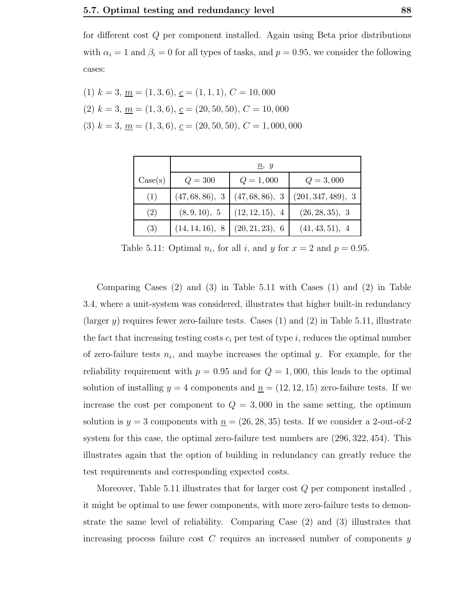for different cost Q per component installed. Again using Beta prior distributions with  $\alpha_i = 1$  and  $\beta_i = 0$  for all types of tasks, and  $p = 0.95$ , we consider the following cases:

(1) 
$$
k = 3
$$
,  $\underline{m} = (1, 3, 6)$ ,  $\underline{c} = (1, 1, 1)$ ,  $C = 10,000$   
(2)  $k = 3$ ,  $\underline{m} = (1, 3, 6)$ ,  $\underline{c} = (20, 50, 50)$ ,  $C = 10,000$   
(3)  $k = 3$ ,  $\underline{m} = (1, 3, 6)$ ,  $\underline{c} = (20, 50, 50)$ ,  $C = 1,000,000$ 

|         | $\underline{n}, y$ |                 |                    |  |  |  |  |  |  |
|---------|--------------------|-----------------|--------------------|--|--|--|--|--|--|
| Case(s) | $Q = 300$          | $Q = 1,000$     | $Q = 3,000$        |  |  |  |  |  |  |
| (1)     | (47, 68, 86), 3    | (47, 68, 86), 3 | (201, 347, 489), 3 |  |  |  |  |  |  |
| (2)     | (8, 9, 10), 5      | (12, 12, 15), 4 | (26, 28, 35), 3    |  |  |  |  |  |  |
| (3)     | (14, 14, 16), 8    | (20, 21, 23), 6 | (41, 43, 51), 4    |  |  |  |  |  |  |

Table 5.11: Optimal  $n_i$ , for all i, and y for  $x = 2$  and  $p = 0.95$ .

Comparing Cases (2) and (3) in Table 5.11 with Cases (1) and (2) in Table 3.4, where a unit-system was considered, illustrates that higher built-in redundancy (larger y) requires fewer zero-failure tests. Cases  $(1)$  and  $(2)$  in Table 5.11, illustrate the fact that increasing testing costs  $c_i$  per test of type i, reduces the optimal number of zero-failure tests  $n_i$ , and maybe increases the optimal y. For example, for the reliability requirement with  $p = 0.95$  and for  $Q = 1,000$ , this leads to the optimal solution of installing  $y = 4$  components and  $\underline{n} = (12, 12, 15)$  zero-failure tests. If we increase the cost per component to  $Q = 3{,}000$  in the same setting, the optimum solution is  $y = 3$  components with  $n = (26, 28, 35)$  tests. If we consider a 2-out-of-2 system for this case, the optimal zero-failure test numbers are (296, 322, 454). This illustrates again that the option of building in redundancy can greatly reduce the test requirements and corresponding expected costs.

Moreover, Table 5.11 illustrates that for larger cost  $Q$  per component installed, it might be optimal to use fewer components, with more zero-failure tests to demonstrate the same level of reliability. Comparing Case (2) and (3) illustrates that increasing process failure cost  $C$  requires an increased number of components  $y$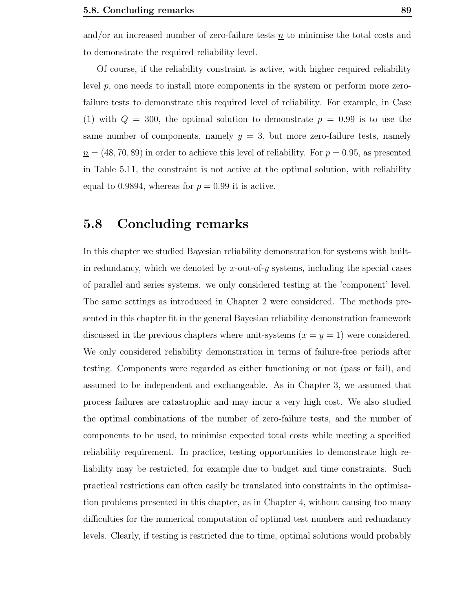and/or an increased number of zero-failure tests  $n$  to minimise the total costs and to demonstrate the required reliability level.

Of course, if the reliability constraint is active, with higher required reliability level p, one needs to install more components in the system or perform more zerofailure tests to demonstrate this required level of reliability. For example, in Case (1) with  $Q = 300$ , the optimal solution to demonstrate  $p = 0.99$  is to use the same number of components, namely  $y = 3$ , but more zero-failure tests, namely  $n = (48, 70, 89)$  in order to achieve this level of reliability. For  $p = 0.95$ , as presented in Table 5.11, the constraint is not active at the optimal solution, with reliability equal to 0.9894, whereas for  $p = 0.99$  it is active.

### 5.8 Concluding remarks

In this chapter we studied Bayesian reliability demonstration for systems with builtin redundancy, which we denoted by  $x$ -out-of- $y$  systems, including the special cases of parallel and series systems. we only considered testing at the 'component' level. The same settings as introduced in Chapter 2 were considered. The methods presented in this chapter fit in the general Bayesian reliability demonstration framework discussed in the previous chapters where unit-systems  $(x = y = 1)$  were considered. We only considered reliability demonstration in terms of failure-free periods after testing. Components were regarded as either functioning or not (pass or fail), and assumed to be independent and exchangeable. As in Chapter 3, we assumed that process failures are catastrophic and may incur a very high cost. We also studied the optimal combinations of the number of zero-failure tests, and the number of components to be used, to minimise expected total costs while meeting a specified reliability requirement. In practice, testing opportunities to demonstrate high reliability may be restricted, for example due to budget and time constraints. Such practical restrictions can often easily be translated into constraints in the optimisation problems presented in this chapter, as in Chapter 4, without causing too many difficulties for the numerical computation of optimal test numbers and redundancy levels. Clearly, if testing is restricted due to time, optimal solutions would probably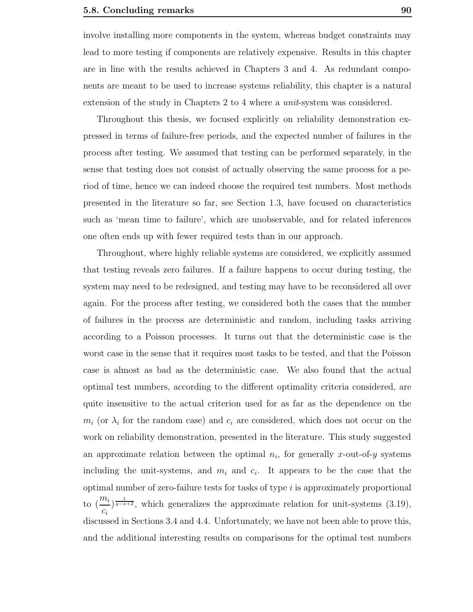involve installing more components in the system, whereas budget constraints may lead to more testing if components are relatively expensive. Results in this chapter are in line with the results achieved in Chapters 3 and 4. As redundant components are meant to be used to increase systems reliability, this chapter is a natural extension of the study in Chapters 2 to 4 where a unit-system was considered.

Throughout this thesis, we focused explicitly on reliability demonstration expressed in terms of failure-free periods, and the expected number of failures in the process after testing. We assumed that testing can be performed separately, in the sense that testing does not consist of actually observing the same process for a period of time, hence we can indeed choose the required test numbers. Most methods presented in the literature so far, see Section 1.3, have focused on characteristics such as 'mean time to failure', which are unobservable, and for related inferences one often ends up with fewer required tests than in our approach.

Throughout, where highly reliable systems are considered, we explicitly assumed that testing reveals zero failures. If a failure happens to occur during testing, the system may need to be redesigned, and testing may have to be reconsidered all over again. For the process after testing, we considered both the cases that the number of failures in the process are deterministic and random, including tasks arriving according to a Poisson processes. It turns out that the deterministic case is the worst case in the sense that it requires most tasks to be tested, and that the Poisson case is almost as bad as the deterministic case. We also found that the actual optimal test numbers, according to the different optimality criteria considered, are quite insensitive to the actual criterion used for as far as the dependence on the  $m_i$  (or  $\lambda_i$  for the random case) and  $c_i$  are considered, which does not occur on the work on reliability demonstration, presented in the literature. This study suggested an approximate relation between the optimal  $n_i$ , for generally x-out-of-y systems including the unit-systems, and  $m_i$  and  $c_i$ . It appears to be the case that the optimal number of zero-failure tests for tasks of type i is approximately proportional to  $\left(\frac{m_i}{m}\right)$  $\overline{c_i}$  $\frac{1}{y-x+2}$ , which generalizes the approximate relation for unit-systems (3.19), discussed in Sections 3.4 and 4.4. Unfortunately, we have not been able to prove this, and the additional interesting results on comparisons for the optimal test numbers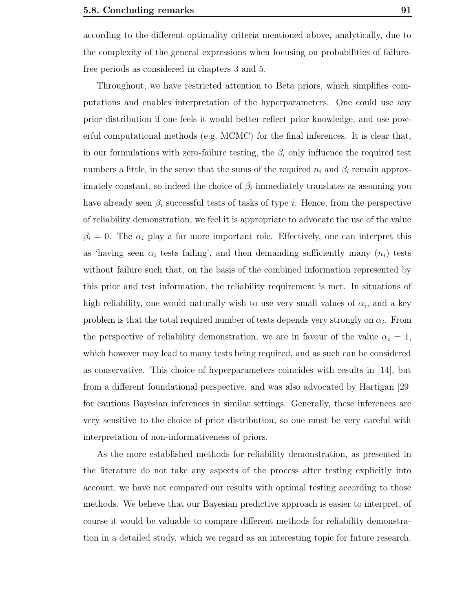according to the different optimality criteria mentioned above, analytically, due to the complexity of the general expressions when focusing on probabilities of failurefree periods as considered in chapters 3 and 5.

Throughout, we have restricted attention to Beta priors, which simplifies computations and enables interpretation of the hyperparameters. One could use any prior distribution if one feels it would better reflect prior knowledge, and use powerful computational methods (e.g. MCMC) for the final inferences. It is clear that, in our formulations with zero-failure testing, the  $\beta_i$  only influence the required test numbers a little, in the sense that the sums of the required  $n_i$  and  $\beta_i$  remain approximately constant, so indeed the choice of  $\beta_i$  immediately translates as assuming you have already seen  $\beta_i$  successful tests of tasks of type i. Hence, from the perspective of reliability demonstration, we feel it is appropriate to advocate the use of the value  $\beta_i = 0$ . The  $\alpha_i$  play a far more important role. Effectively, one can interpret this as 'having seen  $\alpha_i$  tests failing', and then demanding sufficiently many  $(n_i)$  tests without failure such that, on the basis of the combined information represented by this prior and test information, the reliability requirement is met. In situations of high reliability, one would naturally wish to use very small values of  $\alpha_i$ , and a key problem is that the total required number of tests depends very strongly on  $\alpha_i$ . From the perspective of reliability demonstration, we are in favour of the value  $\alpha_i = 1$ , which however may lead to many tests being required, and as such can be considered as conservative. This choice of hyperparameters coincides with results in [14], but from a different foundational perspective, and was also advocated by Hartigan [29] for cautious Bayesian inferences in similar settings. Generally, these inferences are very sensitive to the choice of prior distribution, so one must be very careful with interpretation of non-informativeness of priors.

As the more established methods for reliability demonstration, as presented in the literature do not take any aspects of the process after testing explicitly into account, we have not compared our results with optimal testing according to those methods. We believe that our Bayesian predictive approach is easier to interpret, of course it would be valuable to compare different methods for reliability demonstration in a detailed study, which we regard as an interesting topic for future research.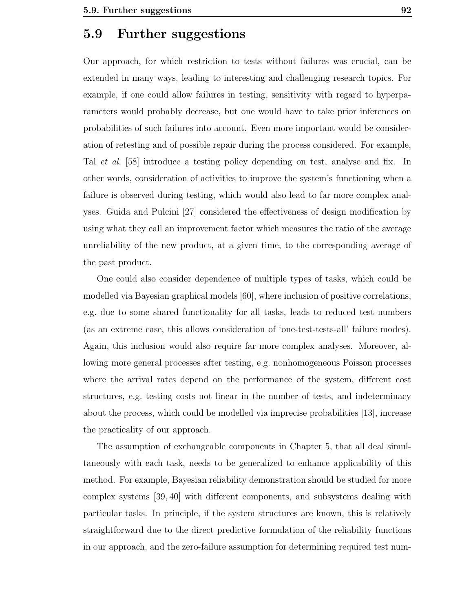### 5.9 Further suggestions

Our approach, for which restriction to tests without failures was crucial, can be extended in many ways, leading to interesting and challenging research topics. For example, if one could allow failures in testing, sensitivity with regard to hyperparameters would probably decrease, but one would have to take prior inferences on probabilities of such failures into account. Even more important would be consideration of retesting and of possible repair during the process considered. For example, Tal et al. [58] introduce a testing policy depending on test, analyse and fix. In other words, consideration of activities to improve the system's functioning when a failure is observed during testing, which would also lead to far more complex analyses. Guida and Pulcini [27] considered the effectiveness of design modification by using what they call an improvement factor which measures the ratio of the average unreliability of the new product, at a given time, to the corresponding average of the past product.

One could also consider dependence of multiple types of tasks, which could be modelled via Bayesian graphical models [60], where inclusion of positive correlations, e.g. due to some shared functionality for all tasks, leads to reduced test numbers (as an extreme case, this allows consideration of 'one-test-tests-all' failure modes). Again, this inclusion would also require far more complex analyses. Moreover, allowing more general processes after testing, e.g. nonhomogeneous Poisson processes where the arrival rates depend on the performance of the system, different cost structures, e.g. testing costs not linear in the number of tests, and indeterminacy about the process, which could be modelled via imprecise probabilities [13], increase the practicality of our approach.

The assumption of exchangeable components in Chapter 5, that all deal simultaneously with each task, needs to be generalized to enhance applicability of this method. For example, Bayesian reliability demonstration should be studied for more complex systems [39, 40] with different components, and subsystems dealing with particular tasks. In principle, if the system structures are known, this is relatively straightforward due to the direct predictive formulation of the reliability functions in our approach, and the zero-failure assumption for determining required test num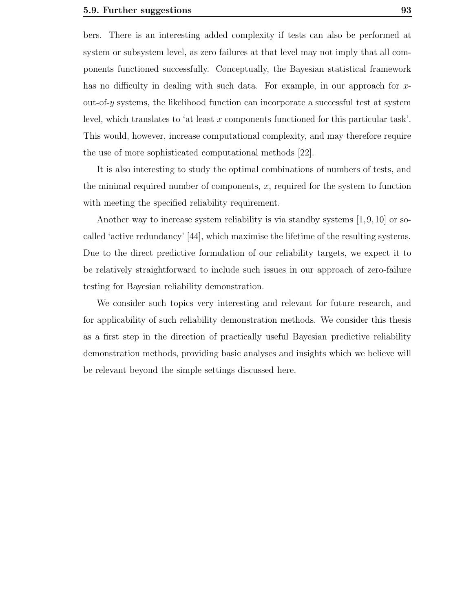bers. There is an interesting added complexity if tests can also be performed at system or subsystem level, as zero failures at that level may not imply that all components functioned successfully. Conceptually, the Bayesian statistical framework has no difficulty in dealing with such data. For example, in our approach for xout-of- $\gamma$  systems, the likelihood function can incorporate a successful test at system level, which translates to 'at least x components functioned for this particular task'. This would, however, increase computational complexity, and may therefore require the use of more sophisticated computational methods [22].

It is also interesting to study the optimal combinations of numbers of tests, and the minimal required number of components, x, required for the system to function with meeting the specified reliability requirement.

Another way to increase system reliability is via standby systems [1,9,10] or socalled 'active redundancy' [44], which maximise the lifetime of the resulting systems. Due to the direct predictive formulation of our reliability targets, we expect it to be relatively straightforward to include such issues in our approach of zero-failure testing for Bayesian reliability demonstration.

We consider such topics very interesting and relevant for future research, and for applicability of such reliability demonstration methods. We consider this thesis as a first step in the direction of practically useful Bayesian predictive reliability demonstration methods, providing basic analyses and insights which we believe will be relevant beyond the simple settings discussed here.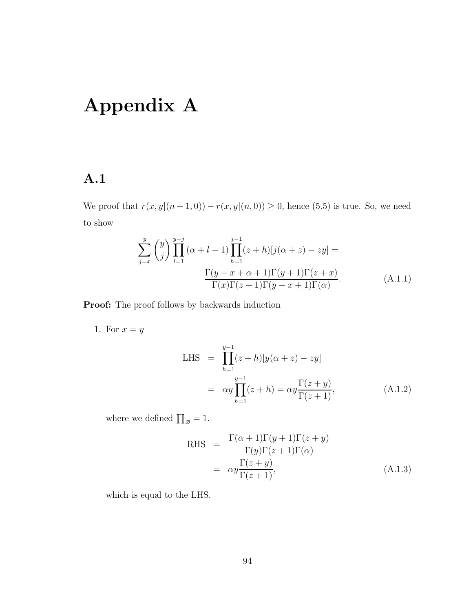## Appendix A

## A.1

We proof that  $r(x, y|(n + 1, 0)) - r(x, y|(n, 0)) \ge 0$ , hence (5.5) is true. So, we need to show

$$
\sum_{j=x}^{y} {y \choose j} \prod_{l=1}^{y-j} (\alpha + l - 1) \prod_{h=1}^{j-1} (z+h) [j(\alpha + z) - zy] =
$$
  

$$
\frac{\Gamma(y-x+\alpha+1)\Gamma(y+1)\Gamma(z+x)}{\Gamma(x)\Gamma(z+1)\Gamma(y-x+1)\Gamma(\alpha)}.
$$
 (A.1.1)

Proof: The proof follows by backwards induction

1. For  $x = y$ 

LHS = 
$$
\prod_{h=1}^{y-1} (z+h)[y(\alpha + z) - zy]
$$
  
=  $\alpha y \prod_{h=1}^{y-1} (z+h) = \alpha y \frac{\Gamma(z+y)}{\Gamma(z+1)},$  (A.1.2)

where we defined  $\prod_{\varnothing} = 1$ .

RHS = 
$$
\frac{\Gamma(\alpha+1)\Gamma(y+1)\Gamma(z+y)}{\Gamma(y)\Gamma(z+1)\Gamma(\alpha)}
$$
  
= 
$$
\alpha y \frac{\Gamma(z+y)}{\Gamma(z+1)},
$$
 (A.1.3)

which is equal to the LHS.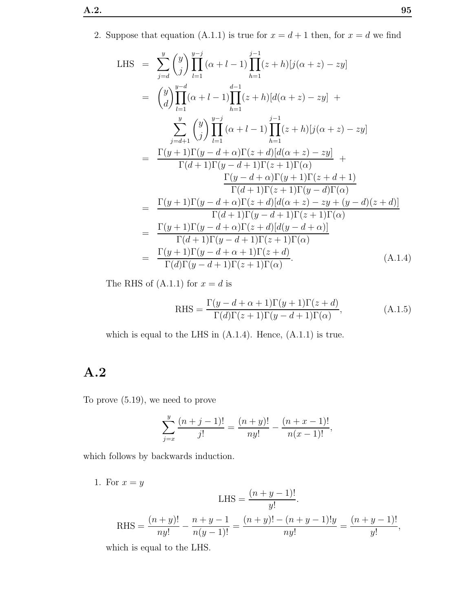2. Suppose that equation (A.1.1) is true for  $x = d + 1$  then, for  $x = d$  we find

LHS = 
$$
\sum_{j=d}^{y} {y \choose j} \prod_{l=1}^{y-j} (\alpha + l - 1) \prod_{h=1}^{j-1} (z+h) [j(\alpha + z) - zy]
$$
  
\n= 
$$
{y \choose d} \prod_{l=1}^{y-d} (\alpha + l - 1) \prod_{h=1}^{d-1} (z+h) [d(\alpha + z) - zy] +
$$
  
\n
$$
\sum_{j=d+1}^{y} {y \choose j} \prod_{l=1}^{y-j} (\alpha + l - 1) \prod_{h=1}^{j-1} (z+h) [j(\alpha + z) - zy]
$$
  
\n= 
$$
\frac{\Gamma(y+1)\Gamma(y-d+\alpha)\Gamma(z+d) [d(\alpha+z) - zy]}{\Gamma(d+1)\Gamma(y-d+1)\Gamma(z+1)\Gamma(\alpha)} +
$$
  
\n
$$
\frac{\Gamma(y-d+\alpha)\Gamma(y+1)\Gamma(z+d+1)}{\Gamma(d+1)\Gamma(z+1)\Gamma(y-d)\Gamma(\alpha)}
$$
  
\n= 
$$
\frac{\Gamma(y+1)\Gamma(y-d+\alpha)\Gamma(z+d) [d(\alpha+z) - zy + (y-d)(z+d)]}{\Gamma(d+1)\Gamma(y-d+1)\Gamma(z+1)\Gamma(\alpha)}
$$
  
\n= 
$$
\frac{\Gamma(y+1)\Gamma(y-d+\alpha)\Gamma(z+d) [d(y-d+\alpha)]}{\Gamma(d+1)\Gamma(y-d+1)\Gamma(z+1)\Gamma(\alpha)}
$$
  
\n= 
$$
\frac{\Gamma(y+1)\Gamma(y-d+\alpha+1)\Gamma(z+d)}{\Gamma(d)\Gamma(y-d+1)\Gamma(z+1)\Gamma(\alpha)}
$$
 (A.1.4)

The RHS of  $(A.1.1)$  for  $x = d$  is

RHS = 
$$
\frac{\Gamma(y - d + \alpha + 1)\Gamma(y + 1)\Gamma(z + d)}{\Gamma(d)\Gamma(z + 1)\Gamma(y - d + 1)\Gamma(\alpha)},
$$
 (A.1.5)

which is equal to the LHS in  $(A.1.4)$ . Hence,  $(A.1.1)$  is true.

## A.2

To prove (5.19), we need to prove

$$
\sum_{j=x}^{y} \frac{(n+j-1)!}{j!} = \frac{(n+y)!}{ny!} - \frac{(n+x-1)!}{n(x-1)!},
$$

which follows by backwards induction.

1. For  $x = y$ 

$$
LHS = \frac{(n+y-1)!}{y!}.
$$
  
RHS = 
$$
\frac{(n+y)!}{ny!} - \frac{n+y-1}{n(y-1)!} = \frac{(n+y)! - (n+y-1)!y}{ny!} = \frac{(n+y-1)!}{y!},
$$

which is equal to the LHS.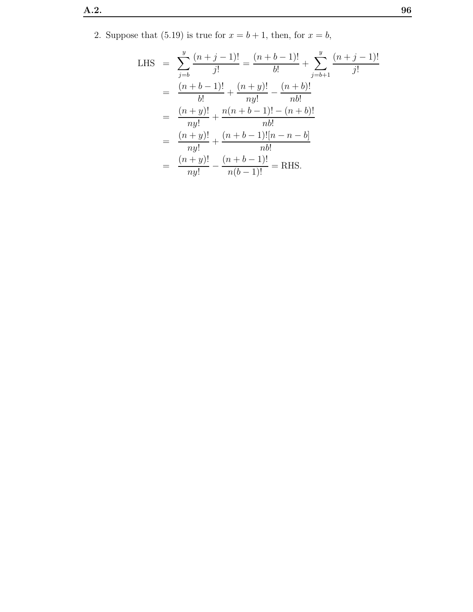2. Suppose that (5.19) is true for  $x = b + 1$ , then, for  $x = b$ ,

LHS = 
$$
\sum_{j=b}^{y} \frac{(n+j-1)!}{j!} = \frac{(n+b-1)!}{b!} + \sum_{j=b+1}^{y} \frac{(n+j-1)!}{j!}
$$
  
\n= 
$$
\frac{(n+b-1)!}{b!} + \frac{(n+y)!}{ny!} - \frac{(n+b)!}{nb!}
$$
  
\n= 
$$
\frac{(n+y)!}{ny!} + \frac{n(n+b-1)! - (n+b)!}{nb!}
$$
  
\n= 
$$
\frac{(n+y)!}{ny!} + \frac{(n+b-1)![n-n-b]}{nb!}
$$
  
\n= 
$$
\frac{(n+y)!}{ny!} - \frac{(n+b-1)!}{n(b-1)!} =
$$
 RHS.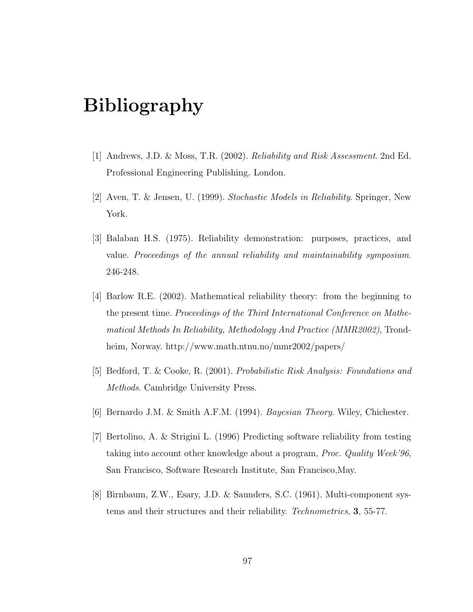## Bibliography

- [1] Andrews, J.D. & Moss, T.R. (2002). Reliability and Risk Assessment. 2nd Ed. Professional Engineering Publishing, London.
- [2] Aven, T. & Jensen, U. (1999). Stochastic Models in Reliability. Springer, New York.
- [3] Balaban H.S. (1975). Reliability demonstration: purposes, practices, and value. Proceedings of the annual reliability and maintainability symposium. 246-248.
- [4] Barlow R.E. (2002). Mathematical reliability theory: from the beginning to the present time. Proceedings of the Third International Conference on Mathematical Methods In Reliability, Methodology And Practice (MMR2002), Trondheim, Norway. http://www.math.ntnu.no/mmr2002/papers/
- [5] Bedford, T. & Cooke, R. (2001). Probabilistic Risk Analysis: Foundations and Methods. Cambridge University Press.
- [6] Bernardo J.M. & Smith A.F.M. (1994). Bayesian Theory. Wiley, Chichester.
- [7] Bertolino, A. & Strigini L. (1996) Predicting software reliability from testing taking into account other knowledge about a program, Proc. Quality Week'96, San Francisco, Software Research Institute, San Francisco,May.
- [8] Birnbaum, Z.W., Esary, J.D. & Saunders, S.C. (1961). Multi-component systems and their structures and their reliability. Technometrics, 3, 55-77.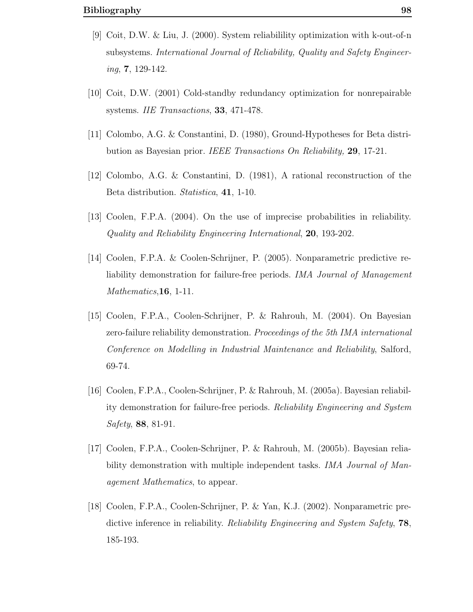- [9] Coit, D.W. & Liu, J. (2000). System reliabilility optimization with k-out-of-n subsystems. International Journal of Reliability, Quality and Safety Engineer $ing, 7, 129-142.$
- [10] Coit, D.W. (2001) Cold-standby redundancy optimization for nonrepairable systems. IIE Transactions, 33, 471-478.
- [11] Colombo, A.G. & Constantini, D. (1980), Ground-Hypotheses for Beta distribution as Bayesian prior. IEEE Transactions On Reliability, 29, 17-21.
- [12] Colombo, A.G. & Constantini, D. (1981), A rational reconstruction of the Beta distribution. Statistica, 41, 1-10.
- [13] Coolen, F.P.A. (2004). On the use of imprecise probabilities in reliability. Quality and Reliability Engineering International, 20, 193-202.
- [14] Coolen, F.P.A. & Coolen-Schrijner, P. (2005). Nonparametric predictive reliability demonstration for failure-free periods. IMA Journal of Management Mathematics, 16, 1-11.
- [15] Coolen, F.P.A., Coolen-Schrijner, P. & Rahrouh, M. (2004). On Bayesian zero-failure reliability demonstration. Proceedings of the 5th IMA international Conference on Modelling in Industrial Maintenance and Reliability, Salford, 69-74.
- [16] Coolen, F.P.A., Coolen-Schrijner, P. & Rahrouh, M. (2005a). Bayesian reliability demonstration for failure-free periods. Reliability Engineering and System Safety, 88, 81-91.
- [17] Coolen, F.P.A., Coolen-Schrijner, P. & Rahrouh, M. (2005b). Bayesian reliability demonstration with multiple independent tasks. *IMA Journal of Man*agement Mathematics, to appear.
- [18] Coolen, F.P.A., Coolen-Schrijner, P. & Yan, K.J. (2002). Nonparametric predictive inference in reliability. Reliability Engineering and System Safety, 78, 185-193.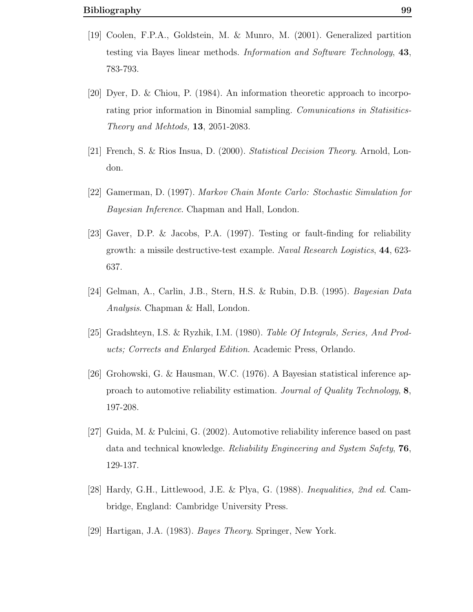- [19] Coolen, F.P.A., Goldstein, M. & Munro, M. (2001). Generalized partition testing via Bayes linear methods. Information and Software Technology, 43, 783-793.
- [20] Dyer, D. & Chiou, P. (1984). An information theoretic approach to incorporating prior information in Binomial sampling. Comunications in Statisitics-Theory and Mehtods, 13, 2051-2083.
- [21] French, S. & Rios Insua, D. (2000). Statistical Decision Theory. Arnold, London.
- [22] Gamerman, D. (1997). Markov Chain Monte Carlo: Stochastic Simulation for Bayesian Inference. Chapman and Hall, London.
- [23] Gaver, D.P. & Jacobs, P.A. (1997). Testing or fault-finding for reliability growth: a missile destructive-test example. Naval Research Logistics, 44, 623- 637.
- [24] Gelman, A., Carlin, J.B., Stern, H.S. & Rubin, D.B. (1995). Bayesian Data Analysis. Chapman & Hall, London.
- [25] Gradshteyn, I.S. & Ryzhik, I.M. (1980). Table Of Integrals, Series, And Products; Corrects and Enlarged Edition. Academic Press, Orlando.
- [26] Grohowski, G. & Hausman, W.C. (1976). A Bayesian statistical inference approach to automotive reliability estimation. Journal of Quality Technology, 8, 197-208.
- [27] Guida, M. & Pulcini, G. (2002). Automotive reliability inference based on past data and technical knowledge. Reliability Engineering and System Safety, 76, 129-137.
- [28] Hardy, G.H., Littlewood, J.E. & Plya, G. (1988). Inequalities, 2nd ed. Cambridge, England: Cambridge University Press.
- [29] Hartigan, J.A. (1983). Bayes Theory. Springer, New York.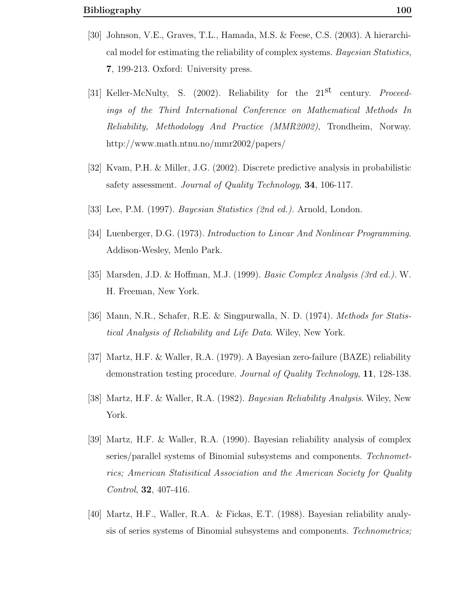- [30] Johnson, V.E., Graves, T.L., Hamada, M.S. & Feese, C.S. (2003). A hierarchical model for estimating the reliability of complex systems. Bayesian Statistics, 7, 199-213. Oxford: University press.
- [31] Keller-McNulty, S. (2002). Reliability for the 21<sup>st</sup> century. *Proceed*ings of the Third International Conference on Mathematical Methods In Reliability, Methodology And Practice (MMR2002), Trondheim, Norway. http://www.math.ntnu.no/mmr2002/papers/
- [32] Kvam, P.H. & Miller, J.G. (2002). Discrete predictive analysis in probabilistic safety assessment. Journal of Quality Technology, 34, 106-117.
- [33] Lee, P.M. (1997). Bayesian Statistics (2nd ed.). Arnold, London.
- [34] Luenberger, D.G. (1973). Introduction to Linear And Nonlinear Programming. Addison-Wesley, Menlo Park.
- [35] Marsden, J.D. & Hoffman, M.J. (1999). Basic Complex Analysis (3rd ed.). W. H. Freeman, New York.
- [36] Mann, N.R., Schafer, R.E. & Singpurwalla, N. D. (1974). Methods for Statistical Analysis of Reliability and Life Data. Wiley, New York.
- [37] Martz, H.F. & Waller, R.A. (1979). A Bayesian zero-failure (BAZE) reliability demonstration testing procedure. Journal of Quality Technology, 11, 128-138.
- [38] Martz, H.F. & Waller, R.A. (1982). Bayesian Reliability Analysis. Wiley, New York.
- [39] Martz, H.F. & Waller, R.A. (1990). Bayesian reliability analysis of complex series/parallel systems of Binomial subsystems and components. Technometrics; American Statisitical Association and the American Society for Quality Control, 32, 407-416.
- [40] Martz, H.F., Waller, R.A. & Fickas, E.T. (1988). Bayesian reliability analysis of series systems of Binomial subsystems and components. Technometrics;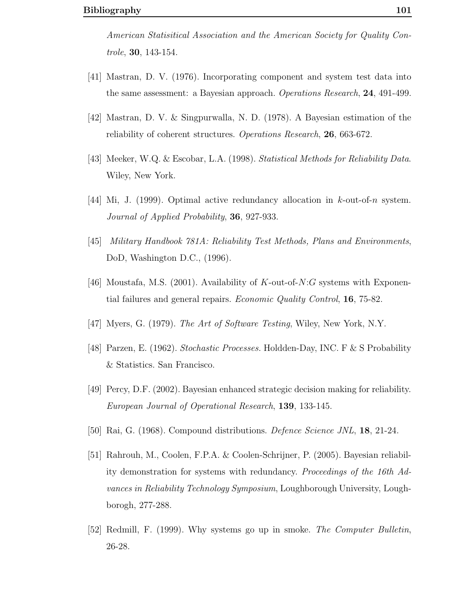American Statisitical Association and the American Society for Quality Controle, 30, 143-154.

- [41] Mastran, D. V. (1976). Incorporating component and system test data into the same assessment: a Bayesian approach. Operations Research, 24, 491-499.
- [42] Mastran, D. V. & Singpurwalla, N. D. (1978). A Bayesian estimation of the reliability of coherent structures. Operations Research, 26, 663-672.
- [43] Meeker, W.Q. & Escobar, L.A. (1998). Statistical Methods for Reliability Data. Wiley, New York.
- [44] Mi, J. (1999). Optimal active redundancy allocation in k-out-of-n system. Journal of Applied Probability, 36, 927-933.
- [45] Military Handbook 781A: Reliability Test Methods, Plans and Environments, DoD, Washington D.C., (1996).
- [46] Moustafa, M.S. (2001). Availability of  $K$ -out-of- $N:G$  systems with Exponential failures and general repairs. Economic Quality Control, 16, 75-82.
- [47] Myers, G. (1979). The Art of Software Testing, Wiley, New York, N.Y.
- [48] Parzen, E. (1962). Stochastic Processes. Holdden-Day, INC. F & S Probability & Statistics. San Francisco.
- [49] Percy, D.F. (2002). Bayesian enhanced strategic decision making for reliability. European Journal of Operational Research, 139, 133-145.
- [50] Rai, G. (1968). Compound distributions. *Defence Science JNL*, **18**, 21-24.
- [51] Rahrouh, M., Coolen, F.P.A. & Coolen-Schrijner, P. (2005). Bayesian reliability demonstration for systems with redundancy. Proceedings of the 16th Advances in Reliability Technology Symposium, Loughborough University, Loughborogh, 277-288.
- [52] Redmill, F. (1999). Why systems go up in smoke. The Computer Bulletin, 26-28.